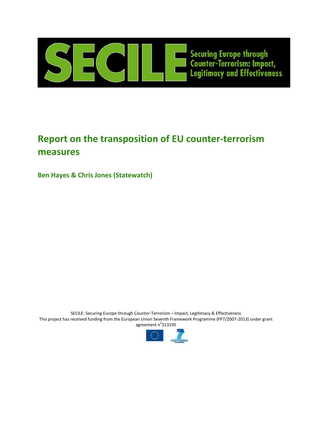

# **Report on the transposition of EU counter-terrorism measures**

**Ben Hayes & Chris Jones (Statewatch)**

SECILE: Securing Europe through Counter-Terrorism – Impact, Legitimacy & Effectiveness This project has received funding from the European Union Seventh Framework Programme (FP7/2007-2013) under grant agreement n°313195

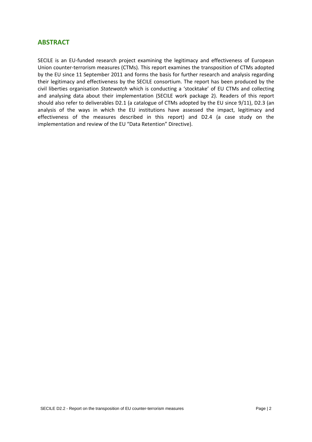#### **ABSTRACT**

SECILE is an EU-funded research project examining the legitimacy and effectiveness of European Union counter-terrorism measures (CTMs). This report examines the transposition of CTMs adopted by the EU since 11 September 2011 and forms the basis for further research and analysis regarding their legitimacy and effectiveness by the SECILE consortium. The report has been produced by the civil liberties organisation *Statewatch* which is conducting a 'stocktake' of EU CTMs and collecting and analysing data about their implementation (SECILE work package 2). Readers of this report should also refer to deliverables D2.1 (a catalogue of CTMs adopted by the EU since 9/11), D2.3 (an analysis of the ways in which the EU institutions have assessed the impact, legitimacy and effectiveness of the measures described in this report) and D2.4 (a case study on the implementation and review of the EU "Data Retention" Directive).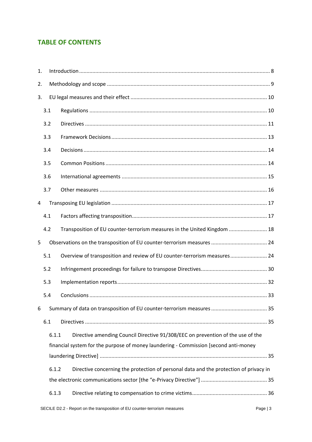# **TABLE OF CONTENTS**

| 1. |     |       |                                                                                       |  |  |  |
|----|-----|-------|---------------------------------------------------------------------------------------|--|--|--|
| 2. |     |       |                                                                                       |  |  |  |
| 3. |     |       |                                                                                       |  |  |  |
|    | 3.1 |       |                                                                                       |  |  |  |
|    | 3.2 |       |                                                                                       |  |  |  |
|    | 3.3 |       |                                                                                       |  |  |  |
|    | 3.4 |       |                                                                                       |  |  |  |
|    | 3.5 |       |                                                                                       |  |  |  |
|    | 3.6 |       |                                                                                       |  |  |  |
|    | 3.7 |       |                                                                                       |  |  |  |
| 4  |     |       |                                                                                       |  |  |  |
|    | 4.1 |       |                                                                                       |  |  |  |
|    | 4.2 |       | Transposition of EU counter-terrorism measures in the United Kingdom  18              |  |  |  |
| 5  |     |       |                                                                                       |  |  |  |
|    | 5.1 |       | Overview of transposition and review of EU counter-terrorism measures 24              |  |  |  |
|    | 5.2 |       |                                                                                       |  |  |  |
|    | 5.3 |       |                                                                                       |  |  |  |
|    | 5.4 |       |                                                                                       |  |  |  |
| 6  |     |       |                                                                                       |  |  |  |
|    | 6.1 |       |                                                                                       |  |  |  |
|    |     | 6.1.1 | Directive amending Council Directive 91/308/EEC on prevention of the use of the       |  |  |  |
|    |     |       | financial system for the purpose of money laundering - Commission [second anti-money  |  |  |  |
|    |     |       |                                                                                       |  |  |  |
|    |     | 6.1.2 | Directive concerning the protection of personal data and the protection of privacy in |  |  |  |
|    |     |       |                                                                                       |  |  |  |
|    |     | 6.1.3 |                                                                                       |  |  |  |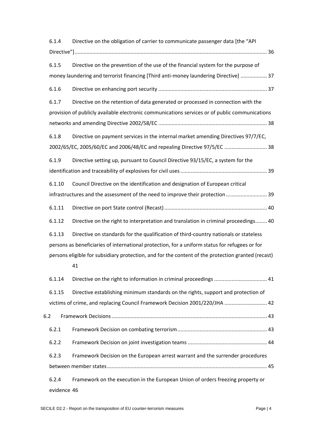| 6.1.4       | Directive on the obligation of carrier to communicate passenger data [the "API                           |
|-------------|----------------------------------------------------------------------------------------------------------|
|             |                                                                                                          |
| 6.1.5       | Directive on the prevention of the use of the financial system for the purpose of                        |
|             | money laundering and terrorist financing [Third anti-money laundering Directive]  37                     |
| 6.1.6       |                                                                                                          |
| 6.1.7       | Directive on the retention of data generated or processed in connection with the                         |
|             | provision of publicly available electronic communications services or of public communications           |
|             |                                                                                                          |
| 6.1.8       | Directive on payment services in the internal market amending Directives 97/7/EC,                        |
|             | 2002/65/EC, 2005/60/EC and 2006/48/EC and repealing Directive 97/5/EC  38                                |
| 6.1.9       | Directive setting up, pursuant to Council Directive 93/15/EC, a system for the                           |
|             |                                                                                                          |
| 6.1.10      | Council Directive on the identification and designation of European critical                             |
|             | infrastructures and the assessment of the need to improve their protection 39                            |
| 6.1.11      |                                                                                                          |
| 6.1.12      | Directive on the right to interpretation and translation in criminal proceedings 40                      |
| 6.1.13      | Directive on standards for the qualification of third-country nationals or stateless                     |
|             | persons as beneficiaries of international protection, for a uniform status for refugees or for           |
|             | persons eligible for subsidiary protection, and for the content of the protection granted (recast)<br>41 |
| 6.1.14      |                                                                                                          |
| 6.1.15      | Directive establishing minimum standards on the rights, support and protection of                        |
|             | victims of crime, and replacing Council Framework Decision 2001/220/JHA  42                              |
| 6.2         |                                                                                                          |
| 6.2.1       |                                                                                                          |
| 6.2.2       |                                                                                                          |
| 6.2.3       | Framework Decision on the European arrest warrant and the surrender procedures                           |
|             |                                                                                                          |
| 6.2.4       | Framework on the execution in the European Union of orders freezing property or                          |
| evidence 46 |                                                                                                          |

SECILE D2.2 - Report on the transposition of EU counter-terrorism measures Page | 4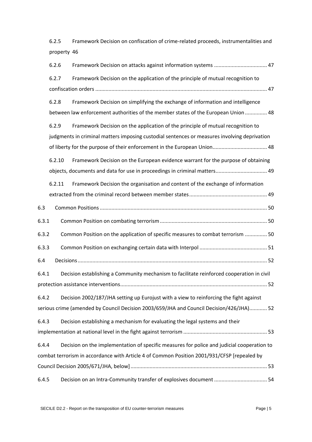| 6.2.5       | Framework Decision on confiscation of crime-related proceeds, instrumentalities and |
|-------------|-------------------------------------------------------------------------------------|
| property 46 |                                                                                     |

|       | 6.2.6  |                                                                                              |  |
|-------|--------|----------------------------------------------------------------------------------------------|--|
|       | 6.2.7  | Framework Decision on the application of the principle of mutual recognition to              |  |
|       |        |                                                                                              |  |
|       | 6.2.8  | Framework Decision on simplifying the exchange of information and intelligence               |  |
|       |        | between law enforcement authorities of the member states of the European Union  48           |  |
|       | 6.2.9  | Framework Decision on the application of the principle of mutual recognition to              |  |
|       |        | judgments in criminal matters imposing custodial sentences or measures involving deprivation |  |
|       |        |                                                                                              |  |
|       | 6.2.10 | Framework Decision on the European evidence warrant for the purpose of obtaining             |  |
|       |        | objects, documents and data for use in proceedings in criminal matters 49                    |  |
|       | 6.2.11 | Framework Decision the organisation and content of the exchange of information               |  |
|       |        |                                                                                              |  |
| 6.3   |        |                                                                                              |  |
| 6.3.1 |        |                                                                                              |  |
| 6.3.2 |        | Common Position on the application of specific measures to combat terrorism  50              |  |
| 6.3.3 |        |                                                                                              |  |
| 6.4   |        |                                                                                              |  |
| 6.4.1 |        | Decision establishing a Community mechanism to facilitate reinforced cooperation in civil    |  |
|       |        |                                                                                              |  |
| 6.4.2 |        | Decision 2002/187/JHA setting up Eurojust with a view to reinforcing the fight against       |  |
|       |        | serious crime (amended by Council Decision 2003/659/JHA and Council Decision/426/JHA) 52     |  |
| 6.4.3 |        | Decision establishing a mechanism for evaluating the legal systems and their                 |  |
|       |        |                                                                                              |  |
| 6.4.4 |        | Decision on the implementation of specific measures for police and judicial cooperation to   |  |
|       |        | combat terrorism in accordance with Article 4 of Common Position 2001/931/CFSP [repealed by  |  |
|       |        |                                                                                              |  |
| 6.4.5 |        |                                                                                              |  |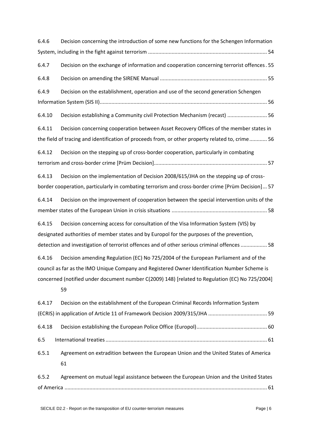| 6.4.6  | Decision concerning the introduction of some new functions for the Schengen Information           |
|--------|---------------------------------------------------------------------------------------------------|
|        |                                                                                                   |
| 6.4.7  | Decision on the exchange of information and cooperation concerning terrorist offences. 55         |
| 6.4.8  |                                                                                                   |
| 6.4.9  | Decision on the establishment, operation and use of the second generation Schengen                |
|        |                                                                                                   |
| 6.4.10 | Decision establishing a Community civil Protection Mechanism (recast)  56                         |
| 6.4.11 | Decision concerning cooperation between Asset Recovery Offices of the member states in            |
|        | the field of tracing and identification of proceeds from, or other property related to, crime 56  |
| 6.4.12 | Decision on the stepping up of cross-border cooperation, particularly in combating                |
|        |                                                                                                   |
| 6.4.13 | Decision on the implementation of Decision 2008/615/JHA on the stepping up of cross-              |
|        | border cooperation, particularly in combating terrorism and cross-border crime [Prüm Decision] 57 |
| 6.4.14 | Decision on the improvement of cooperation between the special intervention units of the          |
|        |                                                                                                   |
| 6.4.15 | Decision concerning access for consultation of the Visa Information System (VIS) by               |
|        | designated authorities of member states and by Europol for the purposes of the prevention,        |
|        | detection and investigation of terrorist offences and of other serious criminal offences  58      |
| 6.4.16 | Decision amending Regulation (EC) No 725/2004 of the European Parliament and of the               |
|        | council as far as the IMO Unique Company and Registered Owner Identification Number Scheme is     |
|        | concerned (notified under document number C(2009) 148) [related to Regulation (EC) No 725/2004]   |
|        | 59                                                                                                |
| 6.4.17 | Decision on the establishment of the European Criminal Records Information System                 |
|        |                                                                                                   |
| 6.4.18 |                                                                                                   |
| 6.5    |                                                                                                   |
| 6.5.1  | Agreement on extradition between the European Union and the United States of America              |
|        | 61                                                                                                |
| 6.5.2  | Agreement on mutual legal assistance between the European Union and the United States             |
|        |                                                                                                   |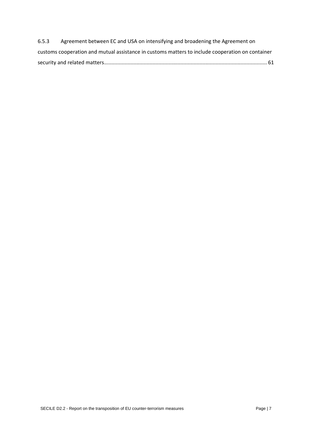| 6.5.3 | Agreement between EC and USA on intensifying and broadening the Agreement on                     |  |
|-------|--------------------------------------------------------------------------------------------------|--|
|       | customs cooperation and mutual assistance in customs matters to include cooperation on container |  |
|       |                                                                                                  |  |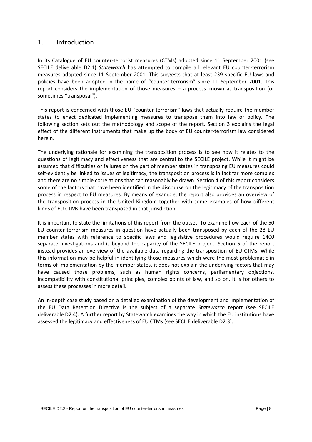#### <span id="page-7-0"></span>1. Introduction

In its Catalogue of EU counter-terrorist measures (CTMs) adopted since 11 September 2001 (see SECILE deliverable D2.1) *Statewatch* has attempted to compile all relevant EU counter-terrorism measures adopted since 11 September 2001. This suggests that at least 239 specific EU laws and policies have been adopted in the name of "counter-terrorism" since 11 September 2001. This report considers the implementation of those measures – a process known as transposition (or sometimes "transposal").

This report is concerned with those EU "counter-terrorism" laws that actually require the member states to enact dedicated implementing measures to transpose them into law or policy. The following section sets out the methodology and scope of the report. Section 3 explains the legal effect of the different instruments that make up the body of EU counter-terrorism law considered herein.

The underlying rationale for examining the transposition process is to see how it relates to the questions of legitimacy and effectiveness that are central to the SECILE project. While it might be assumed that difficulties or failures on the part of member states in transposing EU measures could self-evidently be linked to issues of legitimacy, the transposition process is in fact far more complex and there are no simple correlations that can reasonably be drawn. Section 4 of this report considers some of the factors that have been identified in the discourse on the legitimacy of the transposition process in respect to EU measures. By means of example, the report also provides an overview of the transposition process in the United Kingdom together with some examples of how different kinds of EU CTMs have been transposed in that jurisdiction.

It is important to state the limitations of this report from the outset. To examine how each of the 50 EU counter-terrorism measures in question have actually been transposed by each of the 28 EU member states with reference to specific laws and legislative procedures would require 1400 separate investigations and is beyond the capacity of the SECILE project. Section 5 of the report instead provides an overview of the available data regarding the transposition of EU CTMs. While this information may be helpful in identifying those measures which were the most problematic in terms of implementation by the member states, it does not explain the underlying factors that may have caused those problems, such as human rights concerns, parliamentary objections, incompatibility with constitutional principles, complex points of law, and so on. It is for others to assess these processes in more detail.

An in-depth case study based on a detailed examination of the development and implementation of the EU Data Retention Directive is the subject of a separate *Statewatch* report (see SECILE deliverable D2.4). A further report by Statewatch examines the way in which the EU institutions have assessed the legitimacy and effectiveness of EU CTMs (see SECILE deliverable D2.3).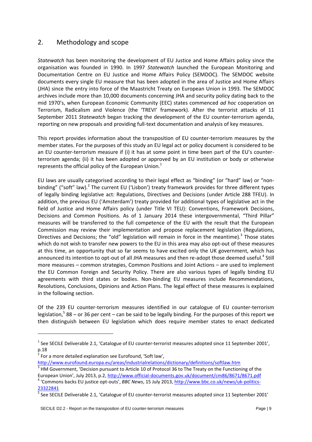### <span id="page-8-0"></span>2. Methodology and scope

*Statewatch* has been monitoring the development of EU Justice and Home Affairs policy since the organisation was founded in 1990. In 1997 *Statewatch* launched the European Monitoring and Documentation Centre on EU Justice and Home Affairs Policy (SEMDOC). The SEMDOC website documents every single EU measure that has been adopted in the area of Justice and Home Affairs (JHA) since the entry into force of the Maastricht Treaty on European Union in 1993. The SEMDOC archives include more than 10,000 documents concerning JHA and security policy dating back to the mid 1970's, when European Economic Community (EEC) states commenced *ad hoc* cooperation on Terrorism, Radicalism and Violence (the 'TREVI' framework). After the terrorist attacks of 11 September 2011 *Statewatch* began tracking the development of the EU counter-terrorism agenda, reporting on new proposals and providing full-text documentation and analysis of key measures.

This report provides information about the transposition of EU counter-terrorism measures by the member states. For the purposes of this study an EU legal act or policy document is considered to be an EU counter-terrorism measure if (i) it has at some point in time been part of the EU's counterterrorism agenda; (ii) it has been adopted or approved by an EU institution or body or otherwise represents the official policy of the European Union. $1$ 

EU laws are usually categorised according to their legal effect as "binding" (or "hard" law) or "nonbinding" ("soft" law).<sup>2</sup> The current EU ('Lisbon') treaty framework provides for three different types of legally binding legislative act: Regulations, Directives and Decisions (under Article 288 TFEU). In addition, the previous EU ('Amsterdam') treaty provided for additional types of legislative act in the field of Justice and Home Affairs policy (under Title VI TEU): Conventions, Framework Decisions, Decisions and Common Positions. As of 1 January 2014 these intergovernmental, "Third Pillar" measures will be transferred to the full competence of the EU with the result that the European Commission may review their implementation and propose replacement legislation (Regulations, Directives and Decisions; the "old" legislation will remain in force in the meantime).<sup>3</sup> Those states which do not wish to transfer new powers to the EU in this area may also opt-out of these measures at this time, an opportunity that so far seems to have excited only the UK government, which has announced its intention to opt-out of all JHA measures and then re-adopt those deemed useful.<sup>4</sup> Still more measures – common strategies, Common Positions and Joint Actions – are used to implement the EU Common Foreign and Security Policy. There are also various types of legally binding EU agreements with third states or bodies. Non-binding EU measures include Recommendations, Resolutions, Conclusions, Opinions and Action Plans. The legal effect of these measures is explained in the following section.

Of the 239 EU counter-terrorism measures identified in our catalogue of EU counter-terrorism legislation,<sup>5</sup> 88 – or 36 per cent – can be said to be legally binding. For the purposes of this report we then distinguish between EU legislation which does require member states to enact dedicated

**.** 

<sup>&</sup>lt;sup>1</sup> See SECILE Deliverable 2.1, 'Catalogue of EU counter-terrorist measures adopted since 11 September 2001', p.18

 $2^{2}$  For a more detailed explanation see Eurofound, 'Soft law',

<http://www.eurofound.europa.eu/areas/industrialrelations/dictionary/definitions/softlaw.htm><br><sup>3</sup> HM Government, 'Decision pursuant to Article 10 of Protocol 36 to The Treaty on the Functioning of the European Union', July 2013, p.2, <http://www.official-documents.gov.uk/document/cm86/8671/8671.pdf>

<sup>4</sup> 'Commons backs EU justice opt-outs', *BBC News*, 15 July 2013, [http://www.bbc.co.uk/news/uk-politics-](http://www.bbc.co.uk/news/uk-politics-23322841)[23322841](http://www.bbc.co.uk/news/uk-politics-23322841)

<sup>&</sup>lt;sup>5</sup> See SECILE Deliverable 2.1, 'Catalogue of EU counter-terrorist measures adopted since 11 September 2001'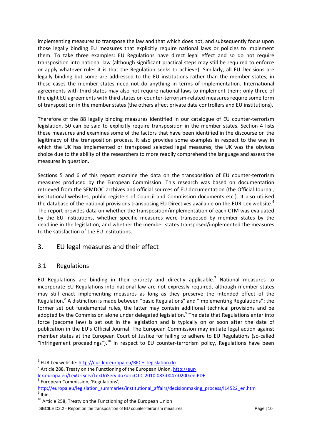implementing measures to transpose the law and that which does not, and subsequently focus upon those legally binding EU measures that explicitly require national laws or policies to implement them. To take three examples: EU Regulations have direct legal effect and so do not require transposition into national law (although significant practical steps may still be required to enforce or apply whatever rules it is that the Regulation seeks to achieve). Similarly, all EU Decisions are legally binding but some are addressed to the EU institutions rather than the member states; in these cases the member states need not do anything in terms of implementation. International agreements with third states may also not require national laws to implement them: only three of the eight EU agreements with third states on counter-terrorism-related measures require some form of transposition in the member states (the others affect private data controllers and EU institutions).

Therefore of the 88 legally binding measures identified in our catalogue of EU counter-terrorism legislation, 50 can be said to explicitly require transposition in the member states. Section 4 lists these measures and examines some of the factors that have been identified in the discourse on the legitimacy of the transposition process. It also provides some examples in respect to the way in which the UK has implemented or transposed selected legal measures; the UK was the obvious choice due to the ability of the researchers to more readily comprehend the language and assess the measures in question.

Sections 5 and 6 of this report examine the data on the transposition of EU counter-terrorism measures produced by the European Commission. This research was based on documentation retrieved from the SEMDOC archives and official sources of EU documentation (the Official Journal, institutional websites, public registers of Council and Commission documents etc.). It also utilised the database of the national provisions transposing EU Directives available on the EUR-Lex website.<sup>6</sup> The report provides data on whether the transposition/implementation of each CTM was evaluated by the EU institutions, whether specific measures were transposed by member states by the deadline in the legislation, and whether the member states transposed/implemented the measures to the satisfaction of the EU institutions.

### <span id="page-9-0"></span>3. EU legal measures and their effect

#### <span id="page-9-1"></span>3.1 Regulations

**.** 

EU Regulations are binding in their entirety and directly applicable.<sup>7</sup> National measures to incorporate EU Regulations into national law are not expressly required, although member states may still enact implementing measures as long as they preserve the intended effect of the Regulation.<sup>8</sup> A distinction is made between "basic Regulations" and "implementing Regulations": the former set out fundamental rules, the latter may contain additional technical provisions and be adopted by the Commission alone under delegated legislation.<sup>9</sup> The date that Regulations enter into force (become law) is set out in the legislation and is typically on or soon after the date of publication in the EU's Official Journal. The European Commission may initiate legal action against member states at the European Court of Justice for failing to adhere to EU Regulations (so-called "infringement proceedings"). $^{10}$  In respect to EU counter-terrorism policy, Regulations have been

- <sup>7</sup> Article 288, Treaty on the Functioning of the European Union, [http://eur](http://eur-lex.europa.eu/LexUriServ/LexUriServ.do?uri=OJ:C:2010:083:0047:0200:en:PDF)[lex.europa.eu/LexUriServ/LexUriServ.do?uri=OJ:C:2010:083:0047:0200:en:PDF](http://eur-lex.europa.eu/LexUriServ/LexUriServ.do?uri=OJ:C:2010:083:0047:0200:en:PDF)
- 8 European Commission, 'Regulations',

<sup>&</sup>lt;sup>6</sup> EUR-Lex website: [http://eur-lex.europa.eu/RECH\\_legislation.do](http://eur-lex.europa.eu/RECH_legislation.do)

[http://europa.eu/legislation\\_summaries/institutional\\_affairs/decisionmaking\\_process/l14522\\_en.htm](http://europa.eu/legislation_summaries/institutional_affairs/decisionmaking_process/l14522_en.htm) <sup>9</sup> Ibid.

<sup>&</sup>lt;sup>10</sup> Article 258, Treaty on the Functioning of the European Union

SECILE D2.2 - Report on the transposition of EU counter-terrorism measures Page | 10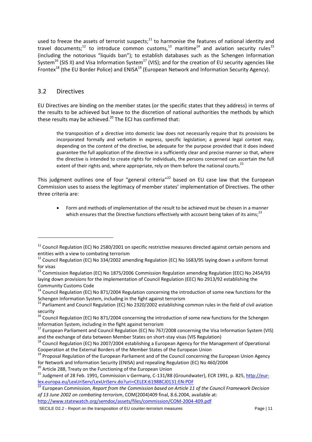used to freeze the assets of terrorist suspects;<sup>11</sup> to harmonise the features of national identity and travel documents;<sup>12</sup> to introduce common customs,<sup>13</sup> maritime<sup>14</sup> and aviation security rules<sup>15</sup> (including the notorious "liquids ban"); to establish databases such as the Schengen Information System<sup>16</sup> (SIS II) and Visa Information System<sup>17</sup> (VIS); and for the creation of EU security agencies like Frontex<sup>18</sup> (the EU Border Police) and ENISA<sup>19</sup> (European Network and Information Security Agency).

#### <span id="page-10-0"></span>3.2 Directives

-

EU Directives are binding on the member states (or the specific states that they address) in terms of the results to be achieved but leave to the discretion of national authorities the methods by which these results may be achieved. $^{20}$  The FCJ has confirmed that:

the transposition of a directive into domestic law does not necessarily require that its provisions be incorporated formally and verbatim in express, specific legislation; a general legal context may, depending on the content of the directive, be adequate for the purpose provided that it does indeed guarantee the full application of the directive in a sufficiently clear and precise manner so that, where the directive is intended to create rights for individuals, the persons concerned can ascertain the full extent of their rights and, where appropriate, rely on them before the national courts. $^{21}$ 

This judgment outlines one of four "general criteria"<sup>22</sup> based on EU case law that the European Commission uses to assess the legitimacy of member states' implementation of Directives. The other three criteria are:

 Form and methods of implementation of the result to be achieved must be chosen in a manner which ensures that the Directive functions effectively with account being taken of its aims;<sup>23</sup>

 $11$  Council Regulation (EC) No 2580/2001 on specific restrictive measures directed against certain persons and entities with a view to combating terrorism

 $12$  Council Regulation (EC) No 334/2002 amending Regulation (EC) No 1683/95 laying down a uniform format for visas

<sup>&</sup>lt;sup>13</sup> Commission Regulation (EC) No 1875/2006 Commission Regulation amending Regulation (EEC) No 2454/93 laying down provisions for the implementation of Council Regulation (EEC) No 2913/92 establishing the Community Customs Code

<sup>&</sup>lt;sup>14</sup> Council Regulation (EC) No 871/2004 Regulation concerning the introduction of some new functions for the Schengen Information System, including in the fight against terrorism

<sup>&</sup>lt;sup>15</sup> Parliament and Council Regulation (EC) No 2320/2002 establishing common rules in the field of civil aviation security

 $16$  Council Regulation (EC) No 871/2004 concerning the introduction of some new functions for the Schengen Information System, including in the fight against terrorism

<sup>&</sup>lt;sup>17</sup> European Parliament and Council Regulation (EC) No 767/2008 concerning the Visa Information System (VIS) and the exchange of data between Member States on short-stay visas (VIS Regulation)

<sup>&</sup>lt;sup>18</sup> Council Regulation (EC) No 2007/2004 establishing a European Agency for the Management of Operational Cooperation at the External Borders of the Member States of the European Union

<sup>&</sup>lt;sup>19</sup> Proposal Regulation of the European Parliament and of the Council concerning the European Union Agency for Network and Information Security (ENISA) and repealing Regulation (EC) No 460/2004

<sup>&</sup>lt;sup>20</sup> Article 288, Treaty on the Functioning of the European Union

<sup>&</sup>lt;sup>21</sup> Judgment of 28 Feb. 1991, Commission v Germany, C-131/88 (Groundwater), ECR 1991, p. 825[, http://eur](http://eur-lex.europa.eu/LexUriServ/LexUriServ.do?uri=CELEX:61988CJ0131:EN:PDF)[lex.europa.eu/LexUriServ/LexUriServ.do?uri=CELEX:61988CJ0131:EN:PDF](http://eur-lex.europa.eu/LexUriServ/LexUriServ.do?uri=CELEX:61988CJ0131:EN:PDF)

<sup>&</sup>lt;sup>22</sup> European Commission, *Report from the Commission based on Article 11 of the Council Framework Decision of 13 June 2002 on combating terrorism*, COM(2004)409 final, 8.6.2004, available at: <http://www.statewatch.org/semdoc/assets/files/commission/COM-2004-409.pdf>

SECILE D2.2 - Report on the transposition of EU counter-terrorism measures Page | 11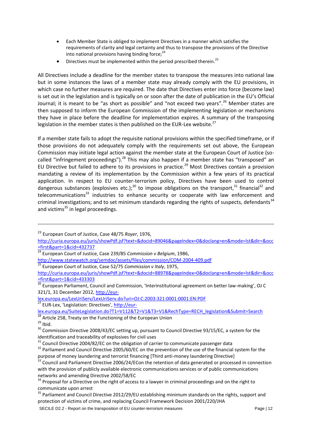- Each Member State is obliged to implement Directives in a manner which satisfies the requirements of clarity and legal certainty and thus to transpose the provisions of the Directive into national provisions having binding force;<sup>24</sup>
- Directives must be implemented within the period prescribed therein.<sup>25</sup>

All Directives include a deadline for the member states to transpose the measures into national law but in some instances the laws of a member state may already comply with the EU provisions, in which case no further measures are required. The date that Directives enter into force (become law) is set out in the legislation and is typically on or soon after the date of publication in the EU's Official Journal; it is meant to be "as short as possible" and "not exceed two years".<sup>26</sup> Member states are then supposed to inform the European Commission of the implementing legislation or mechanisms they have in place before the deadline for implementation expires. A summary of the transposing legislation in the member states is then published on the EUR-Lex website.<sup>27</sup>

If a member state fails to adopt the requisite national provisions within the specified timeframe, or if those provisions do not adequately comply with the requirements set out above, the European Commission may initiate legal action against the member state at the European Court of Justice (socalled "infringement proceedings").<sup>28</sup> This may also happen if a member state has "transposed" an EU Directive but failed to adhere to its provisions in practice.<sup>29</sup> Most Directives contain a provision mandating a review of its implementation by the Commission within a few years of its practical application. In respect to EU counter-terrorism policy, Directives have been used to control dangerous substances (explosives etc.);<sup>30</sup> to impose obligations on the transport,<sup>31</sup> financial<sup>32</sup> and telecommunications $33$  industries to enhance security or cooperate with law enforcement and criminal investigations; and to set minimum standards regarding the rights of suspects, defendants<sup>34</sup> and victims $35$  in legal proceedings.

- <sup>24</sup> European Court of Justice, Case 239/85 *Commission v Belgium*, 1986,
- <http://www.statewatch.org/semdoc/assets/files/commission/COM-2004-409.pdf>
- <sup>25</sup> European Court of Justice, Case 52/75 *Commission v Italy*, 1975,

**.** 

<sup>23</sup> European Court of Justice, Case 48/75 *Royer*, 1976,

[http://curia.europa.eu/juris/showPdf.jsf?text=&docid=89046&pageIndex=0&doclang=en&mode=lst&dir=&occ](http://curia.europa.eu/juris/showPdf.jsf?text=&docid=89046&pageIndex=0&doclang=en&mode=lst&dir=&occ=first&part=1&cid=432737) [=first&part=1&cid=432737](http://curia.europa.eu/juris/showPdf.jsf?text=&docid=89046&pageIndex=0&doclang=en&mode=lst&dir=&occ=first&part=1&cid=432737)

[http://curia.europa.eu/juris/showPdf.jsf?text=&docid=88978&pageIndex=0&doclang=en&mode=lst&dir=&occ](http://curia.europa.eu/juris/showPdf.jsf?text=&docid=88978&pageIndex=0&doclang=en&mode=lst&dir=&occ=first&part=1&cid=433303) [=first&part=1&cid=433303](http://curia.europa.eu/juris/showPdf.jsf?text=&docid=88978&pageIndex=0&doclang=en&mode=lst&dir=&occ=first&part=1&cid=433303)

<sup>&</sup>lt;sup>26</sup> European Parliament, Council and Commission, 'Interinstitutional agreement on better law-making', OJ C 321/1, 31 December 2012[, http://eur-](http://eur-lex.europa.eu/LexUriServ/LexUriServ.do?uri=OJ:C:2003:321:0001:0001:EN:PDF)

[lex.europa.eu/LexUriServ/LexUriServ.do?uri=OJ:C:2003:321:0001:0001:EN:PDF](http://eur-lex.europa.eu/LexUriServ/LexUriServ.do?uri=OJ:C:2003:321:0001:0001:EN:PDF) <sup>27</sup> EUR-Lex, 'Legislation: Directives', [http://eur-](http://eur-lex.europa.eu/SuiteLegislation.do?T1=V112&T2=V1&T3=V1&RechType=RECH_legislation&Submit=Search)

[lex.europa.eu/SuiteLegislation.do?T1=V112&T2=V1&T3=V1&RechType=RECH\\_legislation&Submit=Search](http://eur-lex.europa.eu/SuiteLegislation.do?T1=V112&T2=V1&T3=V1&RechType=RECH_legislation&Submit=Search)

<sup>&</sup>lt;sup>28</sup> Article 258, Treaty on the Functioning of the European Union

 $29$  Ibid.

 $30$  Commission Directive 2008/43/EC setting up, pursuant to Council Directive 93/15/EC, a system for the identification and traceability of explosives for civil uses

 $31$  Council Directive 2004/82/EC on the obligation of carrier to communicate passenger data

<sup>&</sup>lt;sup>32</sup> Parliament and Council Directive 2005/60/EC on the prevention of the use of the financial system for the purpose of money laundering and terrorist financing [Third anti-money laundering Directive]

<sup>33&</sup>lt;br><sup>33</sup> Council and Parliament Directive 2006/24/ECon the retention of data generated or processed in connection with the provision of publicly available electronic communications services or of public communications networks and amending Directive 2002/58/EC

<sup>&</sup>lt;sup>34</sup> Proposal for a Directive on the right of access to a lawyer in criminal proceedings and on the right to communicate upon arrest

<sup>&</sup>lt;sup>35</sup> Parliament and Council Directive 2012/29/EU establishing minimum standards on the rights, support and protection of victims of crime, and replacing Council Framework Decision 2001/220/JHA

SECILE D2.2 - Report on the transposition of EU counter-terrorism measures **Page | 12** Page | 12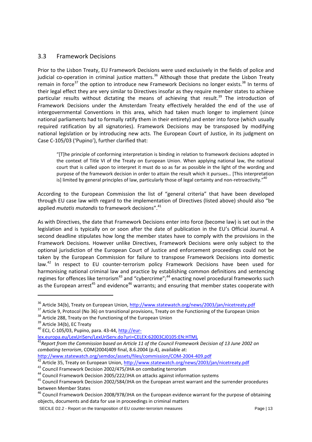#### <span id="page-12-0"></span>3.3 Framework Decisions

Prior to the Lisbon Treaty, EU Framework Decisions were used exclusively in the fields of police and judicial co-operation in criminal justice matters.<sup>36</sup> Although those that predate the Lisbon Treaty remain in force<sup>37</sup> the option to introduce new Framework Decisions no longer exists.<sup>38</sup> In terms of their legal effect they are very similar to Directives insofar as they require member states to achieve particular results without dictating the means of achieving that result.<sup>39</sup> The introduction of Framework Decisions under the Amsterdam Treaty effectively heralded the end of the use of intergovernmental Conventions in this area, which had taken much longer to implement (since national parliaments had to formally ratify them in their entirety) and enter into force (which usually required ratification by all signatories). Framework Decisions may be transposed by modifying national legislation or by introducing new acts. The European Court of Justice, in its judgment on Case C-105/03 ('Pupino'), further clarified that:

"[T]he principle of conforming interpretation is binding in relation to framework decisions adopted in the context of Title VI of the Treaty on European Union. When applying national law, the national court that is called upon to interpret it must do so as far as possible in the light of the wording and purpose of the framework decision in order to attain the result which it pursues… [This interpretation is] limited by general principles of law, particularly those of legal certainty and non-retroactivity."<sup>40</sup>

According to the European Commission the list of "general criteria" that have been developed through EU case law with regard to the implementation of Directives (listed above) should also "be applied *mutatis mutandis* to framework decisions".<sup>41</sup>

As with Directives, the date that Framework Decisions enter into force (become law) is set out in the legislation and is typically on or soon after the date of publication in the EU's Official Journal. A second deadline stipulates how long the member states have to comply with the provisions in the Framework Decisions. However unlike Directives, Framework Decisions were only subject to the optional jurisdiction of the European Court of Justice and enforcement proceedings could not be taken by the European Commission for failure to transpose Framework Decisions into domestic law.<sup>42</sup> In respect to EU counter-terrorism policy Framework Decisions have been used for harmonising national criminal law and practice by establishing common definitions and sentencing regimes for offences like terrorism<sup>43</sup> and "cybercrime";<sup>44</sup> enacting novel procedural frameworks such as the European arrest<sup>45</sup> and evidence<sup>46</sup> warrants; and ensuring that member states cooperate with

<sup>38</sup> Article 288, Treaty on the Functioning of the European Union

1

[lex.europa.eu/LexUriServ/LexUriServ.do?uri=CELEX:62003CJ0105:EN:HTML](http://eur-lex.europa.eu/LexUriServ/LexUriServ.do?uri=CELEX:62003CJ0105:EN:HTML) 

<http://www.statewatch.org/semdoc/assets/files/commission/COM-2004-409.pdf>

42 Article 35, Treaty on European Union,<http://www.statewatch.org/news/2003/jan/nicetreaty.pdf>

<sup>&</sup>lt;sup>36</sup> Article 34(b), Treaty on European Union[, http://www.statewatch.org/news/2003/jan/nicetreaty.pdf](http://www.statewatch.org/news/2003/jan/nicetreaty.pdf)

<sup>&</sup>lt;sup>37</sup> Article 9. Protocol (No 36) on transitional provisions, Treaty on the Functioning of the European Union

<sup>&</sup>lt;sup>39</sup> Article 34(b), EC Treaty

 $40$  ECJ, C-105/03, Pupino, para. 43-44, [http://eur-](http://eur-lex.europa.eu/LexUriServ/LexUriServ.do?uri=CELEX:62003CJ0105:EN:HTML)

<sup>&</sup>lt;sup>41</sup> Report from the Commission based on Article 11 of the Council Framework Decision of 13 June 2002 on *combating terrorism*, COM(2004)409 final, 8.6.2004 (p.4), available at:

<sup>&</sup>lt;sup>43</sup> Council Framework Decision 2002/475/JHA on combating terrorism

<sup>&</sup>lt;sup>44</sup> Council Framework Decision 2005/222/JHA on attacks against information systems

<sup>&</sup>lt;sup>45</sup> Council Framework Decision 2002/584/JHA on the European arrest warrant and the surrender procedures between Member States

<sup>&</sup>lt;sup>46</sup> Council Framework Decision 2008/978/JHA on the European evidence warrant for the purpose of obtaining objects, documents and data for use in proceedings in criminal matters

SECILE D2.2 - Report on the transposition of EU counter-terrorism measures Page | 13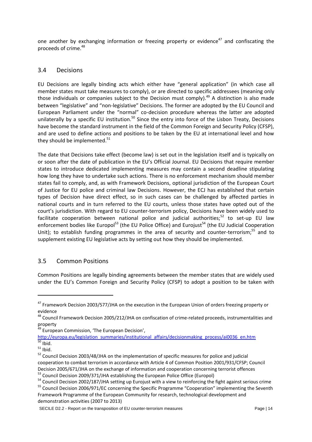one another by exchanging information or freezing property or evidence<sup>47</sup> and confiscating the proceeds of crime.<sup>48</sup>

#### <span id="page-13-0"></span>3.4 Decisions

EU Decisions are legally binding acts which either have "general application" (in which case all member states must take measures to comply), or are directed to specific addressees (meaning only those individuals or companies subject to the Decision must comply).<sup>49</sup> A distinction is also made between "legislative" and "non-legislative" Decisions. The former are adopted by the EU Council and European Parliament under the "normal" co-decision procedure whereas the latter are adopted unilaterally by a specific EU institution.<sup>50</sup> Since the entry into force of the Lisbon Treaty, Decisions have become the standard instrument in the field of the Common Foreign and Security Policy (CFSP), and are used to define actions and positions to be taken by the EU at international level and how they should be implemented.<sup>51</sup>

The date that Decisions take effect (become law) is set out in the legislation itself and is typically on or soon after the date of publication in the EU's Official Journal. EU Decisions that require member states to introduce dedicated implementing measures may contain a second deadline stipulating how long they have to undertake such actions. There is no enforcement mechanism should member states fail to comply, and, as with Framework Decisions, optional jurisdiction of the European Court of Justice for EU police and criminal law Decisions. However, the ECJ has established that certain types of Decision have direct effect, so in such cases can be challenged by affected parties in national courts and in turn referred to the EU courts, unless those states have opted out of the court's jurisdiction. With regard to EU counter-terrorism policy, Decisions have been widely used to facilitate cooperation between national police and judicial authorities;<sup>52</sup> to set-up EU law enforcement bodies like Europol<sup>53</sup> (the EU Police Office) and Eurojust<sup>54</sup> (the EU Judicial Cooperation Unit); to establish funding programmes in the area of security and counter-terrorism;<sup>55</sup> and to supplement existing EU legislative acts by setting out how they should be implemented.

#### <span id="page-13-1"></span>3.5 Common Positions

Common Positions are legally binding agreements between the member states that are widely used under the EU's Common Foreign and Security Policy (CFSP) to adopt a position to be taken with

<sup>49</sup> European Commission, 'The European Decision',

[http://europa.eu/legislation\\_summaries/institutional\\_affairs/decisionmaking\\_process/ai0036\\_en.htm](http://europa.eu/legislation_summaries/institutional_affairs/decisionmaking_process/ai0036_en.htm)  $\overline{50}$  Ibid.

1

<sup>&</sup>lt;sup>47</sup> Framework Decision 2003/577/JHA on the execution in the European Union of orders freezing property or evidence

<sup>&</sup>lt;sup>48</sup> Council Framework Decision 2005/212/JHA on confiscation of crime-related proceeds, instrumentalities and property

 $51$  Ibid.

<sup>&</sup>lt;sup>52</sup> Council Decision 2003/48/JHA on the implementation of specific measures for police and judicial cooperation to combat terrorism in accordance with Article 4 of Common Position 2001/931/CFSP; Council Decision 2005/671/JHA on the exchange of information and cooperation concerning terrorist offences <sup>53</sup> Council Decision 2009/371/JHA establishing the European Police Office (Europol)

<sup>&</sup>lt;sup>54</sup> Council Decision 2002/187/JHA setting up Eurojust with a view to reinforcing the fight against serious crime

<sup>&</sup>lt;sup>55</sup> Council Decision 2006/971/EC concerning the Specific Programme "Cooperation" implementing the Seventh Framework Programme of the European Community for research, technological development and demonstration activities (2007 to 2013)

SECILE D2.2 - Report on the transposition of EU counter-terrorism measures Page | 14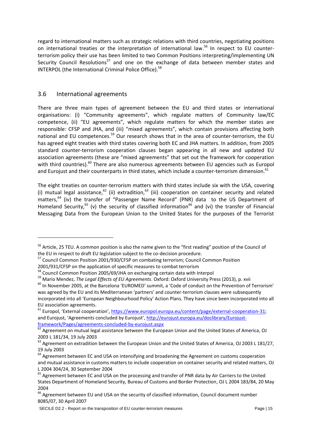regard to international matters such as strategic relations with third countries, negotiating positions on international treaties or the interpretation of international law.<sup>56</sup> In respect to EU counterterrorism policy their use has been limited to two Common Positions interpreting/implementing UN Security Council Resolutions<sup>57</sup> and one on the exchange of data between member states and INTERPOL (the International Criminal Police Office).<sup>58</sup>

#### <span id="page-14-0"></span>3.6 International agreements

-

There are three main types of agreement between the EU and third states or international organisations: (i) "Community agreements", which regulate matters of Community law/EC competence, (ii) "EU agreements", which regulate matters for which the member states are responsible: CFSP and JHA, and (iii) "mixed agreements", which contain provisions affecting both national and EU competences.<sup>59</sup> Our research shows that in the area of counter-terrorism, the EU has agreed eight treaties with third states covering both EC and JHA matters. In addition, from 2005 standard counter-terrorism cooperation clauses began appearing in all new and updated EU association agreements (these are "mixed agreements" that set out the framework for cooperation with third countries).<sup>60</sup> There are also numerous agreements between EU agencies such as Europol and Eurojust and their counterparts in third states, which include a counter-terrorism dimension.<sup>61</sup>

The eight treaties on counter-terrorism matters with third states include six with the USA, covering (i) mutual legal assistance,  $62$  (ii) extradition,  $63$  (iii) cooperation on container security and related matters,<sup>64</sup> (iv) the transfer of "Passenger Name Record" (PNR) data to the US Department of Homeland Security,<sup>65</sup> (v) the security of classified information<sup>66</sup> and (vi) the transfer of Financial Messaging Data from the European Union to the United States for the purposes of the Terrorist

2001/931/CFSP on the application of specific measures to combat terrorism

<sup>&</sup>lt;sup>56</sup> Article, 25 TEU. A common position is also the name given to the "first reading" position of the Council of the EU in respect to draft EU legislation subject to the co-decision procedure.

<sup>57</sup> Council Common Position 2001/930/CFSP on combating terrorism; Council Common Position

<sup>58</sup> Council Common Position 2005/69/JHA on exchanging certain data with Interpol

<sup>59</sup> Mario Mendez, *The Legal Effects of EU Agreements*. Oxford: Oxford University Press (2013), p. xvii

<sup>&</sup>lt;sup>60</sup> In November 2005, at the Barcelona 'EUROMED' summit, a 'Code of conduct on the Prevention of Terrorism' was agreed by the EU and its Mediterranean 'partners' and counter-terrorism clauses were subsequently incorporated into all 'European Neighbourhood Policy' Action Plans. They have since been incorporated into all EU association agreements.

 $61$  Europol, 'External cooperation', [https://www.europol.europa.eu/content/page/external-cooperation-31;](https://www.europol.europa.eu/content/page/external-cooperation-31) and Eurojust, 'Agreements concluded by Eurojust', [http://eurojust.europa.eu/doclibrary/Eurojust](http://eurojust.europa.eu/doclibrary/Eurojust-framework/Pages/agreements-concluded-by-eurojust.aspx)[framework/Pages/agreements-concluded-by-eurojust.aspx](http://eurojust.europa.eu/doclibrary/Eurojust-framework/Pages/agreements-concluded-by-eurojust.aspx)

 $\frac{62}{62}$  Agreement on mutual legal assistance between the European Union and the United States of America, OJ 2003 L 181/34, 19 July 2003

<sup>&</sup>lt;sup>63</sup> Agreement on extradition between the European Union and the United States of America, OJ 2003 L 181/27, 19 July 2003

<sup>&</sup>lt;sup>64</sup> Agreement between EC and USA on intensifying and broadening the Agreement on customs cooperation and mutual assistance in customs matters to include cooperation on container security and related matters, OJ L 2004 304/24, 30 September 2004

<sup>&</sup>lt;sup>65</sup> Agreement between EC and USA on the processing and transfer of PNR data by Air Carriers to the United States Department of Homeland Security, Bureau of Customs and Border Protection, OJ L 2004 183/84, 20 May 2004

<sup>&</sup>lt;sup>66</sup> Agreement between EU and USA on the security of classified information, Council document number 8085/07, 30 April 2007

SECILE D2.2 - Report on the transposition of EU counter-terrorism measures Page | 15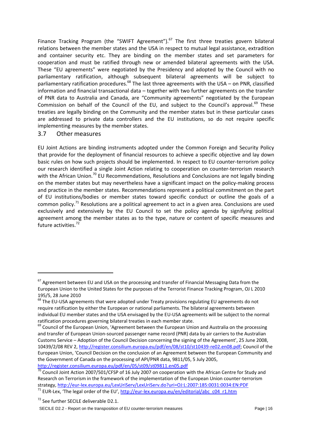Finance Tracking Program (the "SWIFT Agreement"). $^{67}$  The first three treaties govern bilateral relations between the member states and the USA in respect to mutual legal assistance, extradition and container security etc. They are binding on the member states and set parameters for cooperation and must be ratified through new or amended bilateral agreements with the USA. These "EU agreements" were negotiated by the Presidency and adopted by the Council with no parliamentary ratification, although subsequent bilateral agreements will be subject to parliamentary ratification procedures.<sup>68</sup> The last three agreements with the USA – on PNR, classified information and financial transactional data – together with two further agreements on the transfer of PNR data to Australia and Canada, are "Community agreements" negotiated by the European Commission on behalf of the Council of the EU, and subject to the Council's approval.<sup>69</sup> These treaties are legally binding on the Community and the member states but in these particular cases are addressed to private data controllers and the EU institutions, so do not require specific implementing measures by the member states.

#### <span id="page-15-0"></span>3.7 Other measures

-

EU Joint Actions are binding instruments adopted under the Common Foreign and Security Policy that provide for the deployment of financial resources to achieve a specific objective and lay down basic rules on how such projects should be implemented. In respect to EU counter-terrorism policy our research identified a single Joint Action relating to cooperation on counter-terrorism research with the African Union.<sup>70</sup> EU Recommendations, Resolutions and Conclusions are not legally binding on the member states but may nevertheless have a significant impact on the policy-making process and practice in the member states. Recommendations represent a political commitment on the part of EU institutions/bodies or member states toward specific conduct or outline the goals of a common policy.<sup>71</sup> Resolutions are a political agreement to act in a given area. Conclusions are used exclusively and extensively by the EU Council to set the policy agenda by signifying political agreement among the member states as to the type, nature or content of specific measures and future activities.<sup>72</sup>

<sup>&</sup>lt;sup>67</sup> Agreement between EU and USA on the processing and transfer of Financial Messaging Data from the European Union to the United States for the purposes of the Terrorist Finance Tracking Program, OJ L 2010 195/5, 28 June 2010

<sup>&</sup>lt;sup>68</sup> The EU-USA agreements that were adopted under Treaty provisions regulating EU agreements do not require ratification by either the European or national parliaments. The bilateral agreements between individual EU member states and the USA envisaged by the EU-USA agreements will be subject to the normal ratification procedures governing bilateral treaties in each member state.

<sup>&</sup>lt;sup>69</sup> Council of the European Union, 'Agreement between the European Union and Australia on the processing and transfer of European Union-sourced passenger name record (PNR) data by air carriers to the Australian Customs Service – Adoption of the Council Decision concerning the signing of the Agreement', 25 June 2008, 10439/2/08 REV 2[, http://register.consilium.europa.eu/pdf/en/08/st10/st10439-re02.en08.pdf;](http://register.consilium.europa.eu/pdf/en/08/st10/st10439-re02.en08.pdf) Council of the European Union, 'Council Decision on the conclusion of an Agreement between the European Community and the Government of Canada on the processing of API/PNR data, 9811/05, 5 July 2005, <http://register.consilium.europa.eu/pdf/en/05/st09/st09811.en05.pdf>

 $\frac{70}{10}$  Council Joint Action 2007/501/CFSP of 16 July 2007 on cooperation with the African Centre for Study and Research on Terrorism in the framework of the implementation of the European Union counter-terrorism strategy,<http://eur-lex.europa.eu/LexUriServ/LexUriServ.do?uri=OJ:L:2007:185:0031:0034:EN:PDF> <sup>71</sup> EUR-Lex, 'The legal order of the EU', [http://eur-lex.europa.eu/en/editorial/abc\\_c04\\_r1.htm](http://eur-lex.europa.eu/en/editorial/abc_c04_r1.htm)

<sup>72</sup> See further SECILE deliverable D2.1.

SECILE D2.2 - Report on the transposition of EU counter-terrorism measures **Page | 16** Page | 16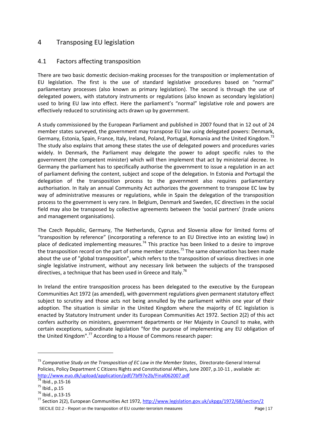# <span id="page-16-0"></span>4 Transposing EU legislation

#### <span id="page-16-1"></span>4.1 Factors affecting transposition

There are two basic domestic decision-making processes for the transposition or implementation of EU legislation. The first is the use of standard legislative procedures based on "normal" parliamentary processes (also known as primary legislation). The second is through the use of delegated powers, with statutory instruments or regulations (also known as secondary legislation) used to bring EU law into effect. Here the parliament's "normal" legislative role and powers are effectively reduced to scrutinising acts drawn up by government.

A study commissioned by the European Parliament and published in 2007 found that in 12 out of 24 member states surveyed, the government may transpose EU law using delegated powers: Denmark, Germany, Estonia, Spain, France, Italy, Ireland, Poland, Portugal, Romania and the United Kingdom.<sup>73</sup> The study also explains that among these states the use of delegated powers and procedures varies widely. In Denmark, the Parliament may delegate the power to adopt specific rules to the government (the competent minister) which will then implement that act by ministerial decree. In Germany the parliament has to specifically authorise the government to issue a regulation in an act of parliament defining the content, subject and scope of the delegation. In Estonia and Portugal the delegation of the transposition process to the government also requires parliamentary authorisation. In Italy an annual Community Act authorizes the government to transpose EC law by way of administrative measures or regulations, while in Spain the delegation of the transposition process to the government is very rare. In Belgium, Denmark and Sweden, EC directives in the social field may also be transposed by collective agreements between the 'social partners' (trade unions and management organisations).

The Czech Republic, Germany, The Netherlands, Cyprus and Slovenia allow for limited forms of "transposition by reference" (incorporating a reference to an EU Directive into an existing law) in place of dedicated implementing measures.<sup>74</sup> This practice has been linked to a desire to improve the transposition record on the part of some member states.<sup>75</sup> The same observation has been made about the use of "global transposition", which refers to the transposition of various directives in one single legislative instrument, without any necessary link between the subjects of the transposed directives, a technique that has been used in Greece and Italy.<sup>76</sup>

In Ireland the entire transposition process has been delegated to the executive by the European Communities Act 1972 (as amended), with government regulations given permanent statutory effect subject to scrutiny and those acts not being annulled by the parliament within one year of their adoption. The situation is similar in the United Kingdom where the majority of EC legislation is enacted by Statutory Instrument under its European Communities Act 1972. Section 2(2) of this act confers authority on ministers, government departments or Her Majesty in Council to make, with certain exceptions, subordinate legislation "for the purpose of implementing any EU obligation of the United Kingdom".<sup>77</sup> According to a House of Commons research paper:

**.** 

<sup>73</sup> *Comparative Study on the Transposition of EC Law in the Member States*, Directorate-General Internal Policies, Policy Department C Citizens Rights and Constitutional Affairs, June 2007, p.10-11 , available at: <http://www.euo.dk/upload/application/pdf/7bf97e2b/Final062007.pdf>

<sup>74</sup> Ibid., p.15-16

 $^{75}$  Ibid., p.15

 $^{76}$  Ibid., p.13-15

SECILE D2.2 - Report on the transposition of EU counter-terrorism measures **Page | 17** Page | 17 <sup>77</sup> Section 2(2), European Communities Act 1972,<http://www.legislation.gov.uk/ukpga/1972/68/section/2>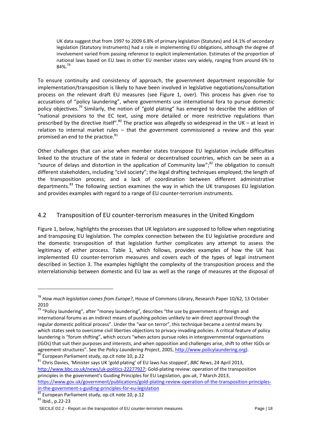UK data suggest that from 1997 to 2009 6.8% of primary legislation (Statutes) and 14.1% of secondary legislation (Statutory Instruments) had a role in implementing EU obligations, although the degree of involvement varied from passing reference to explicit implementation. Estimates of the proportion of national laws based on EU laws in other EU member states vary widely, ranging from around 6% to 84%.<sup>78</sup>

To ensure continuity and consistency of approach, the government department responsible for implementation/transposition is likely to have been involved in legislative negotiations/consultation process on the relevant draft EU measures (see Figure 1, over). This process has given rise to accusations of "policy laundering", where governments use international fora to pursue domestic policy objectives.<sup>79</sup> Similarly, the notion of "gold plating" has emerged to describe the addition of "national provisions to the EC text, using more detailed or more restrictive regulations than prescribed by the directive itself".<sup>80</sup> The practice was allegedly so widespread in the UK – at least in relation to internal market rules – that the government commissioned a review and this year promised an end to the practice.<sup>81</sup>

Other challenges that can arise when member states transpose EU legislation include difficulties linked to the structure of the state in federal or decentralised countries, which can be seen as a "source of delays and distortion in the application of Community law"; $^{82}$  the obligation to consult different stakeholders, including "civil society"; the legal drafting techniques employed; the length of the transposition process; and a lack of coordination between different administrative departments.<sup>83</sup> The following section examines the way in which the UK transposes EU legislation and provides examples with regard to a range of EU counter-terrorism instruments.

#### <span id="page-17-0"></span>4.2 Transposition of EU counter-terrorism measures in the United Kingdom

Figure 1, below, highlights the processes that UK legislators are supposed to follow when negotiating and transposing EU legislation. The complex connection between the EU legislative procedure and the domestic transposition of that legislation further complicates any attempt to assess the legitimacy of either process. Table 1, which follows, provides examples of how the UK has implemented EU counter-terrorism measures and covers each of the types of legal instrument described in Section 3. The examples highlight the complexity of the transposition process and the interrelationship between domestic and EU law as well as the range of measures at the disposal of

<sup>81</sup> Chris Davies, 'Minister says UK 'gold plating' of EU laws has stopped', *BBC News*, 24 April 2013, [http://www.bbc.co.uk/news/uk-politics-22277927;](http://www.bbc.co.uk/news/uk-politics-22277927) Gold-plating review: operation of the transposition principles in the government's Guiding Principles for EU Legislation, *gov.uk*, 7 March 2013,

[https://www.gov.uk/government/publications/gold-plating-review-operation-of-the-transposition-principles](https://www.gov.uk/government/publications/gold-plating-review-operation-of-the-transposition-principles-in-the-government-s-guiding-principles-for-eu-legislation)[in-the-government-s-guiding-principles-for-eu-legislation](https://www.gov.uk/government/publications/gold-plating-review-operation-of-the-transposition-principles-in-the-government-s-guiding-principles-for-eu-legislation)

**.** 

<sup>78</sup> *How much legislation comes from Europe?*, House of Commons Library, Research Paper 10/62, 13 October 2010

<sup>&</sup>lt;sup>79</sup> "Policy laundering", after "money laundering", describes "the use by governments of foreign and international forums as an indirect means of pushing policies unlikely to win direct approval through the regular domestic political process". Under the "war on terror", this technique became a central means by which states seek to overcome civil liberties objections to privacy-invading policies. A critical feature of policy laundering is "forum shifting", which occurs "when actors pursue roles in intergovernmental organisations (IGOs) that suit their purposes and interests, and when opposition and challenges arise, shift to other IGOs or agreement-structures". See the *Policy Laundering Project*, 2005, [http://www.policylaundering.org\)](http://www.policylaundering.org/). <sup>80</sup> European Parliament study, op.cit note 10, p.22

<sup>82</sup> European Parliament study, op.cit note 10, p.12

<sup>83</sup> Ibid., p.22-23

SECILE D2.2 - Report on the transposition of EU counter-terrorism measures Page | 18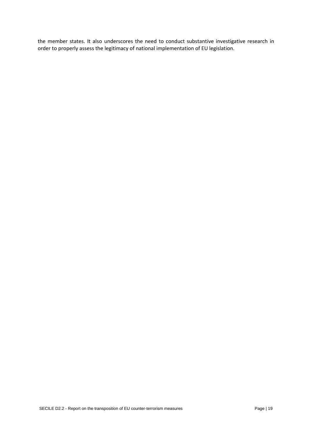the member states. It also underscores the need to conduct substantive investigative research in order to properly assess the legitimacy of national implementation of EU legislation.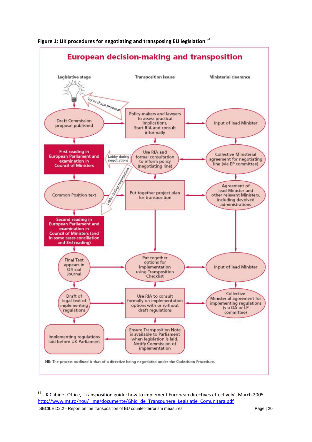

**Figure 1: UK procedures for negotiating and transposing EU legislation** <sup>84</sup>

SECILE D2.2 - Report on the transposition of EU counter-terrorism measures Page | 20

1

<sup>&</sup>lt;sup>84</sup> UK Cabinet Office, 'Transposition guide: how to implement European directives effectively', March 2005, [http://www.mt.ro/nou/\\_img/documente/Ghid\\_de\\_Transpunere\\_Legislatie\\_Comunitara.pdf](http://www.mt.ro/nou/_img/documente/Ghid_de_Transpunere_Legislatie_Comunitara.pdf)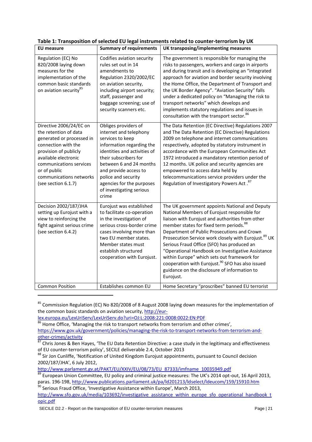| <b>EU</b> measure                                                                                                                                                                                                                                  | <b>Summary of requirements</b>                                                                                                                                                                                                                                                                        | UK transposing/implementing measures                                                                                                                                                                                                                                                                                                                                                                                                                                                                                                                                                                        |  |  |
|----------------------------------------------------------------------------------------------------------------------------------------------------------------------------------------------------------------------------------------------------|-------------------------------------------------------------------------------------------------------------------------------------------------------------------------------------------------------------------------------------------------------------------------------------------------------|-------------------------------------------------------------------------------------------------------------------------------------------------------------------------------------------------------------------------------------------------------------------------------------------------------------------------------------------------------------------------------------------------------------------------------------------------------------------------------------------------------------------------------------------------------------------------------------------------------------|--|--|
| Regulation (EC) No<br>820/2008 laying down<br>measures for the<br>implementation of the<br>common basic standards<br>on aviation security <sup>85</sup>                                                                                            | Codifies aviation security<br>rules set out in 14<br>amendments to<br>Regulation 2320/2002/EC<br>on aviation security,<br>including airport security;<br>staff, passenger and<br>baggage screening; use of<br>security scanners etc.                                                                  | The government is responsible for managing the<br>risks to passengers, workers and cargo in airports<br>and during transit and is developing an "integrated<br>approach for aviation and border security involving<br>the Home Office, the Department of Transport and<br>the UK Border Agency". "Aviation Security" falls<br>under a dedicated policy on "Managing the risk to<br>transport networks" which develops and<br>implements statutory regulations and issues in<br>consultation with the transport sector. <sup>86</sup>                                                                        |  |  |
| Directive 2006/24/EC on<br>the retention of data<br>generated or processed in<br>connection with the<br>provision of publicly<br>available electronic<br>communications services<br>or of public<br>communications networks<br>(see section 6.1.7) | Obliges providers of<br>internet and telephony<br>services to keep<br>information regarding the<br>identities and activities of<br>their subscribers for<br>between 6 and 24 months<br>and provide access to<br>police and security<br>agencies for the purposes<br>of investigating serious<br>crime | The Data Retention (EC Directive) Regulations 2007<br>and The Data Retention (EC Directive) Regulations<br>2009 on telephone and internet communications<br>respectively, adopted by statutory instrument in<br>accordance with the European Communities Act<br>1972 introduced a mandatory retention period of<br>12 months. UK police and security agencies are<br>empowered to access data held by<br>telecommunications service providers under the<br>Regulation of Investigatory Powers Act. <sup>87</sup>                                                                                            |  |  |
| Decision 2002/187/JHA<br>setting up Eurojust with a<br>view to reinforcing the<br>fight against serious crime<br>(see section 6.4.2)                                                                                                               | Eurojust was established<br>to facilitate co-operation<br>in the investigation of<br>serious cross-border crime<br>cases involving more than<br>two EU member states.<br>Member states must<br>establish structured<br>cooperation with Eurojust.                                                     | The UK government appoints National and Deputy<br>National Members of Eurojust responsible for<br>liaison with Eurojust and authorities from other<br>member states for fixed term periods. <sup>88</sup><br>Department of Public Prosecutions and Crown<br>Prosecution Service work closely with Eurojust. <sup>89</sup> UK<br>Serious Fraud Office (SFO) has produced an<br>"Operational Handbook on Investigative Assistance<br>within Europe" which sets out framework for<br>cooperation with Eurojust. <sup>90</sup> SFO has also issued<br>guidance on the disclosure of information to<br>Eurojust. |  |  |
| <b>Common Position</b>                                                                                                                                                                                                                             | Establishes common EU                                                                                                                                                                                                                                                                                 | Home Secretary "proscribes" banned EU terrorist                                                                                                                                                                                                                                                                                                                                                                                                                                                                                                                                                             |  |  |

|  |  | Table 1: Transposition of selected EU legal instruments related to counter-terrorism by UK |  |
|--|--|--------------------------------------------------------------------------------------------|--|
|  |  |                                                                                            |  |

<sup>85</sup> Commission Regulation (EC) No 820/2008 of 8 August 2008 laying down measures for the implementation of the common basic standards on aviation security[, http://eur-](http://eur-lex.europa.eu/LexUriServ/LexUriServ.do?uri=OJ:L:2008:221:0008:0022:EN:PDF)

1

 $90$  Serious Fraud Office, 'Investigative Assistance within Europe', March 2013,

[lex.europa.eu/LexUriServ/LexUriServ.do?uri=OJ:L:2008:221:0008:0022:EN:PDF](http://eur-lex.europa.eu/LexUriServ/LexUriServ.do?uri=OJ:L:2008:221:0008:0022:EN:PDF)

<sup>&</sup>lt;sup>86</sup> Home Office, 'Managing the risk to transport networks from terrorism and other crimes',

[https://www.gov.uk/government/policies/managing-the-risk-to-transport-networks-from-terrorism-and](https://www.gov.uk/government/policies/managing-the-risk-to-transport-networks-from-terrorism-and-other-crimes/activity)[other-crimes/activity](https://www.gov.uk/government/policies/managing-the-risk-to-transport-networks-from-terrorism-and-other-crimes/activity)

 $87$  Chris Jones & Ben Hayes, 'The EU Data Retention Directive: a case study in the legitimacy and effectiveness of EU counter-terrorism policy', SECILE deliverable 2.4, October 2013

<sup>88</sup> Sir Jon Cunliffe, 'Notification of United Kingdom Eurojust appointments, pursuant to Council decision 2002/187/JHA', 6 July 2012,

[http://www.parlament.gv.at/PAKT/EU/XXIV/EU/08/73/EU\\_87333/imfname\\_10035949.pdf](http://www.parlament.gv.at/PAKT/EU/XXIV/EU/08/73/EU_87333/imfname_10035949.pdf)

 $\overline{89}$  European Union Committee, EU policy and criminal justice measures: The UK's 2014 opt-out, 16 April 2013, paras. 196-198[, http://www.publications.parliament.uk/pa/ld201213/ldselect/ldeucom/159/15910.htm](http://www.publications.parliament.uk/pa/ld201213/ldselect/ldeucom/159/15910.htm)

[http://www.sfo.gov.uk/media/103692/investigative\\_assistance\\_within\\_europe\\_sfo\\_operational\\_handbook\\_t](http://www.sfo.gov.uk/media/103692/investigative_assistance_within_europe_sfo_operational_handbook_topic.pdf) [opic.pdf](http://www.sfo.gov.uk/media/103692/investigative_assistance_within_europe_sfo_operational_handbook_topic.pdf)

SECILE D2.2 - Report on the transposition of EU counter-terrorism measures Page | 21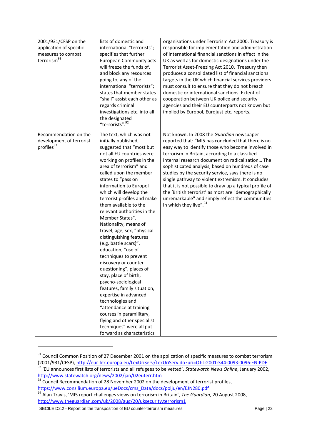| 2001/931/CFSP on the<br>application of specific<br>measures to combat<br>terrorism <sup>91</sup> | lists of domestic and<br>international "terrorists";<br>specifies that further<br><b>European Community acts</b><br>will freeze the funds of,<br>and block any resources<br>going to, any of the<br>international "terrorists";<br>states that member states<br>"shall" assist each other as<br>regards criminal<br>investigations etc. into all<br>the designated<br>"terrorists". <sup>92</sup>                                                                                                                                                                                                                                                                                                                                                                                                                                                                        | organisations under Terrorism Act 2000. Treasury is<br>responsible for implementation and administration<br>of international financial sanctions in effect in the<br>UK as well as for domestic designations under the<br>Terrorist Asset-Freezing Act 2010. Treasury then<br>produces a consolidated list of financial sanctions<br>targets in the UK which financial services providers<br>must consult to ensure that they do not breach<br>domestic or international sanctions. Extent of<br>cooperation between UK police and security<br>agencies and their EU counterparts not known but<br>implied by Europol, Eurojust etc. reports. |
|--------------------------------------------------------------------------------------------------|--------------------------------------------------------------------------------------------------------------------------------------------------------------------------------------------------------------------------------------------------------------------------------------------------------------------------------------------------------------------------------------------------------------------------------------------------------------------------------------------------------------------------------------------------------------------------------------------------------------------------------------------------------------------------------------------------------------------------------------------------------------------------------------------------------------------------------------------------------------------------|-----------------------------------------------------------------------------------------------------------------------------------------------------------------------------------------------------------------------------------------------------------------------------------------------------------------------------------------------------------------------------------------------------------------------------------------------------------------------------------------------------------------------------------------------------------------------------------------------------------------------------------------------|
| Recommendation on the<br>development of terrorist<br>profiles93                                  | The text, which was not<br>initially published,<br>suggested that "most but<br>not all EU countries were<br>working on profiles in the<br>area of terrorism" and<br>called upon the member<br>states to "pass on<br>information to Europol<br>which will develop the<br>terrorist profiles and make<br>them available to the<br>relevant authorities in the<br>Member States".<br>Nationality, means of<br>travel, age, sex, "physical<br>distinguishing features<br>(e.g. battle scars)",<br>education, "use of<br>techniques to prevent<br>discovery or counter<br>questioning", places of<br>stay, place of birth,<br>psycho-sociological<br>features, family situation,<br>expertise in advanced<br>technologies and<br>"attendance at training<br>courses in paramilitary,<br>flying and other specialist<br>techniques" were all put<br>forward as characteristics | Not known. In 2008 the Guardian newspaper<br>reported that: "MI5 has concluded that there is no<br>easy way to identify those who become involved in<br>terrorism in Britain, according to a classified<br>internal research document on radicalization The<br>sophisticated analysis, based on hundreds of case<br>studies by the security service, says there is no<br>single pathway to violent extremism. It concludes<br>that it is not possible to draw up a typical profile of<br>the 'British terrorist' as most are "demographically<br>unremarkable" and simply reflect the communities<br>in which they live". <sup>94</sup>       |

<sup>&</sup>lt;sup>91</sup> Council Common Position of 27 December 2001 on the application of specific measures to combat terrorism (2001/931/CFSP)[, http://eur-lex.europa.eu/LexUriServ/LexUriServ.do?uri=OJ:L:2001:344:0093:0096:EN:PDF](http://eur-lex.europa.eu/LexUriServ/LexUriServ.do?uri=OJ:L:2001:344:0093:0096:EN:PDF) <sup>92</sup> 'EU announces first lists of terrorists and all refugees to be vetted', *Statewatch News Online*, January 2002, <http://www.statewatch.org/news/2002/jan/02euterr.htm>

**.** 

<sup>&</sup>lt;sup>93</sup> Council Recommendation of 28 November 2002 on the development of terrorist profiles, [https://www.consilium.europa.eu/ueDocs/cms\\_Data/docs/polju/en/EJN280.pdf](https://www.consilium.europa.eu/ueDocs/cms_Data/docs/polju/en/EJN280.pdf)

<sup>94</sup> Alan Travis, 'MI5 report challenges views on terrorism in Britain', *The Guardian*, 20 August 2008, <http://www.theguardian.com/uk/2008/aug/20/uksecurity.terrorism1>

SECILE D2.2 - Report on the transposition of EU counter-terrorism measures Page | 22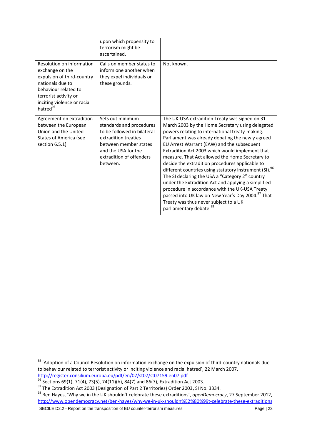|                                                                                                                                                                                                        | upon which propensity to<br>terrorism might be<br>ascertained.                                                                                                                              |                                                                                                                                                                                                                                                                                                                                                                                                                                                                                                                                                                                                                                                                                                                                                                                                     |
|--------------------------------------------------------------------------------------------------------------------------------------------------------------------------------------------------------|---------------------------------------------------------------------------------------------------------------------------------------------------------------------------------------------|-----------------------------------------------------------------------------------------------------------------------------------------------------------------------------------------------------------------------------------------------------------------------------------------------------------------------------------------------------------------------------------------------------------------------------------------------------------------------------------------------------------------------------------------------------------------------------------------------------------------------------------------------------------------------------------------------------------------------------------------------------------------------------------------------------|
| Resolution on information<br>exchange on the<br>expulsion of third-country<br>nationals due to<br>behaviour related to<br>terrorist activity or<br>inciting violence or racial<br>hatred <sup>95</sup> | Calls on member states to<br>inform one another when<br>they expel individuals on<br>these grounds.                                                                                         | Not known.                                                                                                                                                                                                                                                                                                                                                                                                                                                                                                                                                                                                                                                                                                                                                                                          |
| Agreement on extradition<br>between the European<br>Union and the United<br><b>States of America (see</b><br>section 6.5.1)                                                                            | Sets out minimum<br>standards and procedures<br>to be followed in bilateral<br>extradition treaties<br>between member states<br>and the USA for the<br>extradition of offenders<br>between. | The UK-USA extradition Treaty was signed on 31<br>March 2003 by the Home Secretary using delegated<br>powers relating to international treaty-making.<br>Parliament was already debating the newly agreed<br>EU Arrest Warrant (EAW) and the subsequent<br>Extradition Act 2003 which would implement that<br>measure. That Act allowed the Home Secretary to<br>decide the extradition procedures applicable to<br>different countries using statutory instrument (SI). <sup>96</sup><br>The SI declaring the USA a "Category 2" country<br>under the Extradition Act and applying a simplified<br>procedure in accordance with the UK-USA Treaty<br>passed into UK law on New Year's Day 2004. <sup>97</sup> That<br>Treaty was thus never subject to a UK<br>parliamentary debate. <sup>98</sup> |

SECILE D2.2 - Report on the transposition of EU counter-terrorism measures Page | 23

**.** 

<sup>95</sup> 'Adoption of a Council Resolution on information exchange on the expulsion of third-country nationals due to behaviour related to terrorist activity or inciting violence and racial hatred', 22 March 2007, <http://register.consilium.europa.eu/pdf/en/07/st07/st07159.en07.pdf>

 $^{96}$  Sections 69(1), 71(4), 73(5), 74(11)(b), 84(7) and 86(7), Extradition Act 2003.

 $^{97}$  The Extradition Act 2003 (Designation of Part 2 Territories) Order 2003, SI No. 3334.

<sup>98</sup> Ben Hayes, 'Why we in the UK shouldn't celebrate these extraditions', *openDemocracy*, 27 September 2012, <http://www.opendemocracy.net/ben-hayes/why-we-in-uk-shouldn%E2%80%99t-celebrate-these-extraditions>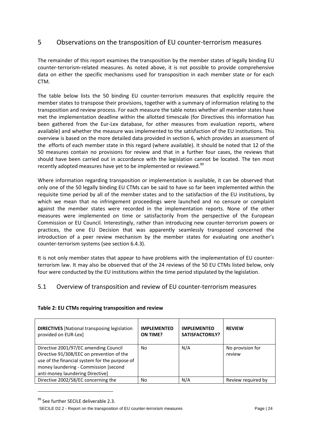# <span id="page-23-0"></span>5 Observations on the transposition of EU counter-terrorism measures

The remainder of this report examines the transposition by the member states of legally binding EU counter-terrorism-related measures. As noted above, it is not possible to provide comprehensive data on either the specific mechanisms used for transposition in each member state or for each CTM.

The table below lists the 50 binding EU counter-terrorism measures that explicitly require the member states to transpose their provisions, together with a summary of information relating to the transposition and review process. For each measure the table notes whether all member states have met the implementation deadline within the allotted timescale (for Directives this information has been gathered from the Eur-Lex database, for other measures from evaluation reports, where available) and whether the measure was implemented to the satisfaction of the EU institutions. This overview is based on the more detailed data provided in section 6, which provides an assessment of the efforts of each member state in this regard (where available). It should be noted that 12 of the 50 measures contain no provisions for review and that in a further four cases, the reviews that should have been carried out in accordance with the legislation cannot be located. The ten most recently adopted measures have yet to be implemented or reviewed.<sup>99</sup>

Where information regarding transposition or implementation is available, it can be observed that only one of the 50 legally binding EU CTMs can be said to have so far been implemented within the requisite time period by all of the member states and to the satisfaction of the EU institutions, by which we mean that no infringement proceedings were launched and no censure or complaint against the member states were recorded in the implementation reports. None of the other measures were implemented on time or satisfactorily from the perspective of the European Commission or EU Council. Interestingly, rather than introducing new counter-terrorism powers or practices, the one EU Decision that was apparently seamlessly transposed concerned the introduction of a peer review mechanism by the member states for evaluating one another's counter-terrorism systems (see section 6.4.3).

It is not only member states that appear to have problems with the implementation of EU counterterrorism law. It may also be observed that of the 24 reviews of the 50 EU CTMs listed below, only four were conducted by the EU institutions within the time period stipulated by the legislation.

#### <span id="page-23-1"></span>5.1 Overview of transposition and review of EU counter-terrorism measures

| Table 2: EU CTMs requiring transposition and review |
|-----------------------------------------------------|
|-----------------------------------------------------|

| <b>DIRECTIVES</b> [National transposing legislation]<br>provided on EUR-Lex]                                                                                                                                      | <b>IMPLEMENTED</b><br><b>ON TIME?</b> | <b>IMPLEMENTED</b><br><b>SATISFACTORILY?</b> | <b>REVIEW</b>              |
|-------------------------------------------------------------------------------------------------------------------------------------------------------------------------------------------------------------------|---------------------------------------|----------------------------------------------|----------------------------|
| Directive 2001/97/EC amending Council<br>Directive 91/308/EEC on prevention of the<br>use of the financial system for the purpose of<br>money laundering - Commission [second<br>anti-money laundering Directive] | No.                                   | N/A                                          | No provision for<br>review |
| Directive 2002/58/EC concerning the                                                                                                                                                                               | No.                                   | N/A                                          | Review required by         |

<sup>99</sup> See further SECILE deliverable 2.3.

1

SECILE D2.2 - Report on the transposition of EU counter-terrorism measures Page | 24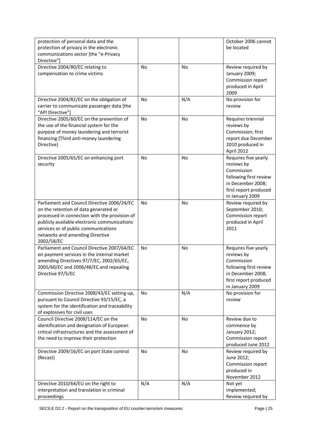| protection of personal data and the                                                       |           |           | October 2006 cannot                |
|-------------------------------------------------------------------------------------------|-----------|-----------|------------------------------------|
| protection of privacy in the electronic                                                   |           |           | be located                         |
| communications sector [the "e-Privacy                                                     |           |           |                                    |
| Directive"]                                                                               |           |           |                                    |
| Directive 2004/80/EC relating to                                                          | No        | No        | Review required by                 |
| compensation to crime victims                                                             |           |           | January 2009;                      |
|                                                                                           |           |           | Commission report                  |
|                                                                                           |           |           | produced in April                  |
|                                                                                           |           |           | 2009                               |
| Directive 2004/82/EC on the obligation of                                                 | <b>No</b> | N/A       | No provision for                   |
| carrier to communicate passenger data [the<br>"API Directive"]                            |           |           | review                             |
| Directive 2005/60/EC on the prevention of                                                 | No        | <b>No</b> |                                    |
| the use of the financial system for the                                                   |           |           | Requires triennial<br>reviews by   |
| purpose of money laundering and terrorist                                                 |           |           | Commission; first                  |
| financing [Third anti-money laundering                                                    |           |           | report due December                |
| Directive]                                                                                |           |           | 2010 produced in                   |
|                                                                                           |           |           | April 2012                         |
| Directive 2005/65/EC on enhancing port                                                    | No        | No        | Requires five yearly               |
| security                                                                                  |           |           | reviews by                         |
|                                                                                           |           |           | Commission                         |
|                                                                                           |           |           | following first review             |
|                                                                                           |           |           | in December 2008;                  |
|                                                                                           |           |           | first report produced              |
|                                                                                           |           |           | in January 2009                    |
| Parliament and Council Directive 2006/24/EC                                               | No        | No        | Review required by                 |
| on the retention of data generated or                                                     |           |           | September 2010;                    |
| processed in connection with the provision of                                             |           |           | Commission report                  |
| publicly available electronic communications                                              |           |           | produced in April                  |
| services or of public communications                                                      |           |           | 2011                               |
| networks and amending Directive                                                           |           |           |                                    |
| 2002/58/EC                                                                                | <b>No</b> |           |                                    |
| Parliament and Council Directive 2007/64/EC<br>on payment services in the internal market |           | No        | Requires five yearly<br>reviews by |
| amending Directives 97/7/EC, 2002/65/EC,                                                  |           |           | Commission                         |
| 2005/60/EC and 2006/48/EC and repealing                                                   |           |           | following first review             |
| Directive 97/5/EC                                                                         |           |           | in December 2008;                  |
|                                                                                           |           |           | first report produced              |
|                                                                                           |           |           | in January 2009                    |
| Commission Directive 2008/43/EC setting up,                                               | No        | N/A       | No provision for                   |
| pursuant to Council Directive 93/15/EC, a                                                 |           |           | review                             |
| system for the identification and traceability                                            |           |           |                                    |
| of explosives for civil uses                                                              |           |           |                                    |
| Council Directive 2008/114/EC on the                                                      | <b>No</b> | No        | Review due to                      |
| identification and designation of European                                                |           |           | commence by                        |
| critical infrastructures and the assessment of                                            |           |           | January 2012;                      |
| the need to improve their protection                                                      |           |           | Commission report                  |
|                                                                                           |           |           | produced June 2012                 |
| Directive 2009/16/EC on port State control                                                | <b>No</b> | No        | Review required by                 |
| (Recast)                                                                                  |           |           | June 2012;                         |
|                                                                                           |           |           | Commission report                  |
|                                                                                           |           |           | produced in                        |
|                                                                                           |           |           | November 2012                      |
| Directive 2010/64/EU on the right to<br>interpretation and translation in criminal        | N/A       | N/A       | Not yet<br>implemented;            |
| proceedings                                                                               |           |           | Review required by                 |
|                                                                                           |           |           |                                    |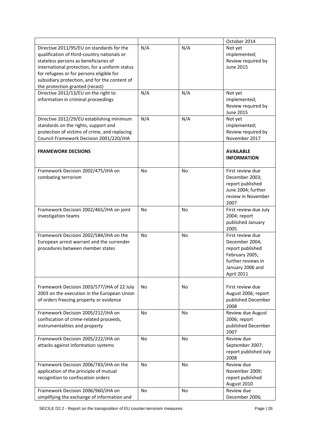|                                                                                                                                                                                                                                                                                                                     |           |           | October 2014                                                                                                                     |
|---------------------------------------------------------------------------------------------------------------------------------------------------------------------------------------------------------------------------------------------------------------------------------------------------------------------|-----------|-----------|----------------------------------------------------------------------------------------------------------------------------------|
| Directive 2011/95/EU on standards for the<br>qualification of third-country nationals or<br>stateless persons as beneficiaries of<br>international protection, for a uniform status<br>for refugees or for persons eligible for<br>subsidiary protection, and for the content of<br>the protection granted (recast) | N/A       | N/A       | Not yet<br>implemented;<br>Review required by<br><b>June 2015</b>                                                                |
| Directive 2012/13/EU on the right to<br>information in criminal proceedings                                                                                                                                                                                                                                         | N/A       | N/A       | Not yet<br>implemented;<br>Review required by<br><b>June 2015</b>                                                                |
| Directive 2012/29/EU establishing minimum<br>standards on the rights, support and<br>protection of victims of crime, and replacing<br>Council Framework Decision 2001/220/JHA                                                                                                                                       | N/A       | N/A       | Not yet<br>implemented;<br>Review required by<br>November 2017                                                                   |
| <b>FRAMEWORK DECSIONS</b>                                                                                                                                                                                                                                                                                           |           |           | <b>AVAILABLE</b><br><b>INFORMATION</b>                                                                                           |
| Framework Decision 2002/475/JHA on<br>combating terrorism                                                                                                                                                                                                                                                           | <b>No</b> | <b>No</b> | First review due<br>December 2003;<br>report published<br>June 2004; further<br>review in November<br>2007                       |
| Framework Decision 2002/465/JHA on joint<br>investigation teams                                                                                                                                                                                                                                                     | No        | No        | First review due July<br>2004; report<br>published January<br>2005                                                               |
| Framework Decision 2002/584/JHA on the<br>European arrest warrant and the surrender<br>procedures between member states                                                                                                                                                                                             | <b>No</b> | No        | First review due<br>December 2004;<br>report published<br>February 2005;<br>further reviews in<br>January 2006 and<br>April 2011 |
| Framework Decision 2003/577/JHA of 22 July<br>2003 on the execution in the European Union<br>of orders freezing property or evidence                                                                                                                                                                                | No.       | No        | First review due<br>August 2006; report<br>published December<br>2008                                                            |
| Framework Decision 2005/212/JHA on<br>confiscation of crime-related proceeds,<br>instrumentalities and property                                                                                                                                                                                                     | No        | <b>No</b> | Review due August<br>2006; report<br>published December<br>2007                                                                  |
| Framework Decision 2005/222/JHA on<br>attacks against information systems                                                                                                                                                                                                                                           | No        | No        | Review due<br>September 2007;<br>report published July<br>2008                                                                   |
| Framework Decision 2006/783/JHA on the<br>application of the principle of mutual<br>recognition to confiscation orders                                                                                                                                                                                              | <b>No</b> | <b>No</b> | Review due<br>November 2009;<br>report published<br>August 2010                                                                  |
| Framework Decision 2006/960/JHA on<br>simplifying the exchange of information and                                                                                                                                                                                                                                   | <b>No</b> | No        | Review due<br>December 2006;                                                                                                     |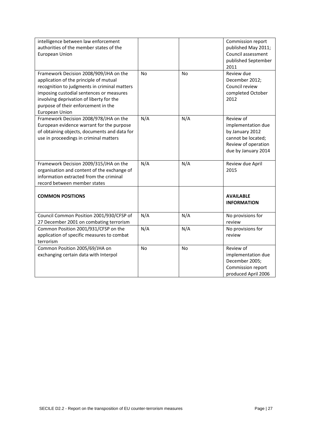| intelligence between law enforcement<br>authorities of the member states of the<br><b>European Union</b>                                                                                                                                                                                 |           |     | Commission report<br>published May 2011;<br>Council assessment<br>published September<br>2011                          |
|------------------------------------------------------------------------------------------------------------------------------------------------------------------------------------------------------------------------------------------------------------------------------------------|-----------|-----|------------------------------------------------------------------------------------------------------------------------|
| Framework Decision 2008/909/JHA on the<br>application of the principle of mutual<br>recognition to judgments in criminal matters<br>imposing custodial sentences or measures<br>involving deprivation of liberty for the<br>purpose of their enforcement in the<br><b>European Union</b> | No        | No  | Review due<br>December 2012;<br>Council review<br>completed October<br>2012                                            |
| Framework Decision 2008/978/JHA on the<br>European evidence warrant for the purpose<br>of obtaining objects, documents and data for<br>use in proceedings in criminal matters                                                                                                            | N/A       | N/A | Review of<br>implementation due<br>by January 2012<br>cannot be located;<br>Review of operation<br>due by January 2014 |
| Framework Decision 2009/315/JHA on the<br>organisation and content of the exchange of<br>information extracted from the criminal<br>record between member states                                                                                                                         | N/A       | N/A | Review due April<br>2015                                                                                               |
| <b>COMMON POSITIONS</b>                                                                                                                                                                                                                                                                  |           |     | <b>AVAILABLE</b><br><b>INFORMATION</b>                                                                                 |
| Council Common Position 2001/930/CFSP of<br>27 December 2001 on combating terrorism                                                                                                                                                                                                      | N/A       | N/A | No provisions for<br>review                                                                                            |
| Common Position 2001/931/CFSP on the<br>application of specific measures to combat<br>terrorism                                                                                                                                                                                          | N/A       | N/A | No provisions for<br>review                                                                                            |
| Common Position 2005/69/JHA on<br>exchanging certain data with Interpol                                                                                                                                                                                                                  | <b>No</b> | No  | Review of<br>implementation due<br>December 2005;<br>Commission report<br>produced April 2006                          |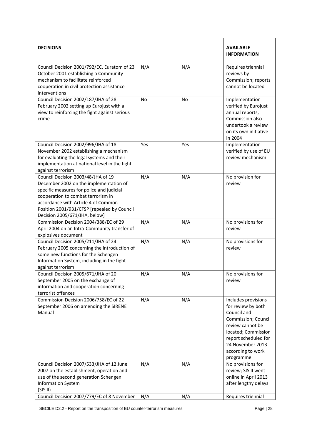| <b>DECISIONS</b>                                                                                                                                                                                                                                                                       |           |     | <b>AVAILABLE</b><br><b>INFORMATION</b>                                                                                                                                                                   |
|----------------------------------------------------------------------------------------------------------------------------------------------------------------------------------------------------------------------------------------------------------------------------------------|-----------|-----|----------------------------------------------------------------------------------------------------------------------------------------------------------------------------------------------------------|
| Council Decision 2001/792/EC, Euratom of 23<br>October 2001 establishing a Community<br>mechanism to facilitate reinforced<br>cooperation in civil protection assistance<br>interventions                                                                                              | N/A       | N/A | Requires triennial<br>reviews by<br>Commission; reports<br>cannot be located                                                                                                                             |
| Council Decision 2002/187/JHA of 28<br>February 2002 setting up Eurojust with a<br>view to reinforcing the fight against serious<br>crime                                                                                                                                              | <b>No</b> | No  | Implementation<br>verified by Eurojust<br>annual reports;<br>Commission also<br>undertook a review<br>on its own initiative<br>in 2004                                                                   |
| Council Decision 2002/996/JHA of 18<br>November 2002 establishing a mechanism<br>for evaluating the legal systems and their<br>implementation at national level in the fight<br>against terrorism                                                                                      | Yes       | Yes | Implementation<br>verified by use of EU<br>review mechanism                                                                                                                                              |
| Council Decision 2003/48/JHA of 19<br>December 2002 on the implementation of<br>specific measures for police and judicial<br>cooperation to combat terrorism in<br>accordance with Article 4 of Common<br>Position 2001/931/CFSP [repealed by Council<br>Decision 2005/671/JHA, below] | N/A       | N/A | No provision for<br>review                                                                                                                                                                               |
| Commission Decision 2004/388/EC of 29<br>April 2004 on an Intra-Community transfer of<br>explosives document                                                                                                                                                                           | N/A       | N/A | No provisions for<br>review                                                                                                                                                                              |
| Council Decision 2005/211/JHA of 24<br>February 2005 concerning the introduction of<br>some new functions for the Schengen<br>Information System, including in the fight<br>against terrorism                                                                                          | N/A       | N/A | No provisions for<br>review                                                                                                                                                                              |
| Council Decision 2005/671/JHA of 20<br>September 2005 on the exchange of<br>information and cooperation concerning<br>terrorist offences                                                                                                                                               | N/A       | N/A | No provisions for<br>review                                                                                                                                                                              |
| Commission Decision 2006/758/EC of 22<br>September 2006 on amending the SIRENE<br>Manual                                                                                                                                                                                               | N/A       | N/A | Includes provisions<br>for review by both<br>Council and<br>Commission; Council<br>review cannot be<br>located; Commission<br>report scheduled for<br>24 November 2013<br>according to work<br>programme |
| Council Decision 2007/533/JHA of 12 June<br>2007 on the establishment, operation and<br>use of the second generation Schengen<br>Information System<br>(SIS II)                                                                                                                        | N/A       | N/A | No provisions for<br>review; SIS II went<br>online in April 2013<br>after lengthy delays                                                                                                                 |
| Council Decision 2007/779/EC of 8 November                                                                                                                                                                                                                                             | N/A       | N/A | Requires triennial                                                                                                                                                                                       |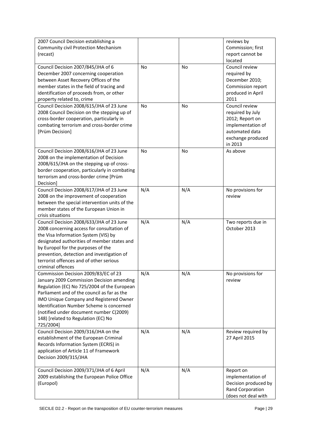| 2007 Council Decision establishing a             |           |     | reviews by           |
|--------------------------------------------------|-----------|-----|----------------------|
| Community civil Protection Mechanism             |           |     | Commission; first    |
| (recast)                                         |           |     | report cannot be     |
|                                                  |           |     | located              |
| Council Decision 2007/845/JHA of 6               | No        | No  | Council review       |
| December 2007 concerning cooperation             |           |     | required by          |
| between Asset Recovery Offices of the            |           |     | December 2010;       |
|                                                  |           |     |                      |
| member states in the field of tracing and        |           |     | Commission report    |
| identification of proceeds from, or other        |           |     | produced in April    |
| property related to, crime                       |           |     | 2011                 |
| Council Decision 2008/615/JHA of 23 June         | <b>No</b> | No  | Council review       |
| 2008 Council Decision on the stepping up of      |           |     | required by July     |
| cross-border cooperation, particularly in        |           |     | 2012; Report on      |
| combating terrorism and cross-border crime       |           |     | implementation of    |
| [Prüm Decision]                                  |           |     | automated data       |
|                                                  |           |     | exchange produced    |
|                                                  |           |     | in 2013              |
| Council Decision 2008/616/JHA of 23 June         | No        | No  | As above             |
| 2008 on the implementation of Decision           |           |     |                      |
| 2008/615/JHA on the stepping up of cross-        |           |     |                      |
| border cooperation, particularly in combating    |           |     |                      |
| terrorism and cross-border crime [Prüm           |           |     |                      |
| Decision]                                        |           |     |                      |
|                                                  | N/A       |     |                      |
| Council Decision 2008/617/JHA of 23 June         |           | N/A | No provisions for    |
| 2008 on the improvement of cooperation           |           |     | review               |
| between the special intervention units of the    |           |     |                      |
| member states of the European Union in           |           |     |                      |
| crisis situations                                |           |     |                      |
| Council Decision 2008/633/JHA of 23 June         | N/A       | N/A | Two reports due in   |
| 2008 concerning access for consultation of       |           |     | October 2013         |
| the Visa Information System (VIS) by             |           |     |                      |
| designated authorities of member states and      |           |     |                      |
| by Europol for the purposes of the               |           |     |                      |
| prevention, detection and investigation of       |           |     |                      |
| terrorist offences and of other serious          |           |     |                      |
| criminal offences                                |           |     |                      |
| Commission Decision 2009/83/EC of 23             | N/A       | N/A | No provisions for    |
| January 2009 Commission Decision amending        |           |     | review               |
| Regulation (EC) No 725/2004 of the European      |           |     |                      |
|                                                  |           |     |                      |
| Parliament and of the council as far as the      |           |     |                      |
| IMO Unique Company and Registered Owner          |           |     |                      |
| <b>Identification Number Scheme is concerned</b> |           |     |                      |
| (notified under document number C(2009)          |           |     |                      |
| 148) [related to Regulation (EC) No              |           |     |                      |
| 725/2004]                                        |           |     |                      |
| Council Decision 2009/316/JHA on the             | N/A       | N/A | Review required by   |
| establishment of the European Criminal           |           |     | 27 April 2015        |
| Records Information System (ECRIS) in            |           |     |                      |
| application of Article 11 of Framework           |           |     |                      |
| Decision 2009/315/JHA                            |           |     |                      |
|                                                  |           |     |                      |
| Council Decision 2009/371/JHA of 6 April         | N/A       | N/A | Report on            |
| 2009 establishing the European Police Office     |           |     | implementation of    |
| (Europol)                                        |           |     | Decision produced by |
|                                                  |           |     |                      |
|                                                  |           |     | Rand Corporation     |
|                                                  |           |     | (does not deal with  |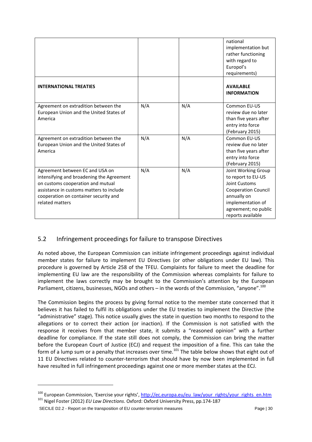|                                                                                                                                                                                                                           |     |     | national<br>implementation but<br>rather functioning<br>with regard to<br>Europol's<br>requirements)                                                                             |
|---------------------------------------------------------------------------------------------------------------------------------------------------------------------------------------------------------------------------|-----|-----|----------------------------------------------------------------------------------------------------------------------------------------------------------------------------------|
| <b>INTERNATIONAL TREATIES</b>                                                                                                                                                                                             |     |     | <b>AVAILABLE</b><br><b>INFORMATION</b>                                                                                                                                           |
| Agreement on extradition between the<br>European Union and the United States of<br>America                                                                                                                                | N/A | N/A | Common EU-US<br>review due no later<br>than five years after<br>entry into force<br>(February 2015)                                                                              |
| Agreement on extradition between the<br>European Union and the United States of<br>America                                                                                                                                | N/A | N/A | Common EU-US<br>review due no later<br>than five years after<br>entry into force<br>(February 2015)                                                                              |
| Agreement between EC and USA on<br>intensifying and broadening the Agreement<br>on customs cooperation and mutual<br>assistance in customs matters to include<br>cooperation on container security and<br>related matters | N/A | N/A | Joint Working Group<br>to report to EU-US<br><b>Joint Customs</b><br><b>Cooperation Council</b><br>annually on<br>implementation of<br>agreement; no public<br>reports available |

#### <span id="page-29-0"></span>5.2 Infringement proceedings for failure to transpose Directives

As noted above, the European Commission can initiate infringement proceedings against individual member states for failure to implement EU Directives (or other obligations under EU law). This procedure is governed by Article 258 of the TFEU. Complaints for failure to meet the deadline for implementing EU law are the responsibility of the Commission whereas complaints for failure to implement the laws correctly may be brought to the Commission's attention by the European Parliament, citizens, businesses, NGOs and others – in the words of the Commission, "anyone".<sup>100</sup>

The Commission begins the process by giving formal notice to the member state concerned that it believes it has failed to fulfil its obligations under the EU treaties to implement the Directive (the "administrative" stage). This notice usually gives the state in question two months to respond to the allegations or to correct their action (or inaction). If the Commission is not satisfied with the response it receives from that member state, it submits a "reasoned opinion" with a further deadline for compliance. If the state still does not comply, the Commission can bring the matter before the European Court of Justice (ECJ) and request the imposition of a fine. This can take the form of a lump sum or a penalty that increases over time.<sup>101</sup> The table below shows that eight out of 11 EU Directives related to counter-terrorism that should have by now been implemented in full have resulted in full infringement proceedings against one or more member states at the ECJ.

SECILE D2.2 - Report on the transposition of EU counter-terrorism measures Page | 30

1

<sup>&</sup>lt;sup>100</sup> European Commission, 'Exercise your rights', [http://ec.europa.eu/eu\\_law/your\\_rights/your\\_rights\\_en.htm](http://ec.europa.eu/eu_law/your_rights/your_rights_en.htm) <sup>101</sup> Nigel Foster (2012) *EU Law Directions*. Oxford: Oxford University Press, pp.174-187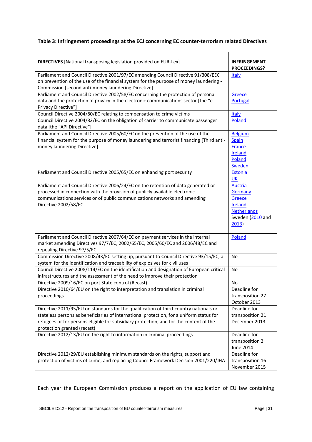#### **Table 3: Infringement proceedings at the ECJ concerning EC counter-terrorism related Directives**

| <b>DIRECTIVES</b> [National transposing legislation provided on EUR-Lex]                                                                                                                                                                                                                                   | <b>INFRINGEMENT</b><br><b>PROCEEDINGS?</b>                                                        |
|------------------------------------------------------------------------------------------------------------------------------------------------------------------------------------------------------------------------------------------------------------------------------------------------------------|---------------------------------------------------------------------------------------------------|
| Parliament and Council Directive 2001/97/EC amending Council Directive 91/308/EEC<br>on prevention of the use of the financial system for the purpose of money laundering -<br>Commission [second anti-money laundering Directive]                                                                         | Italy                                                                                             |
| Parliament and Council Directive 2002/58/EC concerning the protection of personal<br>data and the protection of privacy in the electronic communications sector [the "e-<br>Privacy Directive"]                                                                                                            | Greece<br>Portugal                                                                                |
| Council Directive 2004/80/EC relating to compensation to crime victims                                                                                                                                                                                                                                     | <b>Italy</b>                                                                                      |
| Council Directive 2004/82/EC on the obligation of carrier to communicate passenger<br>data [the "API Directive"]                                                                                                                                                                                           | Poland                                                                                            |
| Parliament and Council Directive 2005/60/EC on the prevention of the use of the<br>financial system for the purpose of money laundering and terrorist financing [Third anti-<br>money laundering Directive]                                                                                                | <b>Belgium</b><br>Spain<br><b>France</b><br>Ireland<br>Poland<br><b>Sweden</b>                    |
| Parliament and Council Directive 2005/65/EC on enhancing port security                                                                                                                                                                                                                                     | Estonia<br><b>UK</b>                                                                              |
| Parliament and Council Directive 2006/24/EC on the retention of data generated or<br>processed in connection with the provision of publicly available electronic<br>communications services or of public communications networks and amending<br>Directive 2002/58/EC                                      | <b>Austria</b><br>Germany<br>Greece<br>Ireland<br><b>Netherlands</b><br>Sweden (2010 and<br>2013) |
| Parliament and Council Directive 2007/64/EC on payment services in the internal<br>market amending Directives 97/7/EC, 2002/65/EC, 2005/60/EC and 2006/48/EC and<br>repealing Directive 97/5/EC                                                                                                            | Poland                                                                                            |
| Commission Directive 2008/43/EC setting up, pursuant to Council Directive 93/15/EC, a<br>system for the identification and traceability of explosives for civil uses                                                                                                                                       | <b>No</b>                                                                                         |
| Council Directive 2008/114/EC on the identification and designation of European critical<br>infrastructures and the assessment of the need to improve their protection                                                                                                                                     | <b>No</b>                                                                                         |
| Directive 2009/16/EC on port State control (Recast)                                                                                                                                                                                                                                                        | No                                                                                                |
| Directive 2010/64/EU on the right to interpretation and translation in criminal<br>proceedings                                                                                                                                                                                                             | Deadline for<br>transposition 27<br>October 2013                                                  |
| Directive 2011/95/EU on standards for the qualification of third-country nationals or<br>stateless persons as beneficiaries of international protection, for a uniform status for<br>refugees or for persons eligible for subsidiary protection, and for the content of the<br>protection granted (recast) | Deadline for<br>transposition 21<br>December 2013                                                 |
| Directive 2012/13/EU on the right to information in criminal proceedings                                                                                                                                                                                                                                   | Deadline for<br>transposition 2<br><b>June 2014</b>                                               |
| Directive 2012/29/EU establishing minimum standards on the rights, support and<br>protection of victims of crime, and replacing Council Framework Decision 2001/220/JHA                                                                                                                                    | Deadline for<br>transposition 16<br>November 2015                                                 |

Each year the European Commission produces a report on the application of EU law containing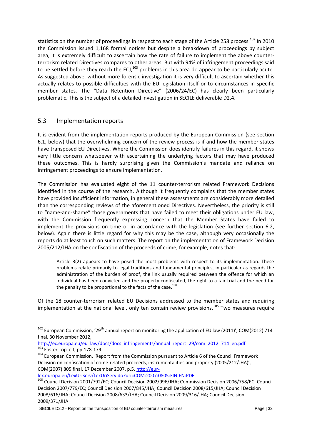statistics on the number of proceedings in respect to each stage of the Article 258 process.<sup>102</sup> In 2010 the Commission issued 1,168 formal notices but despite a breakdown of proceedings by subject area, it is extremely difficult to ascertain how the rate of failure to implement the above counterterrorism related Directives compares to other areas. But with 94% of infringement proceedings said to be settled before they reach the ECJ, $^{103}$  problems in this area do appear to be particularly acute. As suggested above, without more forensic investigation it is very difficult to ascertain whether this actually relates to possible difficulties with the EU legislation itself or to circumstances in specific member states. The "Data Retention Directive" (2006/24/EC) has clearly been particularly problematic. This is the subject of a detailed investigation in SECILE deliverable D2.4.

#### <span id="page-31-0"></span>5.3 Implementation reports

**.** 

It is evident from the implementation reports produced by the European Commission (see section 6.1, below) that the overwhelming concern of the review process is if and how the member states have transposed EU Directives. Where the Commission does identify failures in this regard, it shows very little concern whatsoever with ascertaining the underlying factors that may have produced these outcomes. This is hardly surprising given the Commission's mandate and reliance on infringement proceedings to ensure implementation.

The Commission has evaluated eight of the 11 counter-terrorism related Framework Decisions identified in the course of the research. Although it frequently complains that the member states have provided insufficient information, in general these assessments are considerably more detailed than the corresponding reviews of the aforementioned Directives. Nevertheless, the priority is still to "name-and-shame" those governments that have failed to meet their obligations under EU law, with the Commission frequently expressing concern that the Member States have failed to implement the provisions on time or in accordance with the legislation (see further section 6.2, below). Again there is little regard for why this may be the case, although very occasionally the reports do at least touch on such matters. The report on the implementation of Framework Decision 2005/212/JHA on the confiscation of the proceeds of crime, for example, notes that:

Article 3(2) appears to have posed the most problems with respect to its implementation. These problems relate primarily to legal traditions and fundamental principles, in particular as regards the administration of the burden of proof, the link usually required between the offence for which an individual has been convicted and the property confiscated, the right to a fair trial and the need for the penalty to be proportional to the facts of the case.<sup>104</sup>

Of the 18 counter-terrorism related EU Decisions addressed to the member states and requiring implementation at the national level, only ten contain review provisions.<sup>105</sup> Two measures require

[http://ec.europa.eu/eu\\_law/docs/docs\\_infringements/annual\\_report\\_29/com\\_2012\\_714\\_en.pdf](http://ec.europa.eu/eu_law/docs/docs_infringements/annual_report_29/com_2012_714_en.pdf) Foster, op. cit, pp.178-179

<sup>104</sup> European Commission, 'Report from the Commission pursuant to Article 6 of the Council Framework Decision on confiscation of crime-related proceeds, instrumentalities and property (2005/212/JHA)', COM(2007) 805 final, 17 December 2007, p.5[, http://eur-](http://eur-lex.europa.eu/LexUriServ/LexUriServ.do?uri=COM:2007:0805:FIN:EN:PDF)

[lex.europa.eu/LexUriServ/LexUriServ.do?uri=COM:2007:0805:FIN:EN:PDF](http://eur-lex.europa.eu/LexUriServ/LexUriServ.do?uri=COM:2007:0805:FIN:EN:PDF)

 $102$  European Commission, '29<sup>th</sup> annual report on monitoring the application of EU law (2011)', COM(2012) 714 final, 30 November 2012,

<sup>105</sup> Council Decision 2001/792/EC; Council Decision 2002/996/JHA; Commission Decision 2006/758/EC; Council Decision 2007/779/EC; Council Decision 2007/845/JHA; Council Decision 2008/615/JHA; Council Decision 2008/616/JHA; Council Decision 2008/633/JHA; Council Decision 2009/316/JHA; Council Decision 2009/371/JHA

SECILE D2.2 - Report on the transposition of EU counter-terrorism measures Page | 32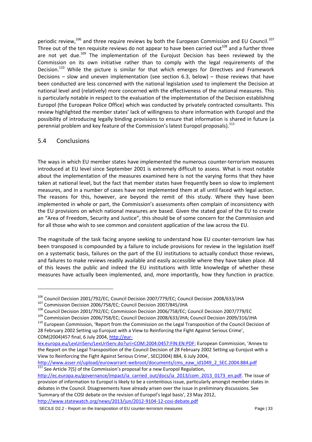periodic review,<sup>106</sup> and three require reviews by both the European Commission and EU Council.<sup>107</sup> Three out of the ten requisite reviews do not appear to have been carried out<sup>108</sup> and a further three are not yet due.<sup>109</sup> The implementation of the Eurojust Decision has been reviewed by the Commission on its own initiative rather than to comply with the legal requirements of the Decision.<sup>110</sup> While the picture is similar for that which emerges for Directives and Framework Decisions – slow and uneven implementation (see section 6.3, below) – those reviews that have been conducted are less concerned with the national legislation used to implement the Decision at national level and (relatively) more concerned with the effectiveness of the national measures. This is particularly notable in respect to the evaluation of the implementation of the Decision establishing Europol (the European Police Office) which was conducted by privately contracted consultants. This review highlighted the member states' lack of willingness to share information with Europol and the possibility of introducing legally binding provisions to ensure that information is shared in future (a perennial problem and key feature of the Commission's latest Europol proposals).<sup>111</sup>

#### <span id="page-32-0"></span>5.4 Conclusions

**.** 

The ways in which EU member states have implemented the numerous counter-terrorism measures introduced at EU level since September 2001 is extremely difficult to assess. What is most notable about the implementation of the measures examined here is not the varying forms that they have taken at national level, but the fact that member states have frequently been so slow to implement measures, and in a number of cases have not implemented them at all until faced with legal action. The reasons for this, however, are beyond the remit of this study. Where they have been implemented in whole or part, the Commission's assessments often complain of inconsistency with the EU provisions on which national measures are based. Given the stated goal of the EU to create an "Area of Freedom, Security and Justice", this should be of some concern for the Commission and for all those who wish to see common and consistent application of the law across the EU.

The magnitude of the task facing anyone seeking to understand how EU counter-terrorism law has been transposed is compounded by a failure to include provisions for review in the legislation itself on a systematic basis, failures on the part of the EU institutions to actually conduct those reviews, and failures to make reviews readily available and easily accessible where they have taken place. All of this leaves the public and indeed the EU institutions with little knowledge of whether these measures have actually been implemented, and, more importantly, how they function in practice.

[http://www.asser.nl/upload/eurowarrant-webroot/documents/cms\\_eaw\\_id1049\\_2\\_SEC.2004.884.pdf](http://www.asser.nl/upload/eurowarrant-webroot/documents/cms_eaw_id1049_2_SEC.2004.884.pdf)  $111$  See Article 7(5) of the Commission's proposal for a new Europol Regulation,

<sup>&</sup>lt;sup>106</sup> Council Decision 2001/792/EC; Council Decision 2007/779/EC; Council Decision 2008/633/JHA

<sup>107</sup> Commission Decision 2006/758/EC; Council Decision 2007/845/JHA

<sup>108</sup> Council Decision 2001/792/EC; Commission Decision 2006/758/EC; Council Decision 2007/779/EC

<sup>109</sup> Commission Decision 2006/758/EC; Council Decision 2008/633/JHA; Council Decision 2009/316/JHA

<sup>&</sup>lt;sup>110</sup> European Commission, 'Report from the Commission on the Legal Transposition of the Council Decision of 28 February 2002 Setting up Eurojust with a View to Reinforcing the Fight Against Serious Crime', COM(2004)457 final, 6 July 2004[, http://eur-](http://eur-lex.europa.eu/LexUriServ/LexUriServ.do?uri=COM:2004:0457:FIN:EN:PDF)

[lex.europa.eu/LexUriServ/LexUriServ.do?uri=COM:2004:0457:FIN:EN:PDF](http://eur-lex.europa.eu/LexUriServ/LexUriServ.do?uri=COM:2004:0457:FIN:EN:PDF); European Commission, 'Annex to the Report on the Legal Transposition of the Council Decision of 28 February 2002 Setting up Eurojust with a View to Reinforcing the Fight Against Serious Crime', SEC(2004) 884, 6 July 2004,

[http://ec.europa.eu/governance/impact/ia\\_carried\\_out/docs/ia\\_2013/com\\_2013\\_0173\\_en.pdf.](http://ec.europa.eu/governance/impact/ia_carried_out/docs/ia_2013/com_2013_0173_en.pdf) The issue of provision of information to Europol is likely to be a contentious issue, particularly amongst member states in debates in the Council. Disagreements have already arisen over the issue in preliminary discussions. See 'Summary of the COSI debate on the revision of Europol's legal basis', 23 May 2012, <http://www.statewatch.org/news/2013/jun/2012-9104-12-cosi-debate.pdf>

SECILE D2.2 - Report on the transposition of EU counter-terrorism measures Page | 33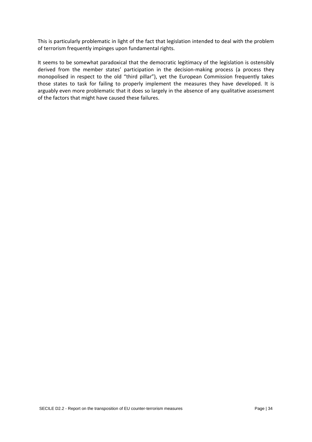This is particularly problematic in light of the fact that legislation intended to deal with the problem of terrorism frequently impinges upon fundamental rights.

It seems to be somewhat paradoxical that the democratic legitimacy of the legislation is ostensibly derived from the member states' participation in the decision-making process (a process they monopolised in respect to the old "third pillar"), yet the European Commission frequently takes those states to task for failing to properly implement the measures they have developed. It is arguably even more problematic that it does so largely in the absence of any qualitative assessment of the factors that might have caused these failures.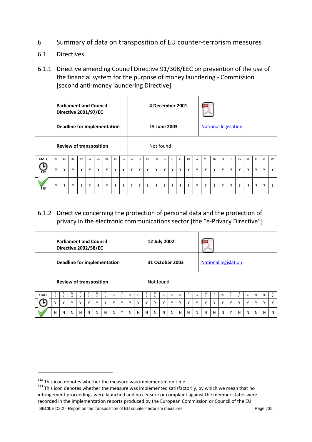- <span id="page-34-0"></span>6 Summary of data on transposition of EU counter-terrorism measures
- <span id="page-34-1"></span>6.1 Directives
- <span id="page-34-2"></span>6.1.1 Directive amending Council Directive 91/308/EEC on prevention of the use of the financial system for the purpose of money laundering - Commission [second anti-money laundering Directive]

|              |    |    | <b>Parliament and Council</b><br>Directive 2001/97/EC |    |    |    |    |    |     |    |    |           | 4 December 2001 |     |              |     |    |    |                             |           |    |    |           |           |           |           |           |
|--------------|----|----|-------------------------------------------------------|----|----|----|----|----|-----|----|----|-----------|-----------------|-----|--------------|-----|----|----|-----------------------------|-----------|----|----|-----------|-----------|-----------|-----------|-----------|
|              |    |    | Deadline for implementation                           |    |    |    |    |    |     |    |    |           | 15 June 2003    |     |              |     |    |    | <b>National legislation</b> |           |    |    |           |           |           |           |           |
|              |    |    | <b>Review of transposition</b>                        |    |    |    |    |    |     |    |    |           | Not found       |     |              |     |    |    |                             |           |    |    |           |           |           |           |           |
| <b>STATE</b> | AT | BE | BG                                                    | CY | CZ | DE | DK | EE | EL. | ES | F1 | <b>FR</b> | HU              | IE. | $\mathsf{I}$ | LT. | LU | LV | MT                          | <b>NL</b> | PL | PT | <b>RO</b> | <b>SE</b> | <b>SI</b> | <b>SK</b> | <b>UK</b> |
| $112$        | Y  | Y  | Y                                                     | Y  | Y  | Y  | Y  | Y  | Y   | Y  | Y  | Y         | Y               | Y   | Y            | Y   | Y  | Y  | Y                           | Y         | Y  | Y  | Y         | Υ         | Y         | Y         | Y         |
| 13           | ć. | ć. | ?                                                     | 3  | ?  | ?  | ?  | ?  | ?   | ?  | ?  | ?         | ?               | ?   | ?            | ?   | ?  | ?  | ?                           | ?         | ?  | ?  | ?         | ?         | ?         | ?         | ς.        |

# <span id="page-34-3"></span>6.1.2 Directive concerning the protection of personal data and the protection of privacy in the electronic communications sector [the "e-Privacy Directive"]

|              |                                                               |          |        |              |             | <b>Parliament and Council</b><br>Directive 2002/58/EC |   |             |             |             |              |              | 12 July 2002      |              |     |     |              |             |                             |              |    |              |               |              |              |              |             |
|--------------|---------------------------------------------------------------|----------|--------|--------------|-------------|-------------------------------------------------------|---|-------------|-------------|-------------|--------------|--------------|-------------------|--------------|-----|-----|--------------|-------------|-----------------------------|--------------|----|--------------|---------------|--------------|--------------|--------------|-------------|
|              | Deadline for implementation<br><b>Review of transposition</b> |          |        |              |             |                                                       |   |             |             |             |              |              | 31 October 2003   |              |     |     |              |             | <b>National legislation</b> |              |    |              |               |              |              |              |             |
|              |                                                               |          |        |              |             |                                                       |   |             |             |             |              |              | Not found         |              |     |     |              |             |                             |              |    |              |               |              |              |              |             |
| <b>STATE</b> | A                                                             | R.<br>F. | B<br>G | C.           | Z           | D<br>F                                                | D | EE          | E           | ES          | FI.          | R            | H<br>$\mathbf{U}$ | IE           | IT. | LT. | $\cup$       | LV          | M                           | N            | PL | P            | R<br>$\Omega$ | SE           | <b>SI</b>    | <b>SK</b>    | U<br>K      |
|              | $\mathsf{v}$                                                  | v        |        | $\mathsf{v}$ | $\mathbf v$ | Y                                                     |   | $\mathbf v$ | $\mathbf v$ | $\mathbf v$ | $\checkmark$ | $\checkmark$ | $\checkmark$      | $\checkmark$ | Υ   |     | $\checkmark$ | $\mathbf v$ | $\mathbf v$                 | $\mathsf{v}$ |    | $\mathsf{v}$ | $\mathbf v$   | $\mathsf{v}$ | $\checkmark$ | $\checkmark$ | $\mathbf v$ |
|              | N                                                             | N        | N      | N            | N           | N                                                     | N | N           | Υ           | N           | N            | N            | N                 | N            | N   | N   | N            | N           | N                           | N            | N  | Υ            | N             | N            | N            | N            | N           |

1

SECILE D2.2 - Report on the transposition of EU counter-terrorism measures Page | 35

 $112$  This icon denotes whether the measure was implemented on time.

<sup>&</sup>lt;sup>113</sup> This icon denotes whether the measure was implemented satisfactorily, by which we mean that no infringement proceedings were launched and no censure or complaint against the member states were recorded in the implementation reports produced by the European Commission or Council of the EU.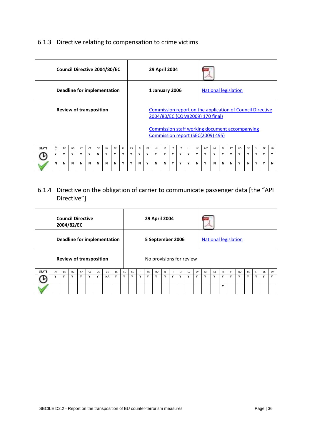# <span id="page-35-0"></span>6.1.3 Directive relating to compensation to crime victims

|              |             |    | Council Directive 2004/80/EC   |    |    |    |    |    |     |           |     |           | 29 April 2004  |    |     |     |    |    |                                                                                                                                                                                      |           |    |    |           |    |           |           |    |
|--------------|-------------|----|--------------------------------|----|----|----|----|----|-----|-----------|-----|-----------|----------------|----|-----|-----|----|----|--------------------------------------------------------------------------------------------------------------------------------------------------------------------------------------|-----------|----|----|-----------|----|-----------|-----------|----|
|              |             |    | Deadline for implementation    |    |    |    |    |    |     |           |     |           | 1 January 2006 |    |     |     |    |    | <b>National legislation</b>                                                                                                                                                          |           |    |    |           |    |           |           |    |
|              |             |    | <b>Review of transposition</b> |    |    |    |    |    |     |           |     |           |                |    |     |     |    |    | Commission report on the application of Council Directive<br>2004/80/EC (COM(2009) 170 final)<br>Commission staff working document accompanying<br>Commission report (SEC(2009) 495) |           |    |    |           |    |           |           |    |
| <b>STATE</b> | Α<br>$\tau$ | BE | <b>BG</b>                      | CY | CZ | DF | DK | EE | EL. | <b>FS</b> | FL. | <b>FR</b> | <b>HU</b>      | IE | IT. | LT. | 1U | LV | MT                                                                                                                                                                                   | <b>NL</b> | PL | PT | <b>RO</b> | SF | <b>SI</b> | <b>SK</b> | UK |
|              | Y           | v  | Y                              | Y  | Y  | N  | ٧  | ٧  | Y   | ٧         | Y   | Y         | Y              | Y  | v   | Y   | Y  | Y  | v                                                                                                                                                                                    | Y         | v  | Y  | Υ         | v  | Y         | ۷         | Y  |
|              | N           | N  | N                              | N  | N  | N  | N  | N  | Y   | ٧         | N   | Y         | N              | N  | Y   | Υ   | Y  | N  | Y                                                                                                                                                                                    | N         | N  | N  | Υ         | N  | Y         | Υ         | N  |

# <span id="page-35-1"></span>6.1.4 Directive on the obligation of carrier to communicate passenger data [the "API Directive"]

|              |    |    | <b>Council Directive</b><br>2004/82/EC |    |    |                                |                             |    |     |    |     |           | 29 April 2004            |     |    |    |    |    |                             |           |    |    |           |    |     |           |              |
|--------------|----|----|----------------------------------------|----|----|--------------------------------|-----------------------------|----|-----|----|-----|-----------|--------------------------|-----|----|----|----|----|-----------------------------|-----------|----|----|-----------|----|-----|-----------|--------------|
|              |    |    |                                        |    |    |                                | Deadline for implementation |    |     |    |     |           | 5 September 2006         |     |    |    |    |    | <b>National legislation</b> |           |    |    |           |    |     |           |              |
|              |    |    |                                        |    |    | <b>Review of transposition</b> |                             |    |     |    |     |           | No provisions for review |     |    |    |    |    |                             |           |    |    |           |    |     |           |              |
| <b>STATE</b> | AT | BE | <b>BG</b>                              | CY | CZ | DE                             | <b>DK</b>                   | EE | EL. | ES | EL. | <b>FR</b> | <b>HU</b>                | IE. | IT | LT | LU | LV | MT                          | <b>NL</b> | PL | PT | <b>RO</b> | SF | -SI | <b>SK</b> | UK           |
|              | Y  | Υ  | Y                                      | Υ  | Υ  | Υ                              | <b>NA</b>                   | Y  | Y   | Υ  | Υ   | Y         | Y                        | Y   | Υ  | Υ  | Υ  | Υ  | Υ                           | Y         | Υ  | Υ  | Υ         | Y  | Y   | Y         | $\mathbf{v}$ |
|              |    |    |                                        |    |    |                                |                             |    |     |    |     |           |                          |     |    |    |    |    |                             |           | Y  |    |           |    |     |           |              |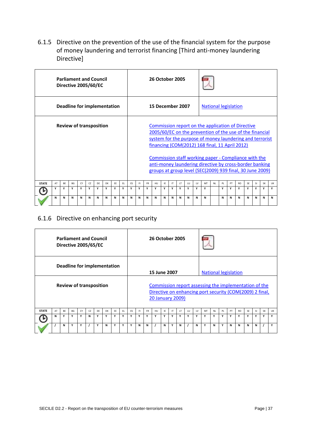<span id="page-36-0"></span>6.1.5 Directive on the prevention of the use of the financial system for the purpose of money laundering and terrorist financing [Third anti-money laundering Directive]

|              |    |    | <b>Parliament and Council</b><br>Directive 2005/60/EC |    |    |    |                             |    |     |    |    |           | <b>26 October 2005</b> |    |    |     |    |    |                                                                                                                                                                                                                                                                                                                                                                                                             |           |    |    |           |           |           |           |    |
|--------------|----|----|-------------------------------------------------------|----|----|----|-----------------------------|----|-----|----|----|-----------|------------------------|----|----|-----|----|----|-------------------------------------------------------------------------------------------------------------------------------------------------------------------------------------------------------------------------------------------------------------------------------------------------------------------------------------------------------------------------------------------------------------|-----------|----|----|-----------|-----------|-----------|-----------|----|
|              |    |    |                                                       |    |    |    | Deadline for implementation |    |     |    |    |           | 15 December 2007       |    |    |     |    |    | <b>National legislation</b>                                                                                                                                                                                                                                                                                                                                                                                 |           |    |    |           |           |           |           |    |
|              |    |    | <b>Review of transposition</b>                        |    |    |    |                             |    |     |    |    |           |                        |    |    |     |    |    | Commission report on the application of Directive<br>2005/60/EC on the prevention of the use of the financial<br>system for the purpose of money laundering and terrorist<br>financing (COM(2012) 168 final, 11 April 2012)<br>Commission staff working paper - Compliance with the<br>anti-money laundering directive by cross-border banking<br>groups at group level (SEC(2009) 939 final, 30 June 2009) |           |    |    |           |           |           |           |    |
| <b>STATE</b> | AT | BE | BG                                                    | CY | CZ | DE | <b>DK</b>                   | EE | EL. | ES | F1 | <b>FR</b> | HU                     | IE | IT | LT. | LU | LV | MT                                                                                                                                                                                                                                                                                                                                                                                                          | <b>NL</b> | PL | PT | <b>RO</b> | <b>SE</b> | <b>SI</b> | <b>SK</b> | UK |
|              | Y  | Y  | Υ                                                     | Υ  | Υ  | Υ  | Υ                           | Υ  | Υ   | Υ  | Y  | Υ         | Υ                      | Υ  | Υ  | Υ   | Υ  | Υ  | Υ                                                                                                                                                                                                                                                                                                                                                                                                           |           | Υ  | Υ  | Υ         | Υ         | Υ         | Y         | Y  |
|              | N  | N  | N                                                     | N  | N  | N  | N                           | N  | N   | N  | N  | N         | N                      | N  | N  | N   | N  | N  | N                                                                                                                                                                                                                                                                                                                                                                                                           |           | N  | N  | N         | N         | N         | N         | N  |

#### <span id="page-36-1"></span>6.1.6 Directive on enhancing port security

|              |                             |    | <b>Parliament and Council</b><br>Directive 2005/65/EC |    |    |    |    |    |     |    |    |              | <b>26 October 2005</b>  |    |    |     |    |    |                                                                                                                   |           |    |    |           |           |           |           |    |
|--------------|-----------------------------|----|-------------------------------------------------------|----|----|----|----|----|-----|----|----|--------------|-------------------------|----|----|-----|----|----|-------------------------------------------------------------------------------------------------------------------|-----------|----|----|-----------|-----------|-----------|-----------|----|
|              | Deadline for implementation |    |                                                       |    |    |    |    |    |     |    |    |              | 15 June 2007            |    |    |     |    |    | <b>National legislation</b>                                                                                       |           |    |    |           |           |           |           |    |
|              |                             |    | <b>Review of transposition</b>                        |    |    |    |    |    |     |    |    |              | <b>20 January 2009)</b> |    |    |     |    |    | Commission report assessing the implementation of the<br>Directive on enhancing port security (COM(2009) 2 final, |           |    |    |           |           |           |           |    |
| <b>STATE</b> | AT                          | BE | BG                                                    | CY | CZ | DE | DK | EE | EL. | ES | F1 | <b>FR</b>    | <b>HU</b>               | IE | IT | LT. | LU | LV | MT                                                                                                                | <b>NL</b> | PL | PT | <b>RO</b> | <b>SE</b> | <b>SI</b> | <b>SK</b> | UK |
|              | N                           | Y  | Y                                                     | Υ  | N  | Υ  | Υ  | Y  | Υ   | v  | Υ  | $\mathbf{v}$ | Υ                       | Υ  | Υ  | Y   | Y  | Υ  | Υ                                                                                                                 | Υ         | ٧  | Υ  | Y         | Υ         | Y         | Υ         | Y  |
|              |                             | N  | Y                                                     | Υ  |    | Y  | N  | Y  | Y   | Y  | N  | N            |                         | N  | Υ  | N   |    | N  | Υ                                                                                                                 | N         | Υ  | N  | N         | N         | N         |           | Y  |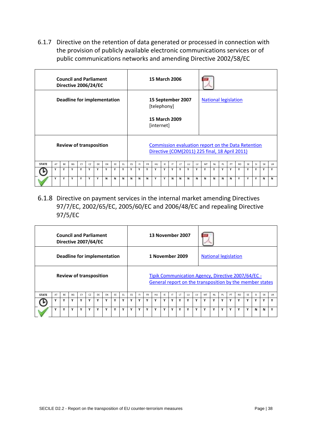<span id="page-37-0"></span>6.1.7 Directive on the retention of data generated or processed in connection with the provision of publicly available electronic communications services or of public communications networks and amending Directive 2002/58/EC

|              |                             |           | <b>Council and Parliament</b><br>Directive 2006/24/EC |    |    |    |    |     |     |           |     |           | <b>15 March 2006</b>                                                   |     |    |     |    |    |                                                                                                      |           |     |    |                |           |     |           |    |
|--------------|-----------------------------|-----------|-------------------------------------------------------|----|----|----|----|-----|-----|-----------|-----|-----------|------------------------------------------------------------------------|-----|----|-----|----|----|------------------------------------------------------------------------------------------------------|-----------|-----|----|----------------|-----------|-----|-----------|----|
|              | Deadline for implementation |           |                                                       |    |    |    |    |     |     |           |     |           | 15 September 2007<br>[telephony]<br><b>15 March 2009</b><br>[internet] |     |    |     |    |    | <b>National legislation</b>                                                                          |           |     |    |                |           |     |           |    |
|              |                             |           | <b>Review of transposition</b>                        |    |    |    |    |     |     |           |     |           |                                                                        |     |    |     |    |    | Commission evaluation report on the Data Retention<br>Directive (COM(2011) 225 final, 18 April 2011) |           |     |    |                |           |     |           |    |
| <b>STATE</b> | AT                          | <b>BF</b> | <b>BG</b>                                             | CY | CZ | DF | DK | FF. | FL. | <b>FS</b> | FL. | <b>FR</b> | HU                                                                     | IE. | IT | LT. | LU | LV | MT                                                                                                   | <b>NL</b> | PL. | PT | R <sub>O</sub> | <b>SF</b> | SI. | <b>SK</b> | UK |
|              | Υ                           | Y         | Y                                                     | Y  | Y  | Y  | Υ  | Υ   | Υ   | Υ         | Υ   | Y         | Υ                                                                      | Υ   | Υ  | Υ   | Υ  | Υ  | Υ                                                                                                    | Υ         | Υ   | Υ  | Υ              | Y         | Υ   | Y         | Υ  |
|              | Υ                           | Y         | Υ                                                     | Υ  | Y  | Y  | N  | N   | N   | N         | N   | N         | Υ                                                                      | Y   | N  | N   | N  | N  | N                                                                                                    | N         | N   | N  | Υ              | Υ         | Υ   | N         | N  |

<span id="page-37-1"></span>6.1.8 Directive on payment services in the internal market amending Directives 97/7/EC, 2002/65/EC, 2005/60/EC and 2006/48/EC and repealing Directive 97/5/EC

|              |                             |    | <b>Council and Parliament</b><br>Directive 2007/64/EC |    |    |    |    |    |     |    |    |           | 13 November 2007 |    |    |           |    |    |                                                                                                                |           |    |    |           |    |             |           |             |
|--------------|-----------------------------|----|-------------------------------------------------------|----|----|----|----|----|-----|----|----|-----------|------------------|----|----|-----------|----|----|----------------------------------------------------------------------------------------------------------------|-----------|----|----|-----------|----|-------------|-----------|-------------|
|              | Deadline for implementation |    |                                                       |    |    |    |    |    |     |    |    |           | 1 November 2009  |    |    |           |    |    | <b>National legislation</b>                                                                                    |           |    |    |           |    |             |           |             |
|              |                             |    | <b>Review of transposition</b>                        |    |    |    |    |    |     |    |    |           |                  |    |    |           |    |    | Tipik Communication Agency, Directive 2007/64/EC -<br>General report on the transposition by the member states |           |    |    |           |    |             |           |             |
| <b>STATE</b> | AT                          | BE | <b>BG</b>                                             | CY | CZ | DE | DK | EE | EL. | ES | F1 | <b>FR</b> | HU               | IE | IT | <b>LT</b> | LU | 1V | MT                                                                                                             | <b>NL</b> | PL | PT | <b>RO</b> | SE | SI          | <b>SK</b> | UK          |
|              | Υ                           | ٧  | ۷                                                     | Υ  | v  | Υ  | Υ  | v  | Υ   | ٧  | Y  | v         | Υ                | Υ  | Υ  | ۷         | Υ  | ٧  | Υ                                                                                                              | Υ         | ٧  | Υ  | v         | Υ  | Y           | ٧         | $\mathbf v$ |
|              | ۷                           | ٧  | Y                                                     | Y  | v  | Y  | ٧  | Y  | Y   | ٧  | Y  | v         | Υ                | Y  | ٧  | v         | Y  | Y  | Y                                                                                                              | ٧         | Y  | Y  | v         | Y  | $\mathbf N$ | N         | v           |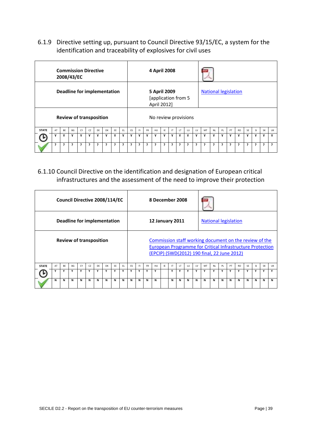<span id="page-38-0"></span>6.1.9 Directive setting up, pursuant to Council Directive 93/15/EC, a system for the identification and traceability of explosives for civil uses

|              |                             |    | <b>Commission Directive</b><br>2008/43/EC |    |    |    |    |    |              |    |     |           | 4 April 2008                                       |    |              |     |    |    |                             |           |     |    |           |           |    |              |    |
|--------------|-----------------------------|----|-------------------------------------------|----|----|----|----|----|--------------|----|-----|-----------|----------------------------------------------------|----|--------------|-----|----|----|-----------------------------|-----------|-----|----|-----------|-----------|----|--------------|----|
|              | Deadline for implementation |    |                                           |    |    |    |    |    |              |    |     |           | 5 April 2009<br>[application from 5<br>April 2012] |    |              |     |    |    | <b>National legislation</b> |           |     |    |           |           |    |              |    |
|              |                             |    | <b>Review of transposition</b>            |    |    |    |    |    |              |    |     |           | No review provisions                               |    |              |     |    |    |                             |           |     |    |           |           |    |              |    |
| <b>STATE</b> | AT                          | BE | BG                                        | CY | CZ | DE | DK | EE | FL.          | ES | FI. | <b>FR</b> | HU                                                 | IE | $\mathsf{I}$ | LT. | LU | LV | MT                          | <b>NL</b> | PL. | PT | <b>RO</b> | <b>SE</b> | SI | <b>SK</b>    | UK |
|              | Υ                           | Y  | ٧                                         | Υ  | Υ  | Y  | Y  | Υ  | Υ            | ٧  | Y   | ٧         | Υ                                                  | Y  | Y            | ٧   | Υ  | ٧  | Y                           | Y         | ٧   | Υ  |           | Υ         | Y  | Υ            | v  |
|              | 7                           | ć. | ς                                         | ?  | ,  | 5  | ć. | P. | <sup>?</sup> | ,  | ?   | 7         | ?                                                  | ć. | ?            | ć.  | ć. | P. | ?                           | 5         | P.  | ć. | ?         | 5         | ć. | <sup>2</sup> | ,  |

<span id="page-38-1"></span>6.1.10 Council Directive on the identification and designation of European critical infrastructures and the assessment of the need to improve their protection

|              |                             |    | Council Directive 2008/114/EC  |    |    |    |    |    |    |    |     |           | 8 December 2008        |     |     |     |    |    |                                                                                                                                                                           |           |    |    |           |           |           |           |           |
|--------------|-----------------------------|----|--------------------------------|----|----|----|----|----|----|----|-----|-----------|------------------------|-----|-----|-----|----|----|---------------------------------------------------------------------------------------------------------------------------------------------------------------------------|-----------|----|----|-----------|-----------|-----------|-----------|-----------|
|              | Deadline for implementation |    |                                |    |    |    |    |    |    |    |     |           | <b>12 January 2011</b> |     |     |     |    |    | <b>National legislation</b>                                                                                                                                               |           |    |    |           |           |           |           |           |
|              |                             |    | <b>Review of transposition</b> |    |    |    |    |    |    |    |     |           |                        |     |     |     |    |    | Commission staff working document on the review of the<br><b>European Programme for Critical Infrastructure Protection</b><br>(EPCIP) (SWD(2012) 190 final, 22 June 2012) |           |    |    |           |           |           |           |           |
| <b>STATE</b> | AT                          | BE | BG                             | CY | CZ | DE | DK | EE | EL | ES | FI. | <b>FR</b> | HU                     | IE. | IT. | LT. | LU | 1V | MT                                                                                                                                                                        | <b>NL</b> | PL | PT | <b>RO</b> | <b>SE</b> | <b>SI</b> | <b>SK</b> | <b>UK</b> |
|              | Y                           | ٧  | Y                              | Υ  | Y  | Y  | ٧  | Y  | Υ  | ۷  | Y   | Y         | Υ                      |     | Y   | Y   | Y  | Υ  | Y                                                                                                                                                                         | Y         | ۷  | Υ  | ٧         | Y         | ٧         | Y         | Y         |
|              | N                           | N  | N                              | N  | N  | N  | N  | N  | N  | N  | N   | N         | N                      |     | N   | N   | N  | N  | N                                                                                                                                                                         | N         | N  | N  | N         | N         | N         | N         | N         |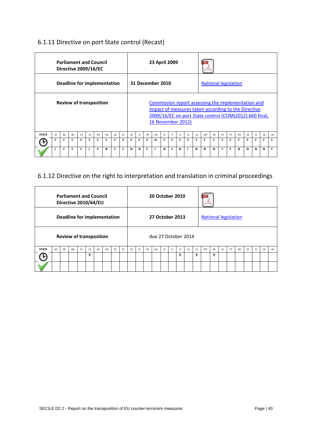# <span id="page-39-0"></span>6.1.11 Directive on port State control (Recast)

|              |                             |    | <b>Parliament and Council</b><br>Directive 2009/16/EC |    |    |    |    |     |     |    |     |             | 23 April 2009     |     |     |              |    |    |                                                                                                                                                                            |           |    |    |           |           |           |           |           |
|--------------|-----------------------------|----|-------------------------------------------------------|----|----|----|----|-----|-----|----|-----|-------------|-------------------|-----|-----|--------------|----|----|----------------------------------------------------------------------------------------------------------------------------------------------------------------------------|-----------|----|----|-----------|-----------|-----------|-----------|-----------|
|              | Deadline for implementation |    |                                                       |    |    |    |    |     |     |    |     |             | 31 December 2010  |     |     |              |    |    | <b>National legislation</b>                                                                                                                                                |           |    |    |           |           |           |           |           |
|              |                             |    | <b>Review of transposition</b>                        |    |    |    |    |     |     |    |     |             | 16 November 2012) |     |     |              |    |    | <b>Commission report assessing the implementation and</b><br>impact of measures taken according to the Directive<br>2009/16/EC on port State control (COM(2012) 660 final, |           |    |    |           |           |           |           |           |
| <b>STATE</b> | AT                          | BE | <b>BG</b>                                             | CY | CZ | DF | DK | FF. | EL. | ES | FI. | <b>FR</b>   | HU                | IE. | IT. | $\mathsf{I}$ | LU | 1V | MT                                                                                                                                                                         | <b>NL</b> | PL | PT | <b>RO</b> | <b>SE</b> | <b>SI</b> | <b>SK</b> | <b>UK</b> |
|              | Y                           | Y  | Y                                                     | Υ  | Y  | Y  | Y  | Y   | Υ   | v  | Y   | $\mathbf v$ | N                 | Υ   | Υ   | Y            | Y  | Y  | Υ                                                                                                                                                                          | Y         | ٧  | Y  | ٧         | Y         | Y         | Υ         | Y         |
|              |                             | Y  | Y                                                     | Υ  |    | Y  | N  | Y   | Υ   | N  | N   | Υ           |                   | N   | Υ   | N            |    | N  | N                                                                                                                                                                          | N         | Y  | Y  | N         | N         | N         | N         | Y         |

# <span id="page-39-1"></span>6.1.12 Directive on the right to interpretation and translation in criminal proceedings

|              |                             |    | <b>Parliament and Council</b><br>Directive 2010/64/EU |    |             |    |    |    |     |    |    |           | <b>20 October 2010</b> |    |           |    |    |    |                             |           |    |    |           |           |           |           |    |
|--------------|-----------------------------|----|-------------------------------------------------------|----|-------------|----|----|----|-----|----|----|-----------|------------------------|----|-----------|----|----|----|-----------------------------|-----------|----|----|-----------|-----------|-----------|-----------|----|
|              | Deadline for implementation |    |                                                       |    |             |    |    |    |     |    |    |           | 27 October 2013        |    |           |    |    |    | <b>National legislation</b> |           |    |    |           |           |           |           |    |
|              |                             |    | <b>Review of transposition</b>                        |    |             |    |    |    |     |    |    |           | due 27 October 2014    |    |           |    |    |    |                             |           |    |    |           |           |           |           |    |
| <b>STATE</b> | AT                          | BE | <b>BG</b>                                             | CY | CZ          | DE | DK | EE | EL. | ES | EI | <b>FR</b> | HU                     | IE | <b>IT</b> | 1T | LU | 1V | MT                          | <b>NL</b> | PL | PT | <b>RO</b> | <b>SE</b> | <b>SI</b> | <b>SK</b> | UK |
|              |                             |    |                                                       |    | $\mathbf v$ |    |    |    |     |    |    |           |                        |    |           | v  |    | ٧  |                             | v         |    |    |           |           |           |           |    |
|              |                             |    |                                                       |    |             |    |    |    |     |    |    |           |                        |    |           |    |    |    |                             |           |    |    |           |           |           |           |    |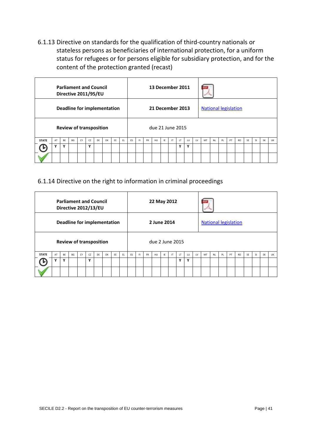<span id="page-40-0"></span>6.1.13 Directive on standards for the qualification of third-country nationals or stateless persons as beneficiaries of international protection, for a uniform status for refugees or for persons eligible for subsidiary protection, and for the content of the protection granted (recast)

|              |                                    |    |           |    |    | <b>Parliament and Council</b><br>Directive 2011/95/EU |    |    |     |    |    |           | 13 December 2011 |     |              |    |    |    |                             |           |    |    |           |           |           |           |    |
|--------------|------------------------------------|----|-----------|----|----|-------------------------------------------------------|----|----|-----|----|----|-----------|------------------|-----|--------------|----|----|----|-----------------------------|-----------|----|----|-----------|-----------|-----------|-----------|----|
|              | <b>Deadline for implementation</b> |    |           |    |    |                                                       |    |    |     |    |    |           | 21 December 2013 |     |              |    |    |    | <b>National legislation</b> |           |    |    |           |           |           |           |    |
|              |                                    |    |           |    |    | <b>Review of transposition</b>                        |    |    |     |    |    |           | due 21 June 2015 |     |              |    |    |    |                             |           |    |    |           |           |           |           |    |
| <b>STATE</b> | AT                                 | BE | <b>BG</b> | CY | CZ | DE                                                    | DK | EE | EL. | ES | F1 | <b>FR</b> | HU               | IE. | $\mathsf{I}$ | LT | LU | LV | MT                          | <b>NL</b> | PL | PT | <b>RO</b> | <b>SE</b> | <b>SI</b> | <b>SK</b> | UK |
|              |                                    | v  |           |    | v  |                                                       |    |    |     |    |    |           |                  |     |              | v  | v  |    |                             |           |    |    |           |           |           |           |    |
|              |                                    |    |           |    |    |                                                       |    |    |     |    |    |           |                  |     |              |    |    |    |                             |           |    |    |           |           |           |           |    |

#### <span id="page-40-1"></span>6.1.14 Directive on the right to information in criminal proceedings

|              |                                    |           | <b>Parliament and Council</b><br>Directive 2012/13/EU |    |    |    |    |    |     |    |    |           | 22 May 2012     |     |              |     |    |    |                             |           |    |    |           |    |           |           |           |
|--------------|------------------------------------|-----------|-------------------------------------------------------|----|----|----|----|----|-----|----|----|-----------|-----------------|-----|--------------|-----|----|----|-----------------------------|-----------|----|----|-----------|----|-----------|-----------|-----------|
|              | <b>Deadline for implementation</b> |           |                                                       |    |    |    |    |    |     |    |    |           | 2 June 2014     |     |              |     |    |    | <b>National legislation</b> |           |    |    |           |    |           |           |           |
|              |                                    |           | <b>Review of transposition</b>                        |    |    |    |    |    |     |    |    |           | due 2 June 2015 |     |              |     |    |    |                             |           |    |    |           |    |           |           |           |
| <b>STATE</b> | AT                                 | <b>BF</b> | BG                                                    | CY | CZ | DF | DK | EE | EL. | ES | F1 | <b>FR</b> | HU              | IE. | $\mathsf{I}$ | LT. | LU | 1V | MT                          | <b>NL</b> | PL | PT | <b>RO</b> | SF | <b>SI</b> | <b>SK</b> | <b>UK</b> |
|              | Υ                                  | Y         |                                                       |    | ٧  |    |    |    |     |    |    |           |                 |     |              | Υ   | ٧  |    |                             |           |    |    |           |    |           |           |           |
|              |                                    |           |                                                       |    |    |    |    |    |     |    |    |           |                 |     |              |     |    |    |                             |           |    |    |           |    |           |           |           |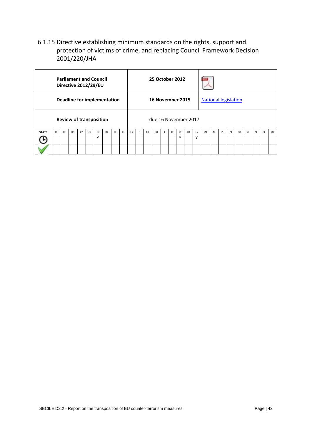# <span id="page-41-0"></span>6.1.15 Directive establishing minimum standards on the rights, support and protection of victims of crime, and replacing Council Framework Decision 2001/220/JHA

|              |                                    |    | <b>Parliament and Council</b><br>Directive 2012/29/EU |    |    |    |           |    |    |    |    |           | 25 October 2012      |    |    |              |    |    |                             |           |    |    |           |           |           |           |           |
|--------------|------------------------------------|----|-------------------------------------------------------|----|----|----|-----------|----|----|----|----|-----------|----------------------|----|----|--------------|----|----|-----------------------------|-----------|----|----|-----------|-----------|-----------|-----------|-----------|
|              | <b>Deadline for implementation</b> |    |                                                       |    |    |    |           |    |    |    |    |           | 16 November 2015     |    |    |              |    |    | <b>National legislation</b> |           |    |    |           |           |           |           |           |
|              |                                    |    | <b>Review of transposition</b>                        |    |    |    |           |    |    |    |    |           | due 16 November 2017 |    |    |              |    |    |                             |           |    |    |           |           |           |           |           |
| <b>STATE</b> | AT                                 | BE | BG                                                    | CY | CZ | DE | <b>DK</b> | EE | EL | ES | F1 | <b>FR</b> | HU                   | IE | IT | LT.          | LU | LV | MT                          | <b>NL</b> | PL | PT | <b>RO</b> | <b>SE</b> | <b>SI</b> | <b>SK</b> | <b>UK</b> |
|              |                                    |    |                                                       |    |    | Υ  |           |    |    |    |    |           |                      |    |    | $\checkmark$ |    | Y  |                             |           |    |    |           |           |           |           |           |
|              |                                    |    |                                                       |    |    |    |           |    |    |    |    |           |                      |    |    |              |    |    |                             |           |    |    |           |           |           |           |           |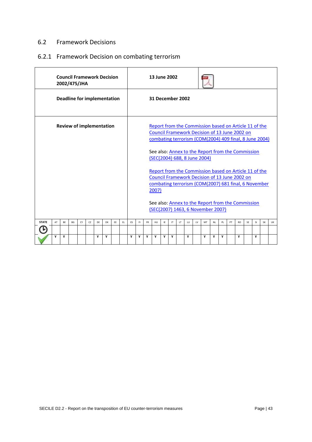#### <span id="page-42-0"></span>6.2 Framework Decisions

# <span id="page-42-1"></span>6.2.1 Framework Decision on combating terrorism

|              |                                 |           | 2002/475/JHA |    |    | <b>Council Framework Decision</b>  |    |    |    |           |    |           | 13 June 2002     |     |           |     |    |    |                                                                                                                                                                  |           |     |    |     |           |           |           |           |
|--------------|---------------------------------|-----------|--------------|----|----|------------------------------------|----|----|----|-----------|----|-----------|------------------|-----|-----------|-----|----|----|------------------------------------------------------------------------------------------------------------------------------------------------------------------|-----------|-----|----|-----|-----------|-----------|-----------|-----------|
|              |                                 |           |              |    |    | <b>Deadline for implementation</b> |    |    |    |           |    |           | 31 December 2002 |     |           |     |    |    |                                                                                                                                                                  |           |     |    |     |           |           |           |           |
|              | <b>Review of implementation</b> |           |              |    |    |                                    |    |    |    |           |    |           |                  |     |           |     |    |    | Report from the Commission based on Article 11 of the<br>Council Framework Decision of 13 June 2002 on<br>combating terrorism (COM(2004) 409 final, 8 June 2004) |           |     |    |     |           |           |           |           |
|              |                                 |           |              |    |    |                                    |    |    |    |           |    |           |                  |     |           |     |    |    | See also: Annex to the Report from the Commission<br>(SEC(2004) 688, 8 June 2004)                                                                                |           |     |    |     |           |           |           |           |
|              |                                 |           |              |    |    |                                    |    |    |    |           |    |           | 2007)            |     |           |     |    |    | Report from the Commission based on Article 11 of the<br>Council Framework Decision of 13 June 2002 on<br>combating terrorism (COM(2007) 681 final, 6 November   |           |     |    |     |           |           |           |           |
|              |                                 |           |              |    |    |                                    |    |    |    |           |    |           |                  |     |           |     |    |    | See also: Annex to the Report from the Commission<br>(SEC(2007) 1463, 6 November 2007)                                                                           |           |     |    |     |           |           |           |           |
| <b>STATE</b> | AT                              | <b>BF</b> | <b>BG</b>    | CY | CZ | DF                                 | DK | FF | FL | <b>FS</b> | F1 | <b>FR</b> | HU               | IF. | <b>IT</b> | LT. | LU | 1V | MT                                                                                                                                                               | <b>NL</b> | PL. | PT | RO. | <b>SF</b> | <b>SI</b> | <b>SK</b> | <b>UK</b> |
|              |                                 |           |              |    |    |                                    |    |    |    |           |    |           |                  |     |           |     |    |    |                                                                                                                                                                  |           |     |    |     |           |           |           |           |
|              | Y                               | Y         |              |    |    | Y                                  | Y  |    |    | Y         | Y  | Y         | Y                | Y   | Y         |     | Υ  |    | Y                                                                                                                                                                | Y         | Υ   |    | Y   |           | Y         |           |           |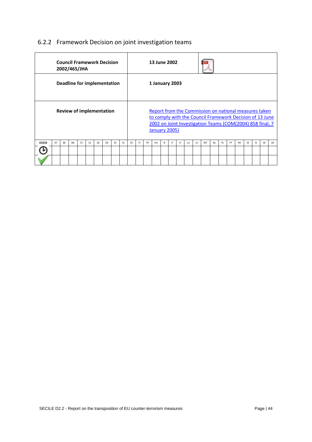# <span id="page-43-0"></span>6.2.2 Framework Decision on joint investigation teams

|              |    |           | <b>Council Framework Decision</b><br>2002/465/JHA |    |    |    |    |    |     |    |     |           | 13 June 2002   |    |    |           |    |    |                                                                                                                                                                                |           |    |    |                |    |           |           |    |
|--------------|----|-----------|---------------------------------------------------|----|----|----|----|----|-----|----|-----|-----------|----------------|----|----|-----------|----|----|--------------------------------------------------------------------------------------------------------------------------------------------------------------------------------|-----------|----|----|----------------|----|-----------|-----------|----|
|              |    |           | Deadline for implementation                       |    |    |    |    |    |     |    |     |           | 1 January 2003 |    |    |           |    |    |                                                                                                                                                                                |           |    |    |                |    |           |           |    |
|              |    |           | <b>Review of implementation</b>                   |    |    |    |    |    |     |    |     |           | January 2005)  |    |    |           |    |    | Report from the Commission on national measures taken<br>to comply with the Council Framework Decision of 13 June<br>2002 on Joint Investigation Teams (COM(2004) 858 final, 7 |           |    |    |                |    |           |           |    |
| <b>STATE</b> | AT | <b>BF</b> | <b>BG</b>                                         | CY | CZ | DF | DK | EE | EL. | ES | FI. | <b>FR</b> | HU             | IE | IT | <b>LT</b> | LU | LV | MT                                                                                                                                                                             | <b>NL</b> | PL | PT | R <sub>O</sub> | SE | <b>SI</b> | <b>SK</b> | UK |
|              |    |           |                                                   |    |    |    |    |    |     |    |     |           |                |    |    |           |    |    |                                                                                                                                                                                |           |    |    |                |    |           |           |    |
|              |    |           |                                                   |    |    |    |    |    |     |    |     |           |                |    |    |           |    |    |                                                                                                                                                                                |           |    |    |                |    |           |           |    |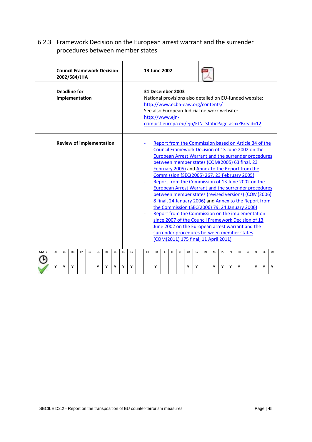# <span id="page-44-0"></span>6.2.3 Framework Decision on the European arrest warrant and the surrender procedures between member states

|              |    |    | <b>Council Framework Decision</b><br>2002/584/JHA |    |    |    |    |    |                                                                                                                                                                                                                                                                                                                                                                                                                                                                                                                                                                                                                                                                                                                                                                                                                                                                                                                                                                                                                                                                                                                                                                                                                                                                                 |   |  |  | 13 June 2002 |  |  |  |   |   |  |   |   |   |   |   |   |    |
|--------------|----|----|---------------------------------------------------|----|----|----|----|----|---------------------------------------------------------------------------------------------------------------------------------------------------------------------------------------------------------------------------------------------------------------------------------------------------------------------------------------------------------------------------------------------------------------------------------------------------------------------------------------------------------------------------------------------------------------------------------------------------------------------------------------------------------------------------------------------------------------------------------------------------------------------------------------------------------------------------------------------------------------------------------------------------------------------------------------------------------------------------------------------------------------------------------------------------------------------------------------------------------------------------------------------------------------------------------------------------------------------------------------------------------------------------------|---|--|--|--------------|--|--|--|---|---|--|---|---|---|---|---|---|----|
|              |    |    | <b>Deadline for</b><br>implementation             |    |    |    |    |    |                                                                                                                                                                                                                                                                                                                                                                                                                                                                                                                                                                                                                                                                                                                                                                                                                                                                                                                                                                                                                                                                                                                                                                                                                                                                                 |   |  |  |              |  |  |  |   |   |  |   |   |   |   |   |   |    |
|              |    |    | <b>Review of implementation</b>                   |    |    |    |    |    | 31 December 2003<br>National provisions also detailed on EU-funded website:<br>http://www.ecba-eaw.org/contents/<br>See also European Judicial network website:<br>http://www.ejn-<br>crimjust.europa.eu/ejn/EJN StaticPage.aspx?Bread=12<br>Report from the Commission based on Article 34 of the<br>Council Framework Decision of 13 June 2002 on the<br>European Arrest Warrant and the surrender procedures<br>between member states (COM(2005) 63 final, 23<br>February 2005) and Annex to the Report from the<br>Commission (SEC(2005) 267, 23 February 2005)<br>Report from the Commission of 13 June 2002 on the<br><b>European Arrest Warrant and the surrender procedures</b><br>between member states (revised versions) (COM(2006)<br>8 final, 24 January 2006) and Annex to the Report from<br>the Commission (SEC(2006) 79, 24 January 2006)<br>Report from the Commission on the implementation<br>since 2007 of the Council Framework Decision of 13<br>June 2002 on the European arrest warrant and the<br>surrender procedures between member states<br>(COM(2011) 175 final, 11 April 2011)<br>FL.<br>ES<br>F1<br><b>FR</b><br>HU<br>IE<br>$\mathsf{I}^{\mathsf{T}}$<br>LT.<br>LU<br>LV<br><b>NL</b><br>PL<br>PT<br><b>RO</b><br>SE<br>SI<br>MT<br><b>SK</b> |   |  |  |              |  |  |  |   |   |  |   |   |   |   |   |   |    |
| <b>STATE</b> | AT | BE | BG                                                | CY | CZ | DE | DK | EE |                                                                                                                                                                                                                                                                                                                                                                                                                                                                                                                                                                                                                                                                                                                                                                                                                                                                                                                                                                                                                                                                                                                                                                                                                                                                                 |   |  |  |              |  |  |  |   |   |  |   |   |   |   |   |   | UK |
|              | Y  | Υ  | Υ                                                 |    |    | Υ  | Υ  | Υ  | Υ                                                                                                                                                                                                                                                                                                                                                                                                                                                                                                                                                                                                                                                                                                                                                                                                                                                                                                                                                                                                                                                                                                                                                                                                                                                                               | Υ |  |  | Υ            |  |  |  | Υ | Υ |  | Y | Υ | Υ | Υ | Υ | Υ | Υ  |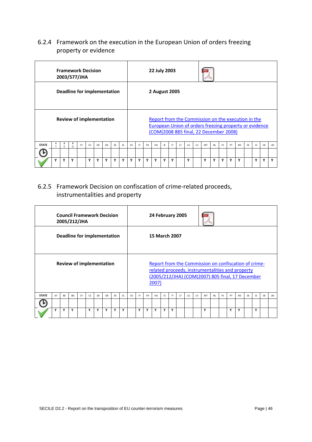# <span id="page-45-0"></span>6.2.4 Framework on the execution in the European Union of orders freezing property or evidence

|              |                                                                |        |        | <b>Framework Decision</b><br>2003/577/JHA |    |    |    |     |     |           |     |           | 22 July 2003  |     |    |           |     |                         |                                                                                                                                                        |    |     |    |           |    |               |           |    |
|--------------|----------------------------------------------------------------|--------|--------|-------------------------------------------|----|----|----|-----|-----|-----------|-----|-----------|---------------|-----|----|-----------|-----|-------------------------|--------------------------------------------------------------------------------------------------------------------------------------------------------|----|-----|----|-----------|----|---------------|-----------|----|
|              | Deadline for implementation<br><b>Review of implementation</b> |        |        |                                           |    |    |    |     |     |           |     |           | 2 August 2005 |     |    |           |     |                         |                                                                                                                                                        |    |     |    |           |    |               |           |    |
|              |                                                                |        |        |                                           |    |    |    |     |     |           |     |           |               |     |    |           |     |                         | Report from the Commission on the execution in the<br>European Union of orders freezing property or evidence<br>(COM(2008 885 final, 22 December 2008) |    |     |    |           |    |               |           |    |
| <b>STATE</b> |                                                                | B<br>F | В<br>G | CY                                        | CZ | DF | DK | FF. | FL. | <b>FS</b> | EL. | <b>FR</b> | HU            | IE. | IT | <b>LT</b> | 111 | $\mathsf{I} \mathsf{V}$ | MT                                                                                                                                                     | NI | PL. | PT | <b>RO</b> | SF | <sup>SI</sup> | <b>SK</b> | UK |
|              |                                                                |        |        |                                           |    |    |    |     |     |           |     |           |               |     |    |           |     |                         |                                                                                                                                                        |    |     |    |           |    |               |           |    |
|              | v                                                              | Y      | Y      |                                           | Y  | Y  | Y  | v   | Y   | Y         | Υ   | Y         | Υ             | Y   | Υ  |           | ٧   |                         | Υ                                                                                                                                                      | Y  | Υ   | Y  | Y         |    | Υ             | Υ         | Y  |

# <span id="page-45-1"></span>6.2.5 Framework Decision on confiscation of crime-related proceeds, instrumentalities and property

|              |                                                                                       |           | 2005/212/JHA |    |    |     | <b>Council Framework Decision</b> |     |           |    |    |           | 24 February 2005     |    |    |    |           |     |                                                                                                                                                              |           |           |     |           |           |   |  |  |
|--------------|---------------------------------------------------------------------------------------|-----------|--------------|----|----|-----|-----------------------------------|-----|-----------|----|----|-----------|----------------------|----|----|----|-----------|-----|--------------------------------------------------------------------------------------------------------------------------------------------------------------|-----------|-----------|-----|-----------|-----------|---|--|--|
|              |                                                                                       |           |              |    |    |     | Deadline for implementation       |     |           |    |    |           | <b>15 March 2007</b> |    |    |    |           |     |                                                                                                                                                              |           |           |     |           |           |   |  |  |
|              |                                                                                       |           |              |    |    |     |                                   |     |           |    |    |           | 2007)                |    |    |    |           |     | Report from the Commission on confiscation of crime-<br>related proceeds, instrumentalities and property<br>(2005/212/JHA) (COM(2007) 805 final, 17 December |           |           |     |           |           |   |  |  |
| <b>STATE</b> | AT                                                                                    | <b>BF</b> | <b>BG</b>    | CY | CZ | FL. | <b>FS</b>                         | FI. | <b>FR</b> | HU | IE | <b>IT</b> | LT                   | 1U | LV | MT | <b>NI</b> | PI. | PT                                                                                                                                                           | <b>RO</b> | <b>SE</b> | SI. | <b>SK</b> | <b>UK</b> |   |  |  |
|              | <b>Review of implementation</b><br>FF.<br>DF<br>DK<br>Y<br>Y<br>Y<br>Y<br>Y<br>٧<br>Υ |           |              |    |    |     |                                   |     |           |    |    |           |                      |    |    |    |           |     |                                                                                                                                                              |           |           |     |           |           |   |  |  |
|              |                                                                                       |           |              |    |    |     |                                   |     | Υ         |    | Y  | Y         | Υ                    | Y  | Υ  |    |           |     | Υ                                                                                                                                                            |           |           | Υ   | Υ         |           | Υ |  |  |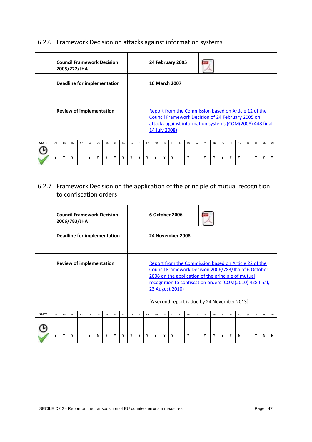# <span id="page-46-0"></span>6.2.6 Framework Decision on attacks against information systems

|              |                                      |           | 2005/222/JHA |    |    |    | <b>Council Framework Decision</b> |     |     |           |     |           | 24 February 2005     |    |    |           |    |    |                                                                                                                                                                                |           |    |    |     |    |     |           |             |
|--------------|--------------------------------------|-----------|--------------|----|----|----|-----------------------------------|-----|-----|-----------|-----|-----------|----------------------|----|----|-----------|----|----|--------------------------------------------------------------------------------------------------------------------------------------------------------------------------------|-----------|----|----|-----|----|-----|-----------|-------------|
|              |                                      |           |              |    |    |    | Deadline for implementation       |     |     |           |     |           | <b>16 March 2007</b> |    |    |           |    |    |                                                                                                                                                                                |           |    |    |     |    |     |           |             |
|              |                                      |           |              |    |    |    | <b>Review of implementation</b>   |     |     |           |     |           | 14 July 2008)        |    |    |           |    |    | Report from the Commission based on Article 12 of the<br><b>Council Framework Decision of 24 February 2005 on</b><br>attacks against information systems (COM(2008) 448 final, |           |    |    |     |    |     |           |             |
| <b>STATE</b> | AT                                   | <b>BF</b> | <b>BG</b>    | CY | CZ | DF | <b>DK</b>                         | FF. | FL. | <b>FS</b> | FI. | <b>FR</b> | HU                   | IE | IT | <b>LT</b> | LU | 1V | MT                                                                                                                                                                             | <b>NI</b> | PL | PT | RO. | SF | SI. | <b>SK</b> | UK          |
|              |                                      |           |              |    |    |    |                                   |     |     |           |     |           |                      |    |    |           |    |    |                                                                                                                                                                                |           |    |    |     |    |     |           |             |
|              | Y<br>Υ<br>٧<br>Υ<br>Y<br>Υ<br>v<br>Υ |           |              |    |    |    |                                   |     |     |           |     | Υ         | Y                    | Υ  | Υ  |           | Υ  |    | Υ                                                                                                                                                                              | Υ         | ٧  | Υ  | Υ   |    | Υ   | Υ         | $\mathbf v$ |

# <span id="page-46-1"></span>6.2.7 Framework Decision on the application of the principle of mutual recognition to confiscation orders

|              |    |    | 2006/783/JHA |    |    | <b>Council Framework Decision</b> |    |    |     |    |    |           | 6 October 2006   |    |    |     |    |    |                                                                                                                                                                                                                                                                                 |           |    |    |           |           |           |           |    |
|--------------|----|----|--------------|----|----|-----------------------------------|----|----|-----|----|----|-----------|------------------|----|----|-----|----|----|---------------------------------------------------------------------------------------------------------------------------------------------------------------------------------------------------------------------------------------------------------------------------------|-----------|----|----|-----------|-----------|-----------|-----------|----|
|              |    |    |              |    |    | Deadline for implementation       |    |    |     |    |    |           | 24 November 2008 |    |    |     |    |    |                                                                                                                                                                                                                                                                                 |           |    |    |           |           |           |           |    |
|              |    |    |              |    |    | <b>Review of implementation</b>   |    |    |     |    |    |           | 23 August 2010)  |    |    |     |    |    | Report from the Commission based on Article 22 of the<br>Council Framework Decision 2006/783/Jha of 6 October<br>2008 on the application of the principle of mutual<br>recognition to confiscation orders (COM(2010) 428 final,<br>[A second report is due by 24 November 2013] |           |    |    |           |           |           |           |    |
| <b>STATE</b> | AT | BE | BG           | CY | CZ | DE                                | DK | EE | EL. | ES | F1 | <b>FR</b> | HU               | IE | IT | LT. | LU | LV | MT                                                                                                                                                                                                                                                                              | <b>NL</b> | PL | PT | <b>RO</b> | <b>SE</b> | <b>SI</b> | <b>SK</b> | UK |
|              |    |    |              |    |    |                                   |    |    |     |    |    |           |                  |    |    |     |    |    |                                                                                                                                                                                                                                                                                 |           |    |    |           |           |           |           |    |
|              | Υ  | Y  | Y            |    | Y  | N                                 | Y  | Y  | Y   | Y  | Y  | Y         | Y                | Y  | Y  |     | Y  |    | Y                                                                                                                                                                                                                                                                               | Y         | Y  | Y  | N         |           | Y         | N         | N  |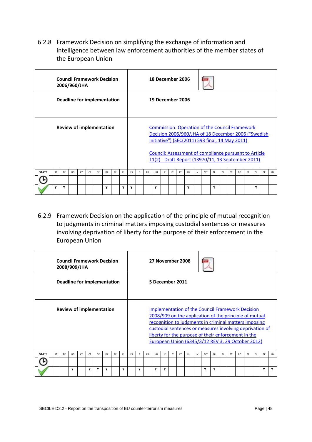<span id="page-47-0"></span>6.2.8 Framework Decision on simplifying the exchange of information and intelligence between law enforcement authorities of the member states of the European Union

|              |                                 |           | <b>Council Framework Decision</b><br>2006/960/JHA |    |    |    |    |     |     |           |     |           | 18 December 2006 |    |    |           |    |    |                                                                                                                                                                 |           |     |    |           |    |     |           |    |
|--------------|---------------------------------|-----------|---------------------------------------------------|----|----|----|----|-----|-----|-----------|-----|-----------|------------------|----|----|-----------|----|----|-----------------------------------------------------------------------------------------------------------------------------------------------------------------|-----------|-----|----|-----------|----|-----|-----------|----|
|              |                                 |           | Deadline for implementation                       |    |    |    |    |     |     |           |     |           | 19 December 2006 |    |    |           |    |    |                                                                                                                                                                 |           |     |    |           |    |     |           |    |
|              | <b>Review of implementation</b> |           |                                                   |    |    |    |    |     |     |           |     |           |                  |    |    |           |    |    | <b>Commission: Operation of the Council Framework</b><br>Decision 2006/960/JHA of 18 December 2006 ("Swedish<br>Initiative") (SEC(2011) 593 final, 14 May 2011) |           |     |    |           |    |     |           |    |
|              |                                 |           |                                                   |    |    |    |    |     |     |           |     |           |                  |    |    |           |    |    | Council: Assessment of compliance pursuant to Article<br>11(2) - Draft Report (13970/11, 13 September 2011)                                                     |           |     |    |           |    |     |           |    |
| <b>STATE</b> | AT                              | <b>BF</b> | <b>BG</b>                                         | CY | CZ | DF | DK | FF. | FL. | <b>FS</b> | FL. | <b>FR</b> | HU               | IF | IT | <b>IT</b> | 1U | 1V | MT                                                                                                                                                              | <b>NI</b> | PL. | PT | <b>RO</b> | SF | -SI | <b>SK</b> | UK |
|              |                                 |           |                                                   |    |    |    |    |     |     |           |     |           |                  |    |    |           |    |    |                                                                                                                                                                 |           |     |    |           |    |     |           |    |
|              | Y                               | Y         |                                                   |    |    |    | Υ  |     | Y   | ٧         |     |           | Y                |    |    |           | γ  |    |                                                                                                                                                                 | Y         |     |    |           |    | Υ   |           |    |

<span id="page-47-1"></span>6.2.9 Framework Decision on the application of the principle of mutual recognition to judgments in criminal matters imposing custodial sentences or measures involving deprivation of liberty for the purpose of their enforcement in the European Union

|              | <b>Council Framework Decision</b><br>2008/909/JHA<br>Deadline for implementation<br><b>Review of implementation</b> |    |    |    |    |    |    |    |     |    |     |           | 27 November 2008 |    |    |           |    |    |                                                                                                                                                                                                                                                                                                                                                    |           |    |    |           |    |           |           |    |
|--------------|---------------------------------------------------------------------------------------------------------------------|----|----|----|----|----|----|----|-----|----|-----|-----------|------------------|----|----|-----------|----|----|----------------------------------------------------------------------------------------------------------------------------------------------------------------------------------------------------------------------------------------------------------------------------------------------------------------------------------------------------|-----------|----|----|-----------|----|-----------|-----------|----|
|              |                                                                                                                     |    |    |    |    |    |    |    |     |    |     |           | 5 December 2011  |    |    |           |    |    |                                                                                                                                                                                                                                                                                                                                                    |           |    |    |           |    |           |           |    |
|              |                                                                                                                     |    |    |    |    |    |    |    |     |    |     |           |                  |    |    |           |    |    | <b>Implementation of the Council Framework Decision</b><br>2008/909 on the application of the principle of mutual<br>recognition to judgments in criminal matters imposing<br>custodial sentences or measures involving deprivation of<br>liberty for the purpose of their enforcement in the<br>European Union (6345/3/12 REV 3, 29 October 2012) |           |    |    |           |    |           |           |    |
| <b>STATE</b> | AT                                                                                                                  | BE | BG | CY | CZ | DF | DK | EE | EL. | ES | FI. | <b>FR</b> | HU               | IE | IT | <b>LT</b> | LU | LV | MT                                                                                                                                                                                                                                                                                                                                                 | <b>NL</b> | PL | PT | <b>RO</b> | SE | <b>SI</b> | <b>SK</b> | UK |
|              |                                                                                                                     |    | ٧  |    | Υ  | Υ  | ٧  |    | ٧   |    | Υ   |           | γ                | Υ  |    |           |    |    | Υ                                                                                                                                                                                                                                                                                                                                                  | γ         |    |    |           |    |           | Υ         | v  |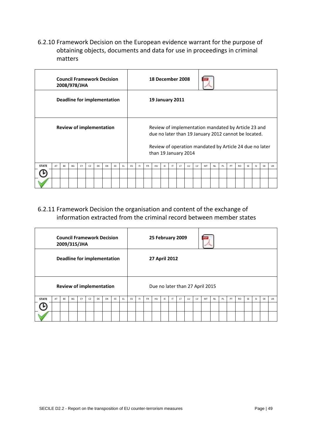<span id="page-48-0"></span>6.2.10 Framework Decision on the European evidence warrant for the purpose of obtaining objects, documents and data for use in proceedings in criminal matters

|              | <b>Council Framework Decision</b><br>2008/978/JHA<br>Deadline for implementation<br><b>Review of implementation</b><br>BE<br><b>BG</b><br>CZ<br>DE<br>DK<br>FF.<br>AT<br>CY |  |  |  |  |  |  |  |     |    |     |           | 18 December 2008       |     |    |           |    |    |                                                                                                                                                                        |           |    |    |           |    |               |           |           |
|--------------|-----------------------------------------------------------------------------------------------------------------------------------------------------------------------------|--|--|--|--|--|--|--|-----|----|-----|-----------|------------------------|-----|----|-----------|----|----|------------------------------------------------------------------------------------------------------------------------------------------------------------------------|-----------|----|----|-----------|----|---------------|-----------|-----------|
|              |                                                                                                                                                                             |  |  |  |  |  |  |  |     |    |     |           | <b>19 January 2011</b> |     |    |           |    |    |                                                                                                                                                                        |           |    |    |           |    |               |           |           |
|              |                                                                                                                                                                             |  |  |  |  |  |  |  |     |    |     |           | than 19 January 2014   |     |    |           |    |    | Review of implementation mandated by Article 23 and<br>due no later than 19 January 2012 cannot be located.<br>Review of operation mandated by Article 24 due no later |           |    |    |           |    |               |           |           |
| <b>STATE</b> |                                                                                                                                                                             |  |  |  |  |  |  |  | EL. | ES | FI. | <b>FR</b> | HU                     | IE. | IT | <b>IT</b> | LU | 1V | MT                                                                                                                                                                     | <b>NL</b> | PL | PT | <b>RO</b> | SE | <sup>SI</sup> | <b>SK</b> | <b>UK</b> |
|              |                                                                                                                                                                             |  |  |  |  |  |  |  |     |    |     |           |                        |     |    |           |    |    |                                                                                                                                                                        |           |    |    |           |    |               |           |           |
|              |                                                                                                                                                                             |  |  |  |  |  |  |  |     |    |     |           |                        |     |    |           |    |    |                                                                                                                                                                        |           |    |    |           |    |               |           |           |

<span id="page-48-1"></span>6.2.11 Framework Decision the organisation and content of the exchange of information extracted from the criminal record between member states

|              | <b>Council Framework Decision</b><br>2009/315/JHA<br><b>Deadline for implementation</b> |    |           |    |    |    |    |    |     |    |    |           | 25 February 2009 |    |              |    |    |    |                                 |           |    |    |           |           |     |           |           |
|--------------|-----------------------------------------------------------------------------------------|----|-----------|----|----|----|----|----|-----|----|----|-----------|------------------|----|--------------|----|----|----|---------------------------------|-----------|----|----|-----------|-----------|-----|-----------|-----------|
|              |                                                                                         |    |           |    |    |    |    |    |     |    |    |           | 27 April 2012    |    |              |    |    |    |                                 |           |    |    |           |           |     |           |           |
|              | <b>Review of implementation</b>                                                         |    |           |    |    |    |    |    |     |    |    |           |                  |    |              |    |    |    | Due no later than 27 April 2015 |           |    |    |           |           |     |           |           |
| <b>STATE</b> | AT                                                                                      | BE | <b>BG</b> | CY | CZ | DE | DK | EE | EL. | ES | F1 | <b>FR</b> | HU               | IE | $\mathsf{I}$ | LT | LU | LV | MT                              | <b>NL</b> | PL | PT | <b>RO</b> | <b>SE</b> | SI. | <b>SK</b> | <b>UK</b> |
|              |                                                                                         |    |           |    |    |    |    |    |     |    |    |           |                  |    |              |    |    |    |                                 |           |    |    |           |           |     |           |           |
|              |                                                                                         |    |           |    |    |    |    |    |     |    |    |           |                  |    |              |    |    |    |                                 |           |    |    |           |           |     |           |           |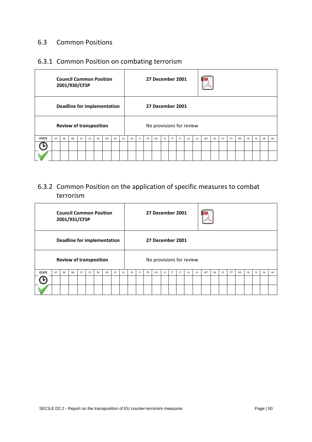### <span id="page-49-0"></span>6.3 Common Positions

# <span id="page-49-1"></span>6.3.1 Common Position on combating terrorism

|              |                                    |    | <b>Council Common Position</b><br>2001/930/CFSP |    |    |    |    |    |     |    |     |           | 27 December 2001         |    |              |     |    |    |    |           |    |    |           |           |           |           |           |
|--------------|------------------------------------|----|-------------------------------------------------|----|----|----|----|----|-----|----|-----|-----------|--------------------------|----|--------------|-----|----|----|----|-----------|----|----|-----------|-----------|-----------|-----------|-----------|
|              | <b>Deadline for implementation</b> |    |                                                 |    |    |    |    |    |     |    |     |           | 27 December 2001         |    |              |     |    |    |    |           |    |    |           |           |           |           |           |
|              | <b>Review of transposition</b>     |    |                                                 |    |    |    |    |    |     |    |     |           | No provisions for review |    |              |     |    |    |    |           |    |    |           |           |           |           |           |
| <b>STATE</b> | AT                                 | BE | BG                                              | CY | CZ | DE | DK | EE | EL. | ES | FI. | <b>FR</b> | HU                       | IE | $\mathsf{I}$ | LT. | LU | LV | MT | <b>NL</b> | PL | PT | <b>RO</b> | <b>SE</b> | <b>SI</b> | <b>SK</b> | <b>UK</b> |
|              |                                    |    |                                                 |    |    |    |    |    |     |    |     |           |                          |    |              |     |    |    |    |           |    |    |           |           |           |           |           |
|              |                                    |    |                                                 |    |    |    |    |    |     |    |     |           |                          |    |              |     |    |    |    |           |    |    |           |           |           |           |           |

# <span id="page-49-2"></span>6.3.2 Common Position on the application of specific measures to combat terrorism

|              |                                    |    | <b>Council Common Position</b><br>2001/931/CFSP |    |    |    |    |    |     |    |     |           | 27 December 2001         |    |              |     |    |    |    |           |    |    |           |           |           |           |           |
|--------------|------------------------------------|----|-------------------------------------------------|----|----|----|----|----|-----|----|-----|-----------|--------------------------|----|--------------|-----|----|----|----|-----------|----|----|-----------|-----------|-----------|-----------|-----------|
|              | <b>Deadline for implementation</b> |    |                                                 |    |    |    |    |    |     |    |     |           | 27 December 2001         |    |              |     |    |    |    |           |    |    |           |           |           |           |           |
|              | <b>Review of transposition</b>     |    |                                                 |    |    |    |    |    |     |    |     |           | No provisions for review |    |              |     |    |    |    |           |    |    |           |           |           |           |           |
| <b>STATE</b> | AT                                 | BE | BG                                              | CY | CZ | DE | DK | EE | FL. | ES | FI. | <b>FR</b> | HU                       | IE | $\mathsf{I}$ | LT. | LU | LV | MT | <b>NL</b> | PL | PT | <b>RO</b> | <b>SE</b> | <b>SI</b> | <b>SK</b> | <b>UK</b> |
|              |                                    |    |                                                 |    |    |    |    |    |     |    |     |           |                          |    |              |     |    |    |    |           |    |    |           |           |           |           |           |
|              |                                    |    |                                                 |    |    |    |    |    |     |    |     |           |                          |    |              |     |    |    |    |           |    |    |           |           |           |           |           |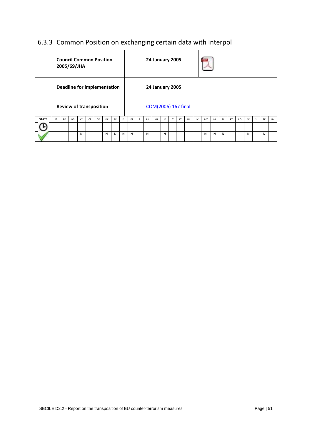# <span id="page-50-0"></span>6.3.3 Common Position on exchanging certain data with Interpol

|              |                                    |    | <b>Council Common Position</b><br>2005/69/JHA |    |    |    |    |    |     |    |    |           | <b>24 January 2005</b> |    |    |     |    |    |    |           |    |    |           |    |           |           |    |
|--------------|------------------------------------|----|-----------------------------------------------|----|----|----|----|----|-----|----|----|-----------|------------------------|----|----|-----|----|----|----|-----------|----|----|-----------|----|-----------|-----------|----|
|              | <b>Deadline for implementation</b> |    |                                               |    |    |    |    |    |     |    |    |           | <b>24 January 2005</b> |    |    |     |    |    |    |           |    |    |           |    |           |           |    |
|              |                                    |    | <b>Review of transposition</b>                |    |    |    |    |    |     |    |    |           | COM(2006) 167 final    |    |    |     |    |    |    |           |    |    |           |    |           |           |    |
| <b>STATE</b> | AT                                 | BE | BG                                            | CY | CZ | DE | DK | EE | EL. | ES | F1 | <b>FR</b> | HU                     | IE | IT | LT. | LU | LV | MT | <b>NL</b> | PL | PT | <b>RO</b> | SE | <b>SI</b> | <b>SK</b> | UK |
|              |                                    |    |                                               |    |    |    |    |    |     |    |    |           |                        |    |    |     |    |    |    |           |    |    |           |    |           |           |    |
|              | N<br>N<br>N<br>N                   |    |                                               |    |    |    |    |    |     |    |    | N         |                        | N  |    |     |    |    | N  | N         | N  |    |           | N  |           | N         |    |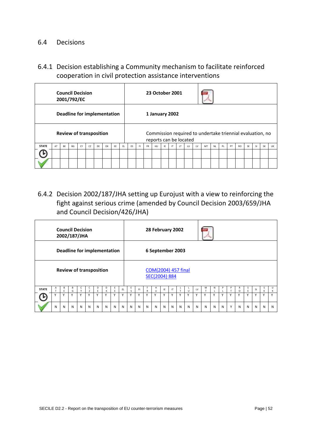#### <span id="page-51-0"></span>6.4 Decisions

<span id="page-51-1"></span>6.4.1 Decision establishing a Community mechanism to facilitate reinforced cooperation in civil protection assistance interventions

| <b>Council Decision</b><br>2001/792/EC<br><b>Review of transposition</b>                                         |  |  |  |  |  |  |  |     |    |     |           | 23 October 2001        |    |              |    |    |    |                                                           |           |    |    |           |           |           |           |    |
|------------------------------------------------------------------------------------------------------------------|--|--|--|--|--|--|--|-----|----|-----|-----------|------------------------|----|--------------|----|----|----|-----------------------------------------------------------|-----------|----|----|-----------|-----------|-----------|-----------|----|
|                                                                                                                  |  |  |  |  |  |  |  |     |    |     |           | 1 January 2002         |    |              |    |    |    |                                                           |           |    |    |           |           |           |           |    |
| <b>Deadline for implementation</b><br><b>STATE</b><br><b>BF</b><br>CY<br>CZ<br>EE<br><b>BG</b><br>DK<br>AT<br>DF |  |  |  |  |  |  |  |     |    |     |           | reports can be located |    |              |    |    |    | Commission required to undertake triennial evaluation, no |           |    |    |           |           |           |           |    |
|                                                                                                                  |  |  |  |  |  |  |  | FL. | ES | FI. | <b>FR</b> | HU                     | IE | $\mathsf{I}$ | LT | LU | LV | MT                                                        | <b>NL</b> | PL | PT | <b>RO</b> | <b>SE</b> | <b>SI</b> | <b>SK</b> | UK |
|                                                                                                                  |  |  |  |  |  |  |  |     |    |     |           |                        |    |              |    |    |    |                                                           |           |    |    |           |           |           |           |    |
|                                                                                                                  |  |  |  |  |  |  |  |     |    |     |           |                        |    |              |    |    |    |                                                           |           |    |    |           |           |           |           |    |

<span id="page-51-2"></span>6.4.2 Decision 2002/187/JHA setting up Eurojust with a view to reinforcing the fight against serious crime (amended by Council Decision 2003/659/JHA and Council Decision/426/JHA)

|              |                                                                       |         | <b>Council Decision</b><br>2002/187/JHA |                   |        |   |        |         |    |        |    |              | 28 February 2002                     |              |    |   |        |    |   |   |   |   |               |   |    |        |              |
|--------------|-----------------------------------------------------------------------|---------|-----------------------------------------|-------------------|--------|---|--------|---------|----|--------|----|--------------|--------------------------------------|--------------|----|---|--------|----|---|---|---|---|---------------|---|----|--------|--------------|
|              |                                                                       |         |                                         |                   |        |   |        |         |    |        |    |              | 6 September 2003                     |              |    |   |        |    |   |   |   |   |               |   |    |        |              |
|              | Deadline for implementation<br><b>Review of transposition</b>         |         |                                         |                   |        |   |        |         |    |        |    |              | COM(2004) 457 final<br>SEC(2004) 884 |              |    |   |        |    |   |   |   |   |               |   |    |        |              |
| <b>STATE</b> | $\mathsf{A}$<br>$\tau$                                                | В<br>F. | В<br>G                                  | c<br>$\checkmark$ | c<br>Z | D | D<br>К | E.<br>F | EL | E<br>S | F1 | R            | н<br>U                               | IE           | IT |   | $\cup$ | LV | м | N | P | P | R<br>$\Omega$ | s | SI | S<br>K | U<br>К       |
|              | Y<br>$\mathsf{v}$<br>Y<br>v<br>Y<br>$\checkmark$<br>$\checkmark$<br>v |         |                                         |                   |        |   |        |         |    |        | Y  | $\checkmark$ | v                                    | $\checkmark$ | Y  | v | Y      |    | Y | Y |   | Y | $\vee$        | Y | v  | Y      | $\checkmark$ |
|              | N                                                                     | N       | N                                       | N                 | N      | N | N      | N       | N  | N      | N  | N            | N                                    | N            | N  | N | N      | N  | N | N | N | Y | N             | N | N  | N      | N            |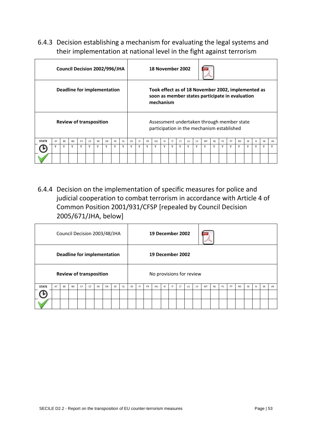<span id="page-52-0"></span>6.4.3 Decision establishing a mechanism for evaluating the legal systems and their implementation at national level in the fight against terrorism

|              | <b>Review of transposition</b><br><b>BF</b><br>CZ<br>FF.<br><b>BG</b><br>CY<br>DF<br>AT<br>DK<br>v<br>γ<br>v<br>Y<br>v<br>Y<br>v<br>v |  |  |  |  |  |  |  |  |   | 18 November 2002 |             |           |     |    |    |     |    |                                                                                                       |           |     |    |           |           |     |           |           |
|--------------|---------------------------------------------------------------------------------------------------------------------------------------|--|--|--|--|--|--|--|--|---|------------------|-------------|-----------|-----|----|----|-----|----|-------------------------------------------------------------------------------------------------------|-----------|-----|----|-----------|-----------|-----|-----------|-----------|
|              | Deadline for implementation                                                                                                           |  |  |  |  |  |  |  |  |   |                  |             | mechanism |     |    |    |     |    | Took effect as of 18 November 2002, implemented as<br>soon as member states participate in evaluation |           |     |    |           |           |     |           |           |
|              | Council Decision 2002/996/JHA                                                                                                         |  |  |  |  |  |  |  |  |   |                  |             |           |     |    |    |     |    | Assessment undertaken through member state<br>participation in the mechanism established              |           |     |    |           |           |     |           |           |
| <b>STATE</b> |                                                                                                                                       |  |  |  |  |  |  |  |  |   | FI.              | <b>FR</b>   | HU        | IF. | IT | 1T | 111 | 1V | MT                                                                                                    | <b>NI</b> | PI. | PT | <b>RO</b> | <b>SF</b> | -SI | <b>SK</b> | <b>UK</b> |
|              |                                                                                                                                       |  |  |  |  |  |  |  |  | v | Υ                | $\mathbf v$ | v         |     | Y  | v  | Υ   | ٧  | γ                                                                                                     | Y         |     | Υ  | ٧         | Y         | ٧   | Y         |           |
|              | FL.<br>γ                                                                                                                              |  |  |  |  |  |  |  |  |   |                  |             |           |     |    |    |     |    |                                                                                                       |           |     |    |           |           |     |           |           |

<span id="page-52-1"></span>6.4.4 Decision on the implementation of specific measures for police and judicial cooperation to combat terrorism in accordance with Article 4 of Common Position 2001/931/CFSP [repealed by Council Decision 2005/671/JHA, below]

|              |                                                                                                          |  |  |  |  |  |  |    |     |    |    |           | 19 December 2002         |     |              |     |    |    |    |           |    |    |           |           |           |           |    |
|--------------|----------------------------------------------------------------------------------------------------------|--|--|--|--|--|--|----|-----|----|----|-----------|--------------------------|-----|--------------|-----|----|----|----|-----------|----|----|-----------|-----------|-----------|-----------|----|
|              |                                                                                                          |  |  |  |  |  |  |    |     |    |    |           | 19 December 2002         |     |              |     |    |    |    |           |    |    |           |           |           |           |    |
|              | Council Decision 2003/48/JHA<br><b>Review of transposition</b><br>CZ<br>AT<br>BE<br>BG<br>CY<br>DK<br>DE |  |  |  |  |  |  |    |     |    |    |           | No provisions for review |     |              |     |    |    |    |           |    |    |           |           |           |           |    |
| <b>STATE</b> |                                                                                                          |  |  |  |  |  |  | EE | EL. | ES | F1 | <b>FR</b> | HU                       | IE. | $\mathsf{I}$ | LT. | LU | LV | MT | <b>NL</b> | PL | PT | <b>RO</b> | <b>SE</b> | <b>SI</b> | <b>SK</b> | UK |
|              |                                                                                                          |  |  |  |  |  |  |    |     |    |    |           |                          |     |              |     |    |    |    |           |    |    |           |           |           |           |    |
|              | <b>Deadline for implementation</b>                                                                       |  |  |  |  |  |  |    |     |    |    |           |                          |     |              |     |    |    |    |           |    |    |           |           |           |           |    |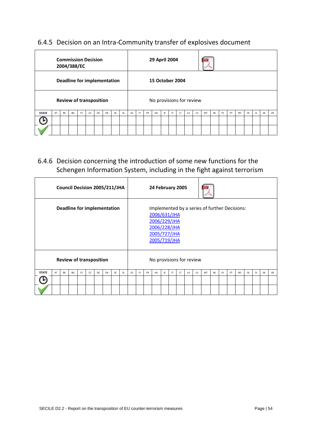# <span id="page-53-0"></span>6.4.5 Decision on an Intra-Community transfer of explosives document

|              | <b>Commission Decision</b><br>2004/388/EC<br><b>Review of transposition</b><br>BE<br>BG<br>CY<br>CZ<br><b>DK</b><br>AT<br>DE |  |  |  |  |  |  |    |     |    |    |           | 29 April 2004            |     |    |     |    |    |    |           |    |    |           |           |           |           |    |
|--------------|------------------------------------------------------------------------------------------------------------------------------|--|--|--|--|--|--|----|-----|----|----|-----------|--------------------------|-----|----|-----|----|----|----|-----------|----|----|-----------|-----------|-----------|-----------|----|
|              | <b>Deadline for implementation</b>                                                                                           |  |  |  |  |  |  |    |     |    |    |           | <b>15 October 2004</b>   |     |    |     |    |    |    |           |    |    |           |           |           |           |    |
|              |                                                                                                                              |  |  |  |  |  |  |    |     |    |    |           | No provisions for review |     |    |     |    |    |    |           |    |    |           |           |           |           |    |
| <b>STATE</b> |                                                                                                                              |  |  |  |  |  |  | EE | EL. | ES | F1 | <b>FR</b> | HU                       | IE. | IT | LT. | LU | LV | MT | <b>NL</b> | PL | PT | <b>RO</b> | <b>SE</b> | <b>SI</b> | <b>SK</b> | UK |
|              |                                                                                                                              |  |  |  |  |  |  |    |     |    |    |           |                          |     |    |     |    |    |    |           |    |    |           |           |           |           |    |
|              |                                                                                                                              |  |  |  |  |  |  |    |     |    |    |           |                          |     |    |     |    |    |    |           |    |    |           |           |           |           |    |

# <span id="page-53-1"></span>6.4.6 Decision concerning the introduction of some new functions for the Schengen Information System, including in the fight against terrorism

|              |    |    |    |                          |    | Council Decision 2005/211/JHA      |           |    |     |    |    |           | 24 February 2005                                                             |     |              |    |    |    |                                               |           |    |    |           |           |           |           |           |
|--------------|----|----|----|--------------------------|----|------------------------------------|-----------|----|-----|----|----|-----------|------------------------------------------------------------------------------|-----|--------------|----|----|----|-----------------------------------------------|-----------|----|----|-----------|-----------|-----------|-----------|-----------|
|              |    |    |    |                          |    | <b>Deadline for implementation</b> |           |    |     |    |    |           | 2006/631/JHA<br>2006/229/JHA<br>2006/228/JHA<br>2005/727/JHA<br>2005/719/JHA |     |              |    |    |    | Implemented by a series of further Decisions: |           |    |    |           |           |           |           |           |
|              |    |    |    | No provisions for review |    |                                    |           |    |     |    |    |           |                                                                              |     |              |    |    |    |                                               |           |    |    |           |           |           |           |           |
| <b>STATE</b> | AT | BE | BG | CY                       | CZ | DE                                 | <b>DK</b> | EE | EL. | ES | F1 | <b>FR</b> | HU                                                                           | IE. | $\mathsf{I}$ | LT | LU | LV | MT                                            | <b>NL</b> | PL | PT | <b>RO</b> | <b>SE</b> | <b>SI</b> | <b>SK</b> | <b>UK</b> |
|              |    |    |    |                          |    |                                    |           |    |     |    |    |           |                                                                              |     |              |    |    |    |                                               |           |    |    |           |           |           |           |           |
|              |    |    |    |                          |    |                                    |           |    |     |    |    |           |                                                                              |     |              |    |    |    |                                               |           |    |    |           |           |           |           |           |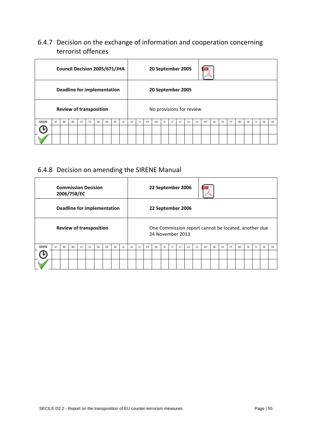# <span id="page-54-0"></span>6.4.7 Decision on the exchange of information and cooperation concerning terrorist offences

|              | Council Decision 2005/671/JHA<br><b>Review of transposition</b><br>BE<br><b>BG</b><br>CY<br>CZ<br>DK<br>EE<br>AT<br>DE |  |  |  |  |  |  |  |     |    |    |           | 20 September 2005        |     |    |     |    |    |    |           |    |    |           |           |           |           |    |
|--------------|------------------------------------------------------------------------------------------------------------------------|--|--|--|--|--|--|--|-----|----|----|-----------|--------------------------|-----|----|-----|----|----|----|-----------|----|----|-----------|-----------|-----------|-----------|----|
|              | <b>Deadline for implementation</b>                                                                                     |  |  |  |  |  |  |  |     |    |    |           | 20 September 2005        |     |    |     |    |    |    |           |    |    |           |           |           |           |    |
|              |                                                                                                                        |  |  |  |  |  |  |  |     |    |    |           | No provisions for review |     |    |     |    |    |    |           |    |    |           |           |           |           |    |
| <b>STATE</b> |                                                                                                                        |  |  |  |  |  |  |  | EL. | ES | F1 | <b>FR</b> | HU                       | IE. | IT | LT. | LU | LV | MT | <b>NL</b> | PL | PT | <b>RO</b> | <b>SE</b> | <b>SI</b> | <b>SK</b> | UK |
|              |                                                                                                                        |  |  |  |  |  |  |  |     |    |    |           |                          |     |    |     |    |    |    |           |    |    |           |           |           |           |    |
|              |                                                                                                                        |  |  |  |  |  |  |  |     |    |    |           |                          |     |    |     |    |    |    |           |    |    |           |           |           |           |    |

# <span id="page-54-1"></span>6.4.8 Decision on amending the SIRENE Manual

|              | <b>Commission Decision</b><br>2006/758/EC<br><b>Review of transposition</b><br><b>BG</b><br>CZ<br><b>BF</b><br>CY<br>DK<br>DE<br>AT |  |  |  |  |  |  |    |     |    |    |           | 22 September 2006 |     |    |           |    |    |                                                      |           |    |    |           |           |           |           |    |
|--------------|-------------------------------------------------------------------------------------------------------------------------------------|--|--|--|--|--|--|----|-----|----|----|-----------|-------------------|-----|----|-----------|----|----|------------------------------------------------------|-----------|----|----|-----------|-----------|-----------|-----------|----|
|              | Deadline for implementation                                                                                                         |  |  |  |  |  |  |    |     |    |    |           | 22 September 2006 |     |    |           |    |    |                                                      |           |    |    |           |           |           |           |    |
|              |                                                                                                                                     |  |  |  |  |  |  |    |     |    |    |           | 24 November 2013  |     |    |           |    |    | One Commission report cannot be located, another due |           |    |    |           |           |           |           |    |
| <b>STATE</b> |                                                                                                                                     |  |  |  |  |  |  | EE | EL. | ES | F1 | <b>FR</b> | HU                | IE. | IT | <b>LT</b> | LU | LV | MT                                                   | <b>NL</b> | PL | PT | <b>RO</b> | <b>SE</b> | <b>SI</b> | <b>SK</b> | UK |
|              |                                                                                                                                     |  |  |  |  |  |  |    |     |    |    |           |                   |     |    |           |    |    |                                                      |           |    |    |           |           |           |           |    |
|              |                                                                                                                                     |  |  |  |  |  |  |    |     |    |    |           |                   |     |    |           |    |    |                                                      |           |    |    |           |           |           |           |    |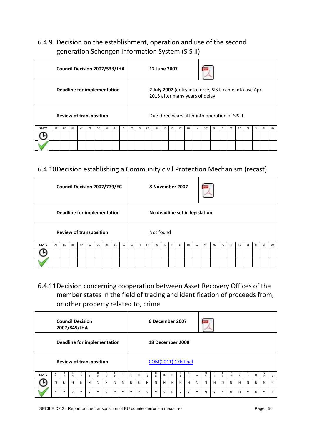# <span id="page-55-0"></span>6.4.9 Decision on the establishment, operation and use of the second generation Schengen Information System (SIS II)

|                                                                                                               |  |  |  |  | Council Decision 2007/533/JHA |  |  |     |           |     |           | 12 June 2007 |     |    |           |     |    |                                                                                              |           |    |    |           |           |           |           |           |
|---------------------------------------------------------------------------------------------------------------|--|--|--|--|-------------------------------|--|--|-----|-----------|-----|-----------|--------------|-----|----|-----------|-----|----|----------------------------------------------------------------------------------------------|-----------|----|----|-----------|-----------|-----------|-----------|-----------|
| Deadline for implementation                                                                                   |  |  |  |  |                               |  |  |     |           |     |           |              |     |    |           |     |    | 2 July 2007 (entry into force, SIS II came into use April<br>2013 after many years of delay) |           |    |    |           |           |           |           |           |
| <b>Review of transposition</b><br><b>BF</b><br>CY<br>CZ<br>FF.<br><b>STATE</b><br>AT<br><b>BG</b><br>DF<br>DK |  |  |  |  |                               |  |  |     |           |     |           |              |     |    |           |     |    | Due three years after into operation of SIS II                                               |           |    |    |           |           |           |           |           |
|                                                                                                               |  |  |  |  |                               |  |  | EL. | <b>FS</b> | FI. | <b>FR</b> | <b>HU</b>    | IF. | IT | <b>LT</b> | 111 | 1V | MT                                                                                           | <b>NI</b> | PL | PT | <b>RO</b> | <b>SE</b> | <b>SI</b> | <b>SK</b> | <b>UK</b> |
|                                                                                                               |  |  |  |  |                               |  |  |     |           |     |           |              |     |    |           |     |    |                                                                                              |           |    |    |           |           |           |           |           |
|                                                                                                               |  |  |  |  |                               |  |  |     |           |     |           |              |     |    |           |     |    |                                                                                              |           |    |    |           |           |           |           |           |

# <span id="page-55-1"></span>6.4.10Decision establishing a Community civil Protection Mechanism (recast)

|              |                                                                                                                                                             |  |  |  |  |  |  |  |     |    |    |           | 8 November 2007 |     |    |     |    |    |                                |           |    |    |           |           |           |           |    |
|--------------|-------------------------------------------------------------------------------------------------------------------------------------------------------------|--|--|--|--|--|--|--|-----|----|----|-----------|-----------------|-----|----|-----|----|----|--------------------------------|-----------|----|----|-----------|-----------|-----------|-----------|----|
|              |                                                                                                                                                             |  |  |  |  |  |  |  |     |    |    |           |                 |     |    |     |    |    | No deadline set in legislation |           |    |    |           |           |           |           |    |
|              | Council Decision 2007/779/EC<br><b>Deadline for implementation</b><br><b>Review of transposition</b><br>BE<br>CZ<br>AT<br>BG<br>CY<br><b>DK</b><br>EE<br>DE |  |  |  |  |  |  |  |     |    |    |           | Not found       |     |    |     |    |    |                                |           |    |    |           |           |           |           |    |
| <b>STATE</b> |                                                                                                                                                             |  |  |  |  |  |  |  | EL. | ES | F1 | <b>FR</b> | HU              | IE. | IT | LT. | LU | LV | MT                             | <b>NL</b> | PL | PT | <b>RO</b> | <b>SE</b> | <b>SI</b> | <b>SK</b> | UK |
|              |                                                                                                                                                             |  |  |  |  |  |  |  |     |    |    |           |                 |     |    |     |    |    |                                |           |    |    |           |           |           |           |    |
|              |                                                                                                                                                             |  |  |  |  |  |  |  |     |    |    |           |                 |     |    |     |    |    |                                |           |    |    |           |           |           |           |    |

<span id="page-55-2"></span>6.4.11Decision concerning cooperation between Asset Recovery Offices of the member states in the field of tracing and identification of proceeds from, or other property related to, crime

|              |   |              | <b>Council Decision</b><br>2007/845/JHA |              |                |              |                             |   |              |              |    |              | 6 December 2007     |              |    |             |              |              |                   |              |              |   |        |        |    |             |        |
|--------------|---|--------------|-----------------------------------------|--------------|----------------|--------------|-----------------------------|---|--------------|--------------|----|--------------|---------------------|--------------|----|-------------|--------------|--------------|-------------------|--------------|--------------|---|--------|--------|----|-------------|--------|
|              |   |              |                                         |              |                |              | Deadline for implementation |   |              |              |    |              | 18 December 2008    |              |    |             |              |              |                   |              |              |   |        |        |    |             |        |
|              |   |              | <b>Review of transposition</b>          |              |                |              |                             |   |              |              |    |              | COM(2011) 176 final |              |    |             |              |              |                   |              |              |   |        |        |    |             |        |
| <b>STATE</b> |   | в<br>F.      | в<br>G                                  |              | $\overline{z}$ | F            | D<br>К                      | E | Ŀ            | S            | F1 | $\mathsf{R}$ | н<br>$\cup$         | IE           | IT |             | $\cup$       | LV           | м<br>$\mathbf{r}$ | Ν            |              |   | R<br>O | s<br>F | SI | K           | U<br>К |
|              | N | N            | $\mathsf{N}$                            | $\mathsf{N}$ | N              | N            | $\mathsf{N}$                | N | N            | N            | N  | N            | N                   | $\mathsf{N}$ | N  | N           | N            | $\mathsf{N}$ | N                 | N            | $\mathsf{N}$ | N | N      | N      | N  | N           | N      |
|              |   | $\checkmark$ | $\checkmark$                            | $\mathbf{v}$ | $\checkmark$   | $\mathbf{v}$ | Y                           |   | $\checkmark$ | $\checkmark$ | Y  |              | v                   | Y            | N  | $\mathbf v$ | $\checkmark$ | Y            | N                 | $\checkmark$ | Y            | N | N      | Y      | N  | $\mathbf v$ | Y      |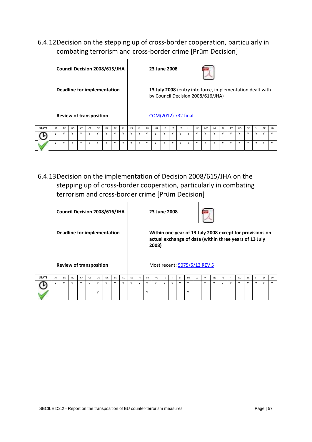# <span id="page-56-0"></span>6.4.12Decision on the stepping up of cross-border cooperation, particularly in combating terrorism and cross-border crime [Prüm Decision]

|              | Council Decision 2008/615/JHA<br>Deadline for implementation |              |              |    |              |    |    |     |     |    |     |           | 23 June 2008        |     |              |        |              |    |                                                                                                |           |              |    |           |           |           |           |              |
|--------------|--------------------------------------------------------------|--------------|--------------|----|--------------|----|----|-----|-----|----|-----|-----------|---------------------|-----|--------------|--------|--------------|----|------------------------------------------------------------------------------------------------|-----------|--------------|----|-----------|-----------|-----------|-----------|--------------|
|              |                                                              |              |              |    |              |    |    |     |     |    |     |           |                     |     |              |        |              |    | 13 July 2008 (entry into force, implementation dealt with<br>by Council Decision 2008/616/JHA) |           |              |    |           |           |           |           |              |
|              | <b>Review of transposition</b>                               |              |              |    |              |    |    |     |     |    |     |           | COM(2012) 732 final |     |              |        |              |    |                                                                                                |           |              |    |           |           |           |           |              |
| <b>STATE</b> | AT                                                           | <b>BF</b>    | <b>BG</b>    | CY | CZ           | DF | DK | FF. | FL. | ES | EL. | <b>FR</b> | HU                  | IF. | $\mathsf{I}$ | LT.    | 1U           | 1V | MT                                                                                             | <b>NI</b> | PL           | PT | <b>RO</b> | <b>SE</b> | <b>SI</b> | <b>SK</b> | UK           |
|              |                                                              | $\mathsf{v}$ |              | Y  | $\checkmark$ | Y  | v  | ٧   | Y   | ٧  | Υ   | v         | v                   | v   | $\vee$       | $\vee$ |              | Y  | Y                                                                                              | γ         | $\checkmark$ | Y  | v         |           | Y         | Y         | v            |
|              |                                                              | v            | $\checkmark$ | Y  | $\checkmark$ | Y  | Y  | v   | Y   | ٧  | Y   | v         | Υ                   | Y   | $\checkmark$ | v      | $\checkmark$ | Υ  | Y                                                                                              | Y         | $\mathsf{v}$ | Y  | v         | v         | Y         | Y         | $\checkmark$ |

<span id="page-56-1"></span>6.4.13Decision on the implementation of Decision 2008/615/JHA on the stepping up of cross-border cooperation, particularly in combating terrorism and cross-border crime [Prüm Decision]

|              |                                                               |           | Council Decision 2008/616/JHA |    |    |     |    | 23 June 2008 |     |           |     |           |       |    |    |           |    |    |                                                                                                                    |           |    |    |           |    |           |           |    |
|--------------|---------------------------------------------------------------|-----------|-------------------------------|----|----|-----|----|--------------|-----|-----------|-----|-----------|-------|----|----|-----------|----|----|--------------------------------------------------------------------------------------------------------------------|-----------|----|----|-----------|----|-----------|-----------|----|
|              | Deadline for implementation<br><b>Review of transposition</b> |           |                               |    |    |     |    |              |     |           |     |           | 2008) |    |    |           |    |    | Within one year of 13 July 2008 except for provisions on<br>actual exchange of data (within three years of 13 July |           |    |    |           |    |           |           |    |
|              |                                                               |           |                               |    |    |     |    |              |     |           |     |           |       |    |    |           |    |    | Most recent: 5075/5/13 REV 5                                                                                       |           |    |    |           |    |           |           |    |
| <b>STATE</b> | AT                                                            | <b>BF</b> | <b>BG</b>                     | CY | CZ | DF. | DK | EE           | FL. | <b>FS</b> | EL. | <b>FR</b> | HU    | IE | IT | <b>LT</b> | LU | 1V | MT                                                                                                                 | <b>NL</b> | PL | PT | <b>RO</b> | SF | <b>SI</b> | <b>SK</b> | UK |
|              |                                                               | Y         | v                             | Y  | Y  | Υ   | Υ  | Υ            | Y   | ٧         | Y   | Υ         | Y     | Υ  | Υ  | ٧         | Υ  |    | Y                                                                                                                  | Υ         | v  | Y  | v         |    | Y         | ٧         |    |
|              | v                                                             |           |                               |    |    |     |    |              |     |           |     |           |       |    |    |           | Y  |    |                                                                                                                    |           |    |    |           |    |           |           |    |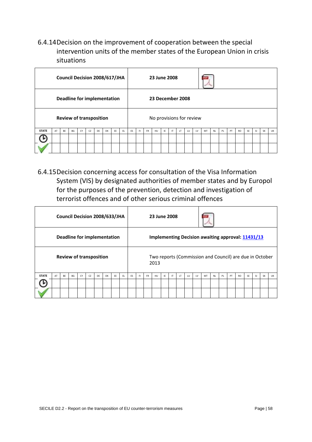<span id="page-57-0"></span>6.4.14Decision on the improvement of cooperation between the special intervention units of the member states of the European Union in crisis situations

|              |                                                                      |    | Council Decision 2008/617/JHA |    |    |    |    |    |     |    |    |           | 23 June 2008             |     |              |     |    |    |    |           |    |    |           |           |           |           |           |
|--------------|----------------------------------------------------------------------|----|-------------------------------|----|----|----|----|----|-----|----|----|-----------|--------------------------|-----|--------------|-----|----|----|----|-----------|----|----|-----------|-----------|-----------|-----------|-----------|
|              |                                                                      |    |                               |    |    |    |    |    |     |    |    |           | 23 December 2008         |     |              |     |    |    |    |           |    |    |           |           |           |           |           |
|              | <b>Deadline for implementation</b><br><b>Review of transposition</b> |    |                               |    |    |    |    |    |     |    |    |           | No provisions for review |     |              |     |    |    |    |           |    |    |           |           |           |           |           |
| <b>STATE</b> | AT                                                                   | BE | BG                            | CY | CZ | DE | DK | EE | EL. | ES | F1 | <b>FR</b> | HU                       | IE. | $\mathsf{I}$ | LT. | LU | LV | MT | <b>NL</b> | PL | PT | <b>RO</b> | <b>SE</b> | <b>SI</b> | <b>SK</b> | <b>UK</b> |
|              |                                                                      |    |                               |    |    |    |    |    |     |    |    |           |                          |     |              |     |    |    |    |           |    |    |           |           |           |           |           |
|              |                                                                      |    |                               |    |    |    |    |    |     |    |    |           |                          |     |              |     |    |    |    |           |    |    |           |           |           |           |           |

<span id="page-57-1"></span>6.4.15Decision concerning access for consultation of the Visa Information System (VIS) by designated authorities of member states and by Europol for the purposes of the prevention, detection and investigation of terrorist offences and of other serious criminal offences

|              | Council Decision 2008/633/JHA<br>Deadline for implementation |    |    |    |    |    |    |    |     |    |    |           | 23 June 2008 |     |    |     |    |    |                                                          |           |    |    |           |           |           |           |           |
|--------------|--------------------------------------------------------------|----|----|----|----|----|----|----|-----|----|----|-----------|--------------|-----|----|-----|----|----|----------------------------------------------------------|-----------|----|----|-----------|-----------|-----------|-----------|-----------|
|              |                                                              |    |    |    |    |    |    |    |     |    |    |           |              |     |    |     |    |    | <b>Implementing Decision awaiting approval: 11431/13</b> |           |    |    |           |           |           |           |           |
|              | <b>Review of transposition</b>                               |    |    |    |    |    |    |    |     |    |    |           | 2013         |     |    |     |    |    | Two reports (Commission and Council) are due in October  |           |    |    |           |           |           |           |           |
| <b>STATE</b> | AT                                                           | BE | BG | CY | CZ | DE | DK | EE | EL. | ES | F1 | <b>FR</b> | HU           | IE. | IT | LT. | LU | LV | MT                                                       | <b>NL</b> | PL | PT | <b>RO</b> | <b>SE</b> | <b>SI</b> | <b>SK</b> | <b>UK</b> |
|              |                                                              |    |    |    |    |    |    |    |     |    |    |           |              |     |    |     |    |    |                                                          |           |    |    |           |           |           |           |           |
|              |                                                              |    |    |    |    |    |    |    |     |    |    |           |              |     |    |     |    |    |                                                          |           |    |    |           |           |           |           |           |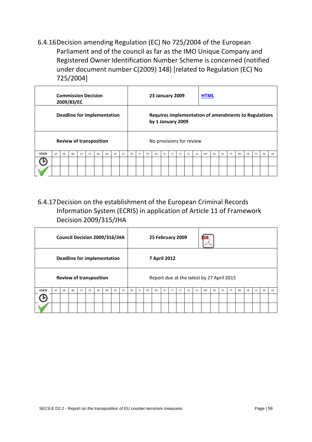<span id="page-58-0"></span>6.4.16Decision amending Regulation (EC) No 725/2004 of the European Parliament and of the council as far as the IMO Unique Company and Registered Owner Identification Number Scheme is concerned (notified under document number C(2009) 148) [related to Regulation (EC) No 725/2004]

|              | <b>Commission Decision</b><br>2009/83/EC<br>Deadline for implementation |    |    |    |    |    |           |    |     |    |    |           | <b>23 January 2009</b>   |     |    |     |    |    | <b>HTML</b>                                          |           |    |    |           |           |           |           |    |
|--------------|-------------------------------------------------------------------------|----|----|----|----|----|-----------|----|-----|----|----|-----------|--------------------------|-----|----|-----|----|----|------------------------------------------------------|-----------|----|----|-----------|-----------|-----------|-----------|----|
|              |                                                                         |    |    |    |    |    |           |    |     |    |    |           | by 1 January 2009        |     |    |     |    |    | Requires implementation of amendments to Regulations |           |    |    |           |           |           |           |    |
|              | <b>Review of transposition</b>                                          |    |    |    |    |    |           |    |     |    |    |           | No provisions for review |     |    |     |    |    |                                                      |           |    |    |           |           |           |           |    |
| <b>STATE</b> | AT                                                                      | BE | BG | CY | CZ | DE | <b>DK</b> | EE | EL. | ES | F1 | <b>FR</b> | HU                       | IE. | IT | LT. | LU | LV | MT                                                   | <b>NL</b> | PL | PT | <b>RO</b> | <b>SE</b> | <b>SI</b> | <b>SK</b> | UK |
|              |                                                                         |    |    |    |    |    |           |    |     |    |    |           |                          |     |    |     |    |    |                                                      |           |    |    |           |           |           |           |    |
|              |                                                                         |    |    |    |    |    |           |    |     |    |    |           |                          |     |    |     |    |    |                                                      |           |    |    |           |           |           |           |    |

<span id="page-58-1"></span>6.4.17Decision on the establishment of the European Criminal Records Information System (ECRIS) in application of Article 11 of Framework Decision 2009/315/JHA

|              |                                                                      |    | Council Decision 2009/316/JHA |    |    |    |           |    |     |    |    |           | 25 February 2009 |    |              |     |    |    |                                           |           |    |    |           |           |    |    |           |
|--------------|----------------------------------------------------------------------|----|-------------------------------|----|----|----|-----------|----|-----|----|----|-----------|------------------|----|--------------|-----|----|----|-------------------------------------------|-----------|----|----|-----------|-----------|----|----|-----------|
|              |                                                                      |    |                               |    |    |    |           |    |     |    |    |           | 7 April 2012     |    |              |     |    |    |                                           |           |    |    |           |           |    |    |           |
|              | <b>Deadline for implementation</b><br><b>Review of transposition</b> |    |                               |    |    |    |           |    |     |    |    |           |                  |    |              |     |    |    | Report due at the latest by 27 April 2015 |           |    |    |           |           |    |    |           |
| <b>STATE</b> | AT                                                                   | BE | BG                            | CY | CZ | DE | <b>DK</b> | EE | EL. | ES | F1 | <b>FR</b> | HU               | IE | $\mathsf{I}$ | LT. | LU | LV | MT                                        | <b>NL</b> | PL | PT | <b>RO</b> | <b>SE</b> | SI | SK | <b>UK</b> |
|              |                                                                      |    |                               |    |    |    |           |    |     |    |    |           |                  |    |              |     |    |    |                                           |           |    |    |           |           |    |    |           |
|              |                                                                      |    |                               |    |    |    |           |    |     |    |    |           |                  |    |              |     |    |    |                                           |           |    |    |           |           |    |    |           |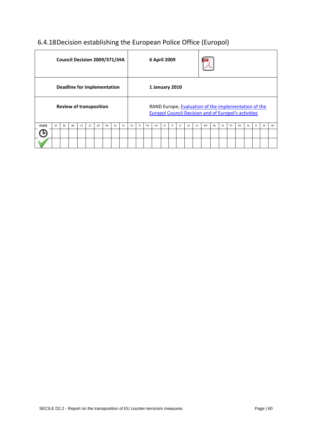# <span id="page-59-0"></span>6.4.18Decision establishing the European Police Office (Europol)

|              |                                                               |           | Council Decision 2009/371/JHA |    |    |    |    |    |     |    |     |           | 6 April 2009                                                                                                        |    |    |     |    |    |    |           |    |    |           |           |           |           |    |
|--------------|---------------------------------------------------------------|-----------|-------------------------------|----|----|----|----|----|-----|----|-----|-----------|---------------------------------------------------------------------------------------------------------------------|----|----|-----|----|----|----|-----------|----|----|-----------|-----------|-----------|-----------|----|
|              |                                                               |           |                               |    |    |    |    |    |     |    |     |           | 1 January 2010                                                                                                      |    |    |     |    |    |    |           |    |    |           |           |           |           |    |
|              | Deadline for implementation<br><b>Review of transposition</b> |           |                               |    |    |    |    |    |     |    |     |           | RAND Europe, Evaluation of the implementation of the<br><b>Europol Council Decision and of Europol's activities</b> |    |    |     |    |    |    |           |    |    |           |           |           |           |    |
| <b>STATE</b> | AT                                                            | <b>BF</b> | BG                            | CY | CZ | DF | DK | EE | EL. | ES | FI. | <b>FR</b> | HU                                                                                                                  | IE | IT | LT. | LU | LV | MT | <b>NI</b> | PL | PT | <b>RO</b> | <b>SF</b> | <b>SI</b> | <b>SK</b> | UK |
|              |                                                               |           |                               |    |    |    |    |    |     |    |     |           |                                                                                                                     |    |    |     |    |    |    |           |    |    |           |           |           |           |    |
|              |                                                               |           |                               |    |    |    |    |    |     |    |     |           |                                                                                                                     |    |    |     |    |    |    |           |    |    |           |           |           |           |    |